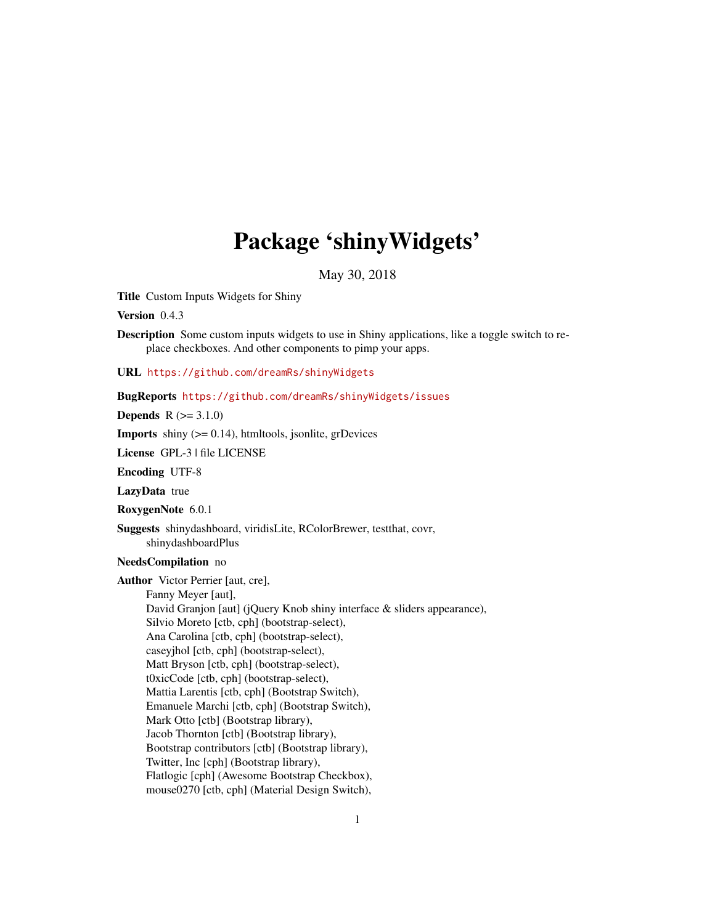# Package 'shinyWidgets'

May 30, 2018

<span id="page-0-0"></span>Title Custom Inputs Widgets for Shiny

Version 0.4.3

Description Some custom inputs widgets to use in Shiny applications, like a toggle switch to replace checkboxes. And other components to pimp your apps.

URL <https://github.com/dreamRs/shinyWidgets>

BugReports <https://github.com/dreamRs/shinyWidgets/issues>

**Depends**  $R (= 3.1.0)$ 

**Imports** shiny  $(>= 0.14)$ , htmltools, jsonlite, grDevices

License GPL-3 | file LICENSE

Encoding UTF-8

LazyData true

RoxygenNote 6.0.1

Suggests shinydashboard, viridisLite, RColorBrewer, testthat, covr, shinydashboardPlus

#### NeedsCompilation no

Author Victor Perrier [aut, cre],

Fanny Meyer [aut], David Granjon [aut] (jQuery Knob shiny interface & sliders appearance), Silvio Moreto [ctb, cph] (bootstrap-select), Ana Carolina [ctb, cph] (bootstrap-select), caseyjhol [ctb, cph] (bootstrap-select), Matt Bryson [ctb, cph] (bootstrap-select), t0xicCode [ctb, cph] (bootstrap-select), Mattia Larentis [ctb, cph] (Bootstrap Switch), Emanuele Marchi [ctb, cph] (Bootstrap Switch), Mark Otto [ctb] (Bootstrap library), Jacob Thornton [ctb] (Bootstrap library), Bootstrap contributors [ctb] (Bootstrap library), Twitter, Inc [cph] (Bootstrap library), Flatlogic [cph] (Awesome Bootstrap Checkbox), mouse0270 [ctb, cph] (Material Design Switch),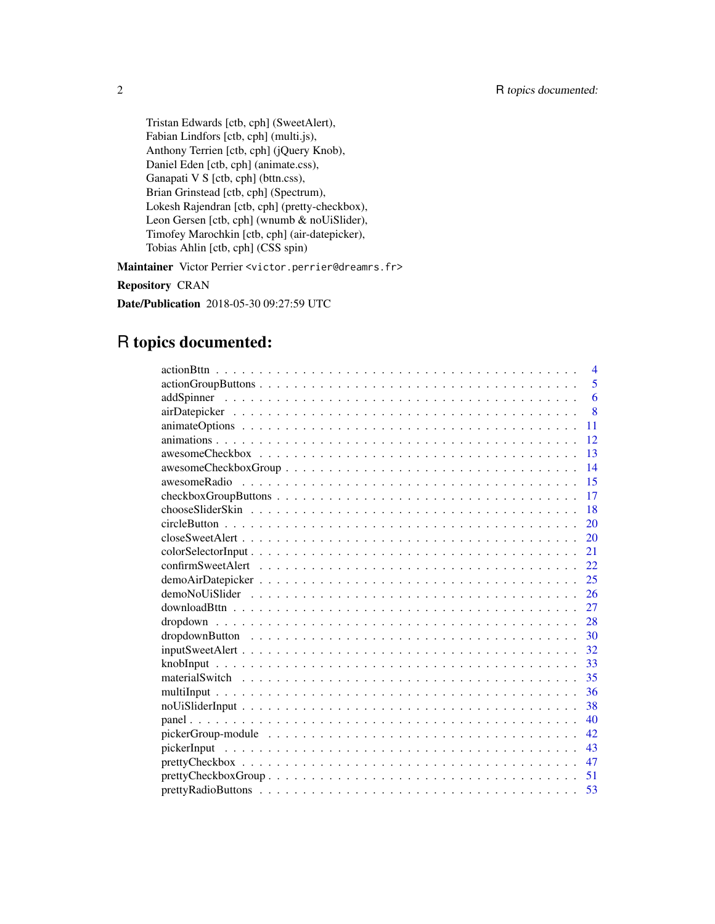Tristan Edwards [ctb, cph] (SweetAlert), Fabian Lindfors [ctb, cph] (multi.js), Anthony Terrien [ctb, cph] (jQuery Knob), Daniel Eden [ctb, cph] (animate.css), Ganapati V S [ctb, cph] (bttn.css), Brian Grinstead [ctb, cph] (Spectrum), Lokesh Rajendran [ctb, cph] (pretty-checkbox), Leon Gersen [ctb, cph] (wnumb & noUiSlider), Timofey Marochkin [ctb, cph] (air-datepicker), Tobias Ahlin [ctb, cph] (CSS spin)

Maintainer Victor Perrier <victor.perrier@dreamrs.fr>

Repository CRAN

Date/Publication 2018-05-30 09:27:59 UTC

# R topics documented:

| $\overline{4}$                                                                                                                                    |
|---------------------------------------------------------------------------------------------------------------------------------------------------|
| 5                                                                                                                                                 |
| 6                                                                                                                                                 |
| 8                                                                                                                                                 |
| $\text{animate} \text{Options} \dots \dots \dots \dots \dots \dots \dots \dots \dots \dots \dots \dots \dots \dots \dots \dots \dots \dots$<br>11 |
| 12                                                                                                                                                |
| 13                                                                                                                                                |
| 14                                                                                                                                                |
| 15                                                                                                                                                |
| 17                                                                                                                                                |
| 18                                                                                                                                                |
| 20                                                                                                                                                |
| 20                                                                                                                                                |
| 21                                                                                                                                                |
| 22                                                                                                                                                |
| 25                                                                                                                                                |
| 26                                                                                                                                                |
| 27                                                                                                                                                |
| 28                                                                                                                                                |
| 30                                                                                                                                                |
| 32                                                                                                                                                |
| 33                                                                                                                                                |
| 35                                                                                                                                                |
| 36                                                                                                                                                |
| 38                                                                                                                                                |
| 40                                                                                                                                                |
| 42                                                                                                                                                |
| 43                                                                                                                                                |
| 47                                                                                                                                                |
| 51                                                                                                                                                |
| 53                                                                                                                                                |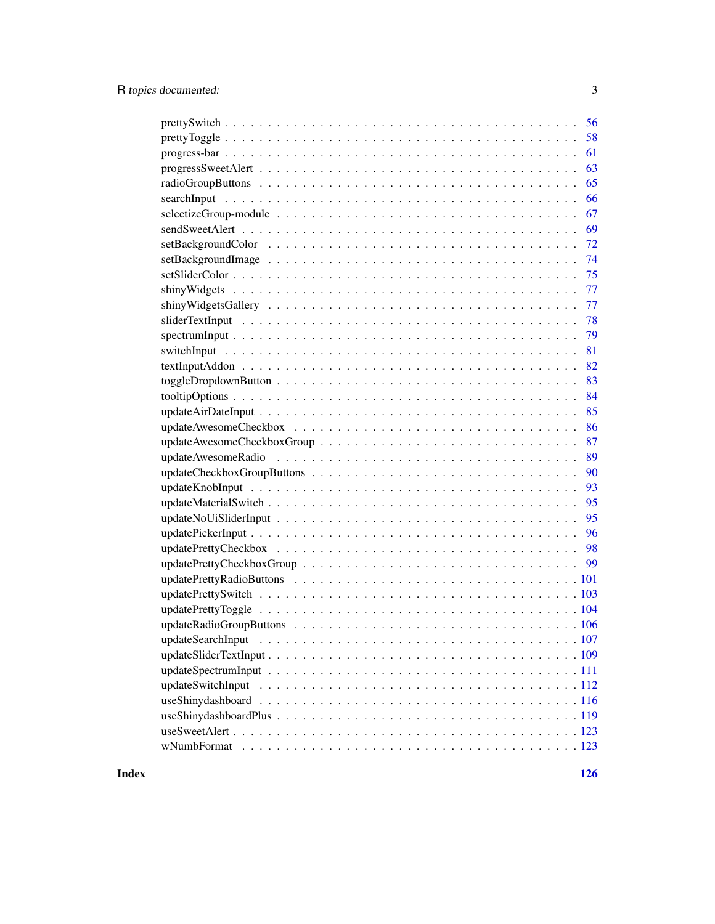| - 56                                                                                                                  |
|-----------------------------------------------------------------------------------------------------------------------|
| 58                                                                                                                    |
| 61                                                                                                                    |
| 63                                                                                                                    |
| 65                                                                                                                    |
| 66                                                                                                                    |
| 67                                                                                                                    |
| 69                                                                                                                    |
|                                                                                                                       |
| 74                                                                                                                    |
| 75                                                                                                                    |
| - 77                                                                                                                  |
| 77                                                                                                                    |
| 78                                                                                                                    |
| $spectrumInput \dots \dots \dots \dots \dots \dots \dots \dots \dots \dots \dots \dots \dots \dots \dots \dots$<br>79 |
| 81                                                                                                                    |
| 82                                                                                                                    |
|                                                                                                                       |
|                                                                                                                       |
|                                                                                                                       |
| 86                                                                                                                    |
| 87                                                                                                                    |
| 89                                                                                                                    |
| 90                                                                                                                    |
| 93                                                                                                                    |
| 95                                                                                                                    |
| 95                                                                                                                    |
|                                                                                                                       |
|                                                                                                                       |
|                                                                                                                       |
|                                                                                                                       |
|                                                                                                                       |
|                                                                                                                       |
|                                                                                                                       |
|                                                                                                                       |
|                                                                                                                       |
|                                                                                                                       |
|                                                                                                                       |
| updateSwitchInput                                                                                                     |
|                                                                                                                       |
|                                                                                                                       |
|                                                                                                                       |
|                                                                                                                       |

**Index** 2008 **[126](#page-125-0)**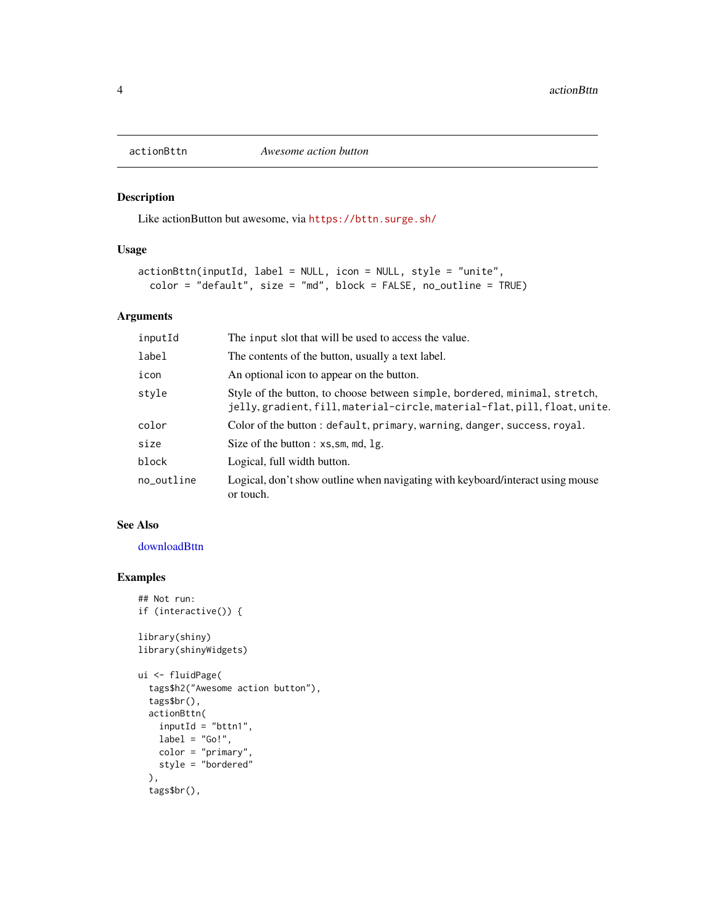<span id="page-3-1"></span><span id="page-3-0"></span>

#### Description

Like actionButton but awesome, via <https://bttn.surge.sh/>

# Usage

```
actionBttn(inputId, label = NULL, icon = NULL, style = "unite",
 color = "default", size = "md", block = FALSE, no_outline = TRUE)
```
#### Arguments

| inputId    | The input slot that will be used to access the value.                                                                                                    |
|------------|----------------------------------------------------------------------------------------------------------------------------------------------------------|
| label      | The contents of the button, usually a text label.                                                                                                        |
| icon       | An optional icon to appear on the button.                                                                                                                |
| style      | Style of the button, to choose between simple, bordered, minimal, stretch,<br>jelly, gradient, fill, material-circle, material-flat, pill, float, unite. |
| color      | Color of the button: default, primary, warning, danger, success, royal.                                                                                  |
| size       | Size of the button : $xs, sm, md, lg$ .                                                                                                                  |
| block      | Logical, full width button.                                                                                                                              |
| no_outline | Logical, don't show outline when navigating with keyboard/interact using mouse<br>or touch.                                                              |

#### See Also

# [downloadBttn](#page-26-1)

```
## Not run:
if (interactive()) {
library(shiny)
library(shinyWidgets)
ui <- fluidPage(
  tags$h2("Awesome action button"),
  tags$br(),
  actionBttn(
   inputId = "bttn1",label = "Go!"},color = "primary",
   style = "bordered"
  ),
  tags$br(),
```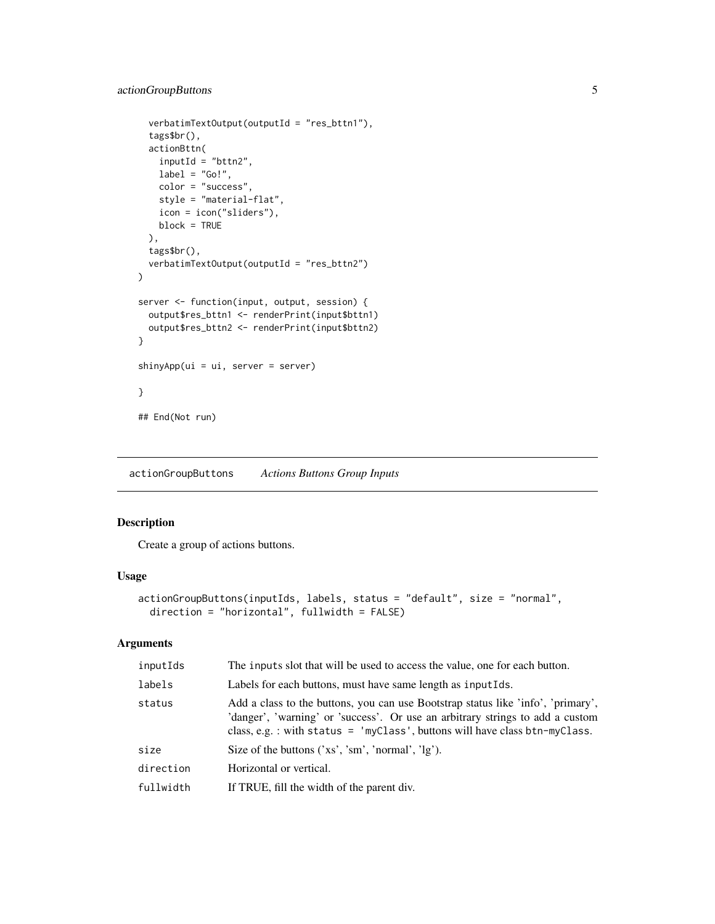```
verbatimTextOutput(outputId = "res_bttn1"),
  tags$br(),
  actionBttn(
   inputId = "bttn2",label = "Go!"},color = "success",
   style = "material-flat",
   icon = icon("sliders"),
   block = TRUE
  ),
  tags$br(),
  verbatimTextOutput(outputId = "res_bttn2")
\mathcal{L}server <- function(input, output, session) {
  output$res_bttn1 <- renderPrint(input$bttn1)
  output$res_bttn2 <- renderPrint(input$bttn2)
}
shinyApp(ui = ui, server = server)
}
## End(Not run)
```
actionGroupButtons *Actions Buttons Group Inputs*

## Description

Create a group of actions buttons.

#### Usage

```
actionGroupButtons(inputIds, labels, status = "default", size = "normal",
  direction = "horizontal", fullwidth = FALSE)
```

| inputIds  | The inputs slot that will be used to access the value, one for each button.                                                                                                                                                                         |
|-----------|-----------------------------------------------------------------------------------------------------------------------------------------------------------------------------------------------------------------------------------------------------|
| labels    | Labels for each buttons, must have same length as input Ids.                                                                                                                                                                                        |
| status    | Add a class to the buttons, you can use Bootstrap status like 'info', 'primary',<br>'danger', 'warning' or 'success'. Or use an arbitrary strings to add a custom<br>class, e.g. : with status = $'myClass'$ , buttons will have class btn-myClass. |
| size      | Size of the buttons $('xs', 'sm', 'normal', 'lg').$                                                                                                                                                                                                 |
| direction | Horizontal or vertical.                                                                                                                                                                                                                             |
| fullwidth | If TRUE, fill the width of the parent div.                                                                                                                                                                                                          |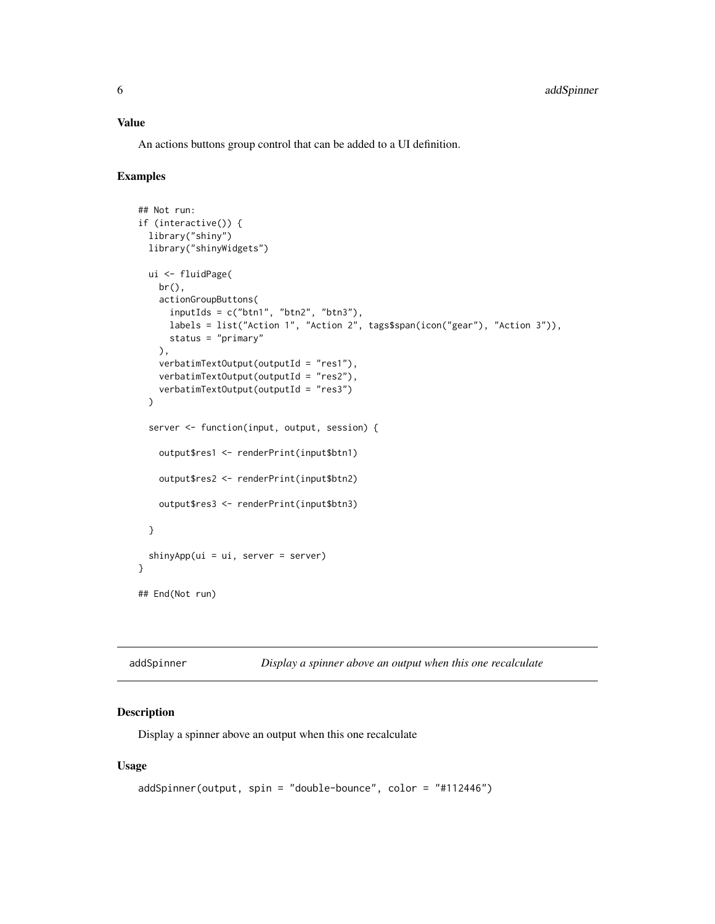#### <span id="page-5-0"></span>Value

An actions buttons group control that can be added to a UI definition.

#### Examples

```
## Not run:
if (interactive()) {
 library("shiny")
 library("shinyWidgets")
 ui <- fluidPage(
   br(),
   actionGroupButtons(
     inputIds = c("btn1", "btn2", "btn3"),
     labels = list("Action 1", "Action 2", tags$span(icon("gear"), "Action 3")),
     status = "primary"
   ),
   verbatimTextOutput(outputId = "res1"),
   verbatimTextOutput(outputId = "res2"),
   verbatimTextOutput(outputId = "res3")
 )
 server <- function(input, output, session) {
   output$res1 <- renderPrint(input$btn1)
   output$res2 <- renderPrint(input$btn2)
   output$res3 <- renderPrint(input$btn3)
 }
 shinyApp(ui = ui, server = server)
}
## End(Not run)
```

| addSpinner |  | Display a spinner above an output when this one recalculate |  |
|------------|--|-------------------------------------------------------------|--|
|            |  |                                                             |  |

# Description

Display a spinner above an output when this one recalculate

#### Usage

```
addSpinner(output, spin = "double-bounce", color = "#112446")
```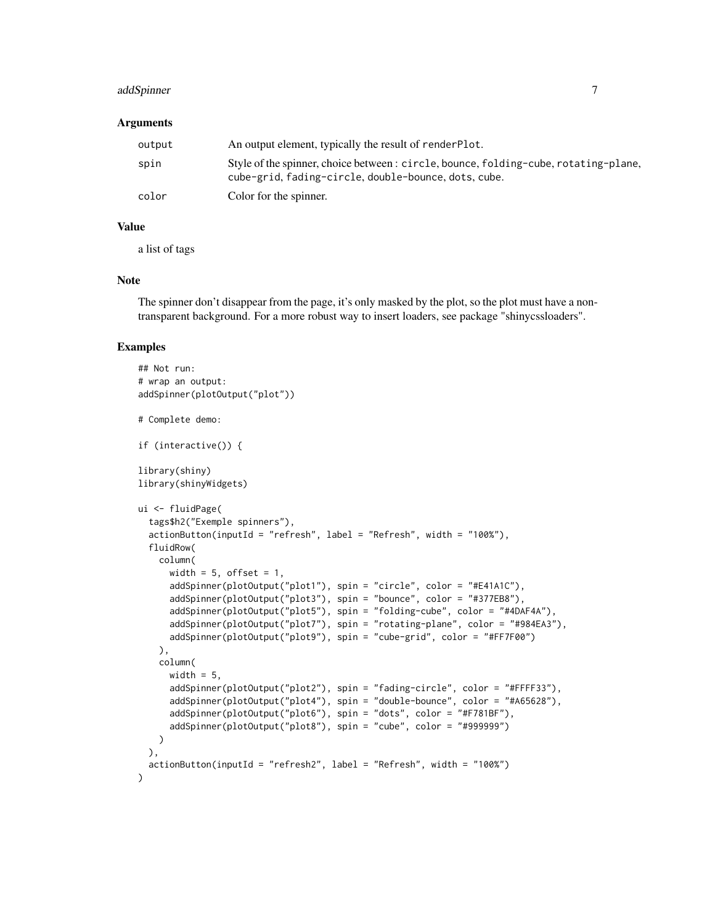## addSpinner 7

#### Arguments

| output | An output element, typically the result of renderPlot.                                                                                      |
|--------|---------------------------------------------------------------------------------------------------------------------------------------------|
| spin   | Style of the spinner, choice between: circle, bounce, folding-cube, rotating-plane,<br>cube-grid, fading-circle, double-bounce, dots, cube. |
| color  | Color for the spinner.                                                                                                                      |

#### Value

a list of tags

#### Note

The spinner don't disappear from the page, it's only masked by the plot, so the plot must have a nontransparent background. For a more robust way to insert loaders, see package "shinycssloaders".

```
## Not run:
# wrap an output:
addSpinner(plotOutput("plot"))
# Complete demo:
if (interactive()) {
library(shiny)
library(shinyWidgets)
ui <- fluidPage(
  tags$h2("Exemple spinners"),
  actionButton(inputId = "refresh", label = "Refresh", width = "100%"),
  fluidRow(
    column(
      width = 5, offset = 1,
      addSpinner(plotOutput("plot1"), spin = "circle", color = "#E41A1C"),
      addSpinner(plotOutput("plot3"), spin = "bounce", color = "#377EB8"),
      addSpinner(plotOutput("plot5"), spin = "folding-cube", color = "#4DAF4A"),
      addSpinner(plotOutput("plot7"), spin = "rotating-plane", color = "#984EA3"),
      addSpinner(plotOutput("plot9"), spin = "cube-grid", color = "#FF7F00")
   ),
    column(
      width = 5,
      addSpinner(plotOutput("plot2"), spin = "fading-circle", color = "#FFFF33"),
      addSpinner(plotOutput("plot4"), spin = "double-bounce", color = "#A65628"),
      addSpinner(plotOutput("plot6"), spin = "dots", color = "#F781BF"),
      addSpinner(plotOutput("plot8"), spin = "cube", color = "#999999")
   )
  ),
  actionButton(inputId = "refresh2", label = "Refresh", width = "100%")
\lambda
```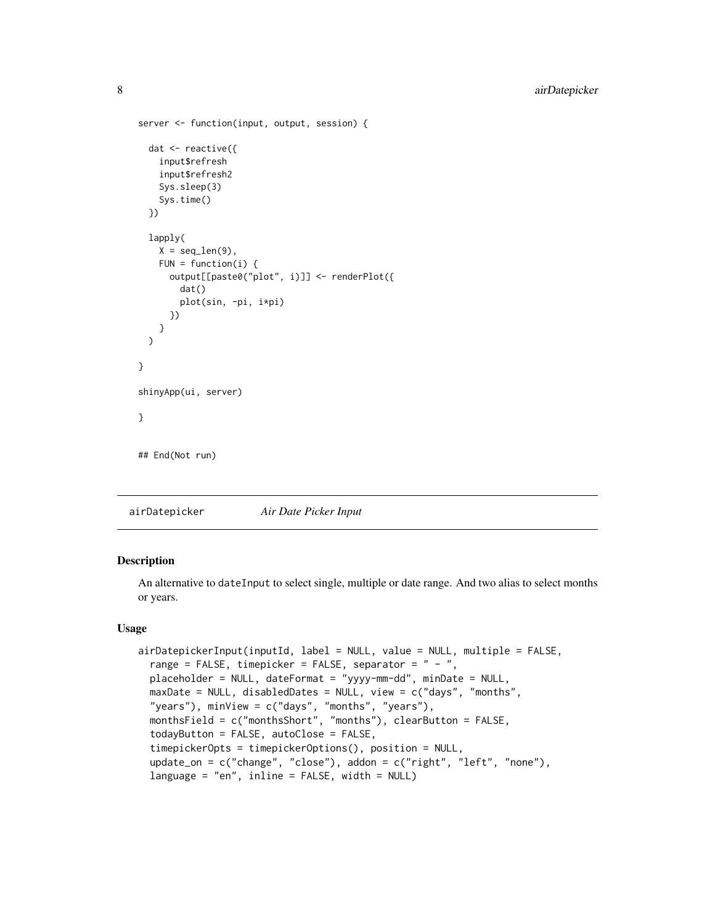```
server <- function(input, output, session) {
 dat <- reactive({
   input$refresh
   input$refresh2
   Sys.sleep(3)
   Sys.time()
 })
 lapply(
   X = seq\_len(9),
   FUN = function(i) {
      output[[paste0("plot", i)]] <- renderPlot({
        dat()
        plot(sin, -pi, i*pi)
      })
   }
 \mathcal{L}}
shinyApp(ui, server)
}
## End(Not run)
```
airDatepicker *Air Date Picker Input*

#### <span id="page-7-1"></span>Description

An alternative to dateInput to select single, multiple or date range. And two alias to select months or years.

# Usage

```
airDatepickerInput(inputId, label = NULL, value = NULL, multiple = FALSE,
 range = FALSE, timepicker = FALSE, separator = " - ",
 placeholder = NULL, dateFormat = "yyyy-mm-dd", minDate = NULL,
 maxDate = NULL, disabledDates = NULL, view = c("days", "months",
  "years"), minView = c("days", "months", "years"),
 monthsField = c("monthsShort", "months"), clearButton = FALSE,
  todayButton = FALSE, autoClose = FALSE,
  timepickerOpts = timepickerOptions(), position = NULL,
  update_on = c("change", "close"), addon = c("right", "left", "none"),
  language = "en", inline = FALSE, width = NULL)
```
<span id="page-7-0"></span>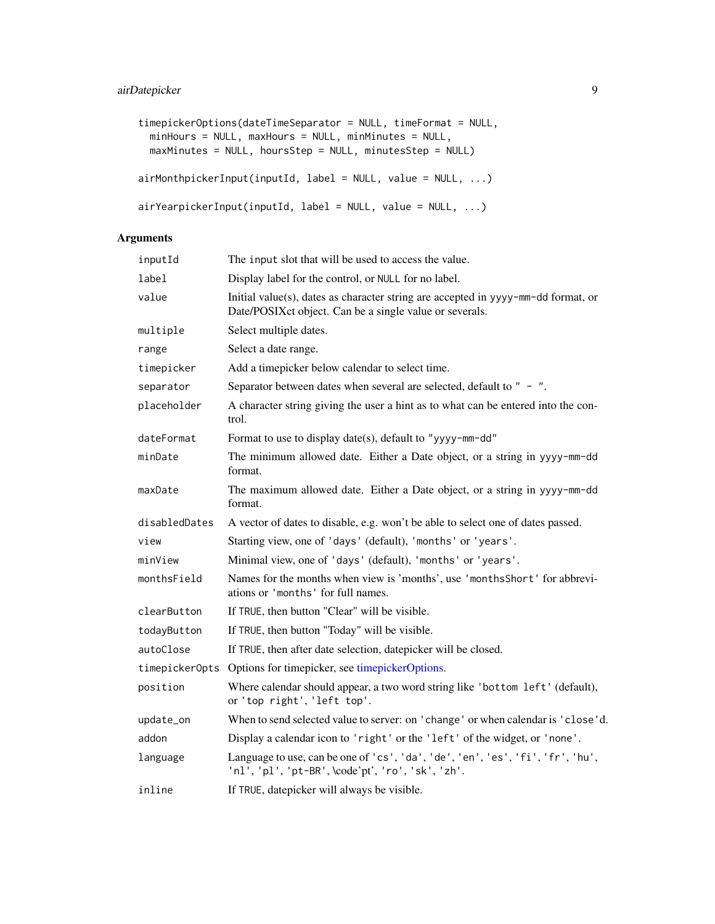```
timepickerOptions(dateTimeSeparator = NULL, timeFormat = NULL,
 minHours = NULL, maxHours = NULL, minMinutes = NULL,
 maxMinutes = NULL, hoursStep = NULL, minutesStep = NULL)
airMonthpickerInput(inputId, label = NULL, value = NULL, ...)
airYearpickerInput(inputId, label = NULL, value = NULL, ...)
```

| inputId        | The input slot that will be used to access the value.                                                                                        |  |  |
|----------------|----------------------------------------------------------------------------------------------------------------------------------------------|--|--|
| label          | Display label for the control, or NULL for no label.                                                                                         |  |  |
| value          | Initial value(s), dates as character string are accepted in yyyy-mm-dd format, or<br>Date/POSIXct object. Can be a single value or severals. |  |  |
| multiple       | Select multiple dates.                                                                                                                       |  |  |
| range          | Select a date range.                                                                                                                         |  |  |
| timepicker     | Add a timepicker below calendar to select time.                                                                                              |  |  |
| separator      | Separator between dates when several are selected, default to " - ".                                                                         |  |  |
| placeholder    | A character string giving the user a hint as to what can be entered into the con-<br>trol.                                                   |  |  |
| dateFormat     | Format to use to display date(s), default to "yyyy-mm-dd"                                                                                    |  |  |
| minDate        | The minimum allowed date. Either a Date object, or a string in yyyy-mm-dd<br>format.                                                         |  |  |
| maxDate        | The maximum allowed date. Either a Date object, or a string in yyyy-mm-dd<br>format.                                                         |  |  |
| disabledDates  | A vector of dates to disable, e.g. won't be able to select one of dates passed.                                                              |  |  |
| view           | Starting view, one of 'days' (default), 'months' or 'years'.                                                                                 |  |  |
| minView        | Minimal view, one of 'days' (default), 'months' or 'years'.                                                                                  |  |  |
| monthsField    | Names for the months when view is 'months', use 'monthsShort' for abbrevi-<br>ations or 'months' for full names.                             |  |  |
| clearButton    | If TRUE, then button "Clear" will be visible.                                                                                                |  |  |
| todayButton    | If TRUE, then button "Today" will be visible.                                                                                                |  |  |
| autoClose      | If TRUE, then after date selection, datepicker will be closed.                                                                               |  |  |
| timepicker0pts | Options for timepicker, see timepickerOptions.                                                                                               |  |  |
| position       | Where calendar should appear, a two word string like 'bottom left' (default),<br>or 'top right', 'left top'.                                 |  |  |
| update_on      | When to send selected value to server: on 'change' or when calendar is 'close'd.                                                             |  |  |
| addon          | Display a calendar icon to 'right' or the 'left' of the widget, or 'none'.                                                                   |  |  |
| language       | Language to use, can be one of 'cs', 'da', 'de', 'en', 'es', 'fi', 'fr', 'hu',<br>'nl', 'pl', 'pt-BR', \code'pt', 'ro', 'sk', 'zh'.          |  |  |
| inline         | If TRUE, datepicker will always be visible.                                                                                                  |  |  |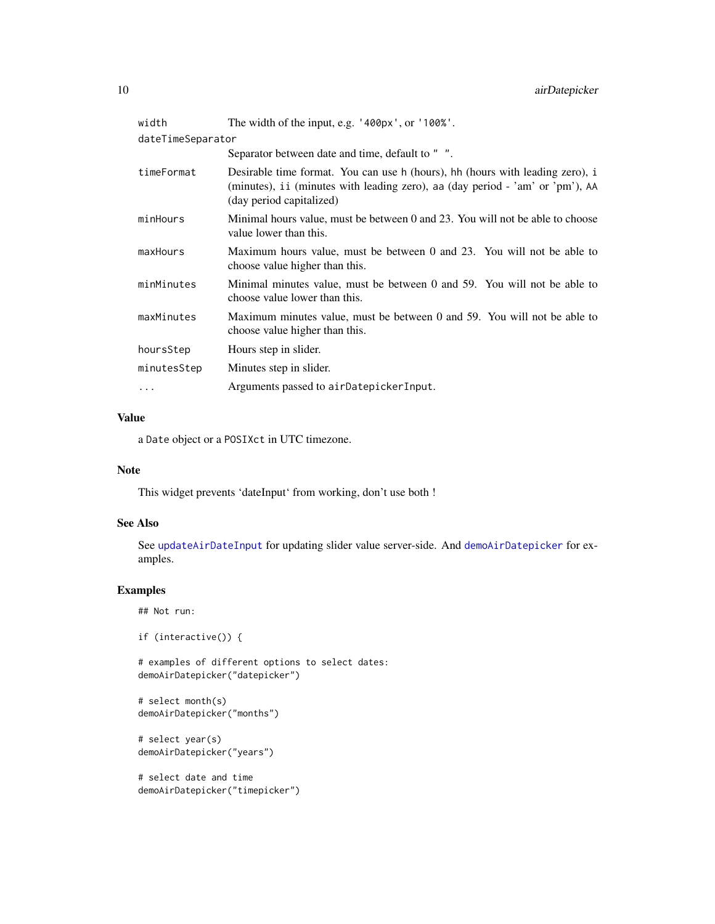| width             | The width of the input, e.g. $'400px'$ , or $'100\%'$ .                                                                                                                                    |  |
|-------------------|--------------------------------------------------------------------------------------------------------------------------------------------------------------------------------------------|--|
| dateTimeSeparator |                                                                                                                                                                                            |  |
|                   | Separator between date and time, default to " ".                                                                                                                                           |  |
| timeFormat        | Desirable time format. You can use h (hours), hh (hours with leading zero), i<br>(minutes), ii (minutes with leading zero), aa (day period - 'am' or 'pm'), AA<br>(day period capitalized) |  |
| minHours          | Minimal hours value, must be between 0 and 23. You will not be able to choose<br>value lower than this.                                                                                    |  |
| maxHours          | Maximum hours value, must be between 0 and 23. You will not be able to<br>choose value higher than this.                                                                                   |  |
| minMinutes        | Minimal minutes value, must be between 0 and 59. You will not be able to<br>choose value lower than this.                                                                                  |  |
| maxMinutes        | Maximum minutes value, must be between 0 and 59. You will not be able to<br>choose value higher than this.                                                                                 |  |
| hoursStep         | Hours step in slider.                                                                                                                                                                      |  |
| minutesStep       | Minutes step in slider.                                                                                                                                                                    |  |
| $\cdots$          | Arguments passed to airDatepickerInput.                                                                                                                                                    |  |

# Value

a Date object or a POSIXct in UTC timezone.

#### Note

This widget prevents 'dateInput' from working, don't use both !

## See Also

See [updateAirDateInput](#page-84-1) for updating slider value server-side. And [demoAirDatepicker](#page-24-1) for examples.

# Examples

## Not run:

```
if (interactive()) {
```
# examples of different options to select dates: demoAirDatepicker("datepicker")

```
# select month(s)
demoAirDatepicker("months")
```
# select year(s) demoAirDatepicker("years")

```
# select date and time
demoAirDatepicker("timepicker")
```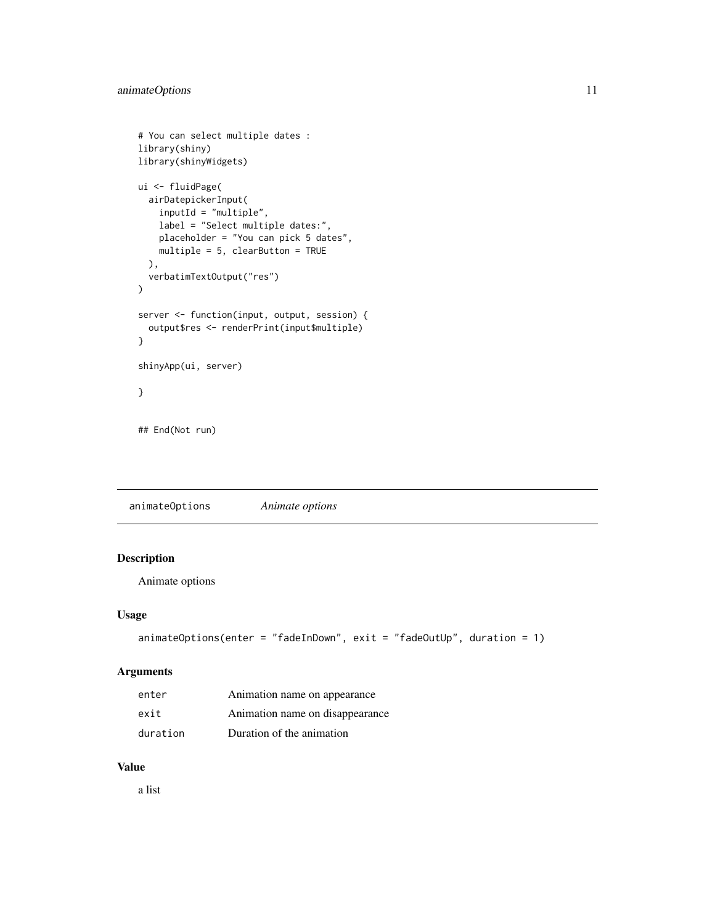```
# You can select multiple dates :
library(shiny)
library(shinyWidgets)
ui <- fluidPage(
  airDatepickerInput(
    inputId = "multiple",
    label = "Select multiple dates:",
    placeholder = "You can pick 5 dates",
    multiple = 5, clearButton = TRUE
  ),
  verbatimTextOutput("res")
\mathcal{L}server <- function(input, output, session) {
  output$res <- renderPrint(input$multiple)
}
shinyApp(ui, server)
}
## End(Not run)
```
<span id="page-10-1"></span>animateOptions *Animate options*

# Description

Animate options

# Usage

```
animateOptions(enter = "fadeInDown", exit = "fadeOutUp", duration = 1)
```
#### Arguments

| enter    | Animation name on appearance    |
|----------|---------------------------------|
| exit     | Animation name on disappearance |
| duration | Duration of the animation       |

#### Value

a list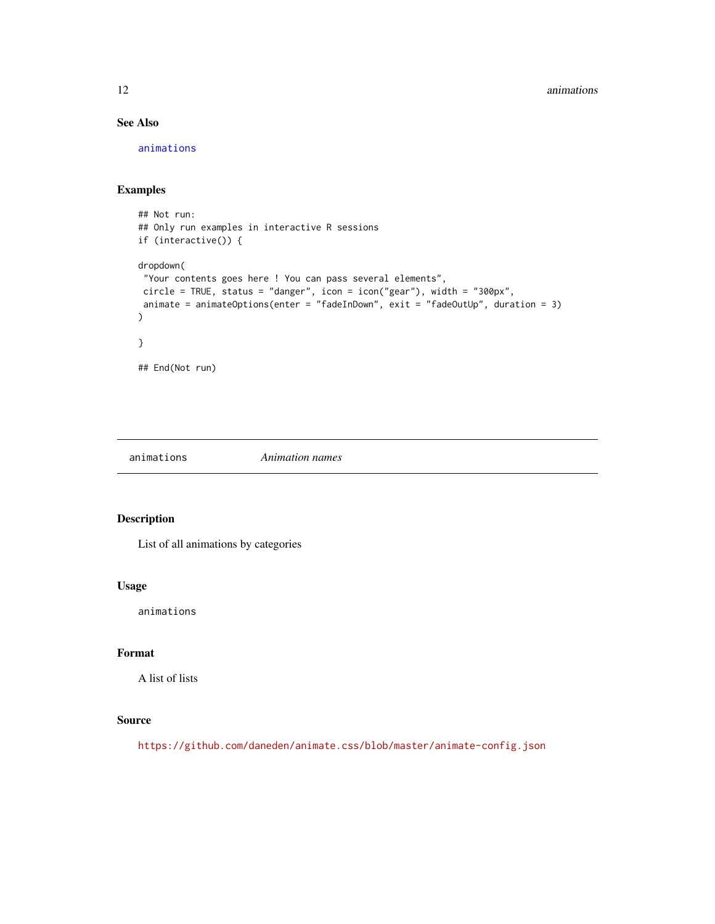# See Also

[animations](#page-11-1)

# Examples

```
## Not run:
## Only run examples in interactive R sessions
if (interactive()) {
dropdown(
 "Your contents goes here ! You can pass several elements",
circle = TRUE, status = "danger", icon = icon("gear"), width = "300px",
animate = animateOptions(enter = "fadeInDown", exit = "fadeOutUp", duration = 3)
\lambda}
## End(Not run)
```
<span id="page-11-1"></span>animations *Animation names*

# Description

List of all animations by categories

#### Usage

animations

#### Format

A list of lists

# Source

<https://github.com/daneden/animate.css/blob/master/animate-config.json>

<span id="page-11-0"></span>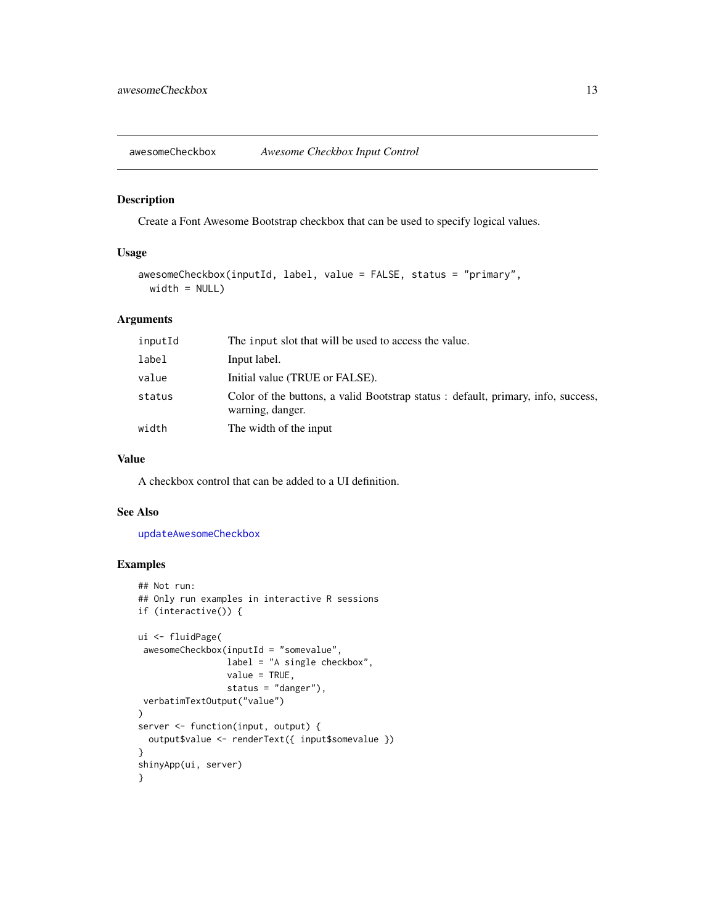<span id="page-12-0"></span>awesomeCheckbox *Awesome Checkbox Input Control*

#### Description

Create a Font Awesome Bootstrap checkbox that can be used to specify logical values.

#### Usage

```
awesomeCheckbox(inputId, label, value = FALSE, status = "primary",
 width = NULL)
```
#### Arguments

| inputId | The input slot that will be used to access the value.                                                 |
|---------|-------------------------------------------------------------------------------------------------------|
| label   | Input label.                                                                                          |
| value   | Initial value (TRUE or FALSE).                                                                        |
| status  | Color of the buttons, a valid Bootstrap status : default, primary, info, success,<br>warning, danger. |
| width   | The width of the input                                                                                |

#### Value

A checkbox control that can be added to a UI definition.

# See Also

[updateAwesomeCheckbox](#page-85-1)

```
## Not run:
## Only run examples in interactive R sessions
if (interactive()) {
ui <- fluidPage(
 awesomeCheckbox(inputId = "somevalue",
                 label = "A single checkbox",
                 value = TRUE,
                 status = "danger"),
 verbatimTextOutput("value")
\mathcal{L}server <- function(input, output) {
  output$value <- renderText({ input$somevalue })
}
shinyApp(ui, server)
}
```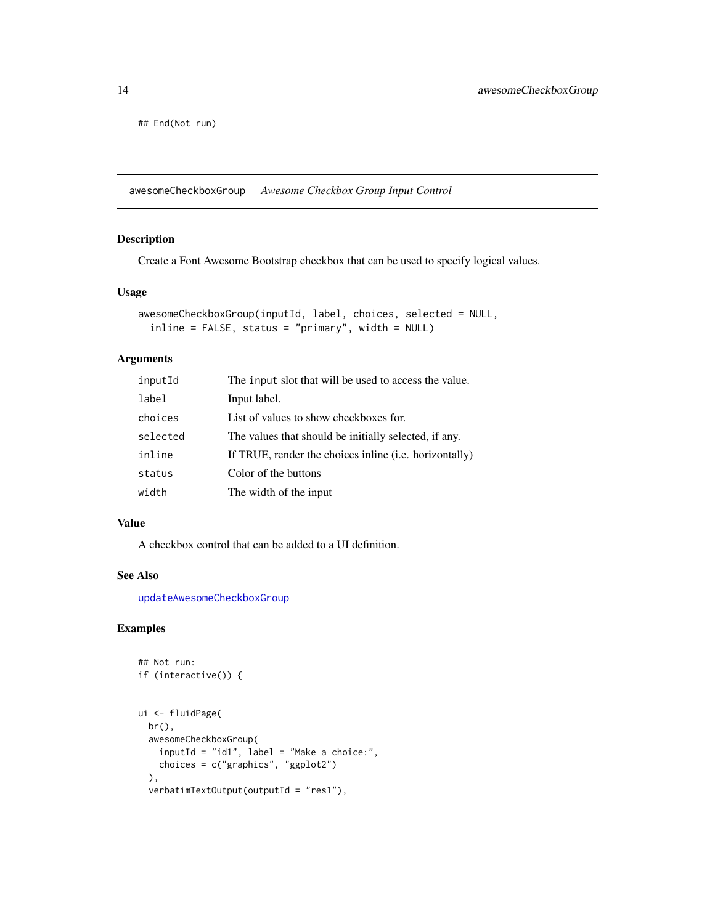<span id="page-13-0"></span>## End(Not run)

awesomeCheckboxGroup *Awesome Checkbox Group Input Control*

#### Description

Create a Font Awesome Bootstrap checkbox that can be used to specify logical values.

#### Usage

```
awesomeCheckboxGroup(inputId, label, choices, selected = NULL,
  inline = FALSE, status = "primary", width = NULL)
```
# Arguments

| inputId  | The input slot that will be used to access the value.   |
|----------|---------------------------------------------------------|
| label    | Input label.                                            |
| choices  | List of values to show checkboxes for.                  |
| selected | The values that should be initially selected, if any.   |
| inline   | If TRUE, render the choices in line (i.e. horizontally) |
| status   | Color of the buttons                                    |
| width    | The width of the input                                  |
|          |                                                         |

## Value

A checkbox control that can be added to a UI definition.

#### See Also

[updateAwesomeCheckboxGroup](#page-86-1)

```
## Not run:
if (interactive()) {
ui <- fluidPage(
  br(),
  awesomeCheckboxGroup(
   inputId = "id1", label = "Make a choice:",
   choices = c("graphics", "ggplot2")
  ),
  verbatimTextOutput(outputId = "res1"),
```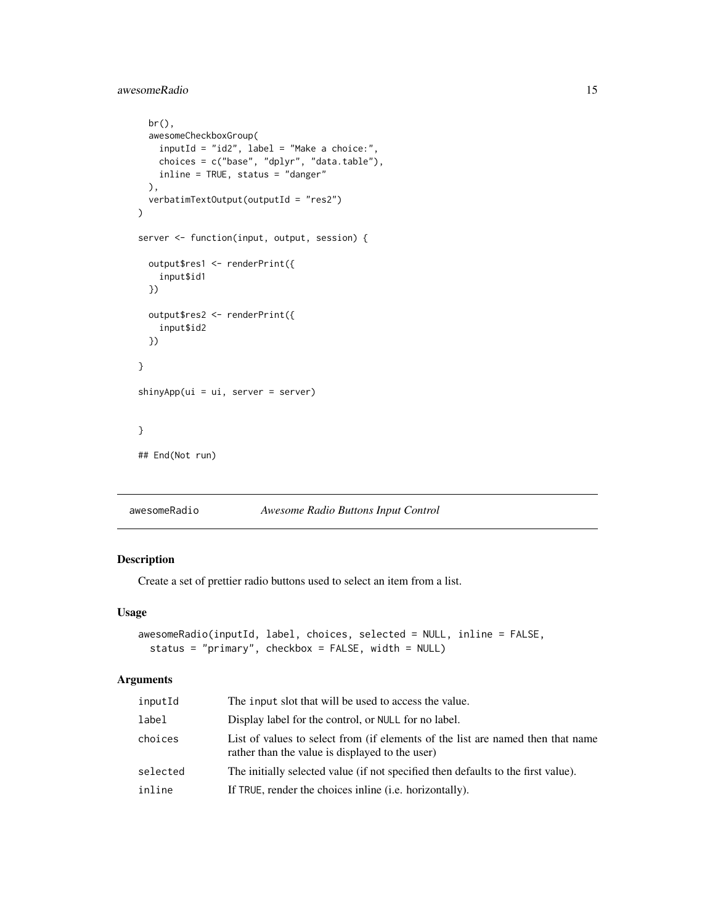# <span id="page-14-0"></span>awesomeRadio 15

```
br(),
  awesomeCheckboxGroup(
    inputId = "id2", label = "Make a choice:",
   choices = c("base", "dplyr", "data.table"),
   inline = TRUE, status = "danger"
  ),
  verbatimTextOutput(outputId = "res2")
)
server <- function(input, output, session) {
  output$res1 <- renderPrint({
    input$id1
  })
  output$res2 <- renderPrint({
   input$id2
  })
}
shinyApp(ui = ui, server = server)
}
## End(Not run)
```
awesomeRadio *Awesome Radio Buttons Input Control*

# Description

Create a set of prettier radio buttons used to select an item from a list.

#### Usage

```
awesomeRadio(inputId, label, choices, selected = NULL, inline = FALSE,
 status = "primary", checkbox = FALSE, width = NULL)
```

| inputId  | The input slot that will be used to access the value.                                                                              |
|----------|------------------------------------------------------------------------------------------------------------------------------------|
| label    | Display label for the control, or NULL for no label.                                                                               |
| choices  | List of values to select from (if elements of the list are named then that name<br>rather than the value is displayed to the user) |
| selected | The initially selected value (if not specified then defaults to the first value).                                                  |
| inline   | If TRUE, render the choices in line (i.e. horizontally).                                                                           |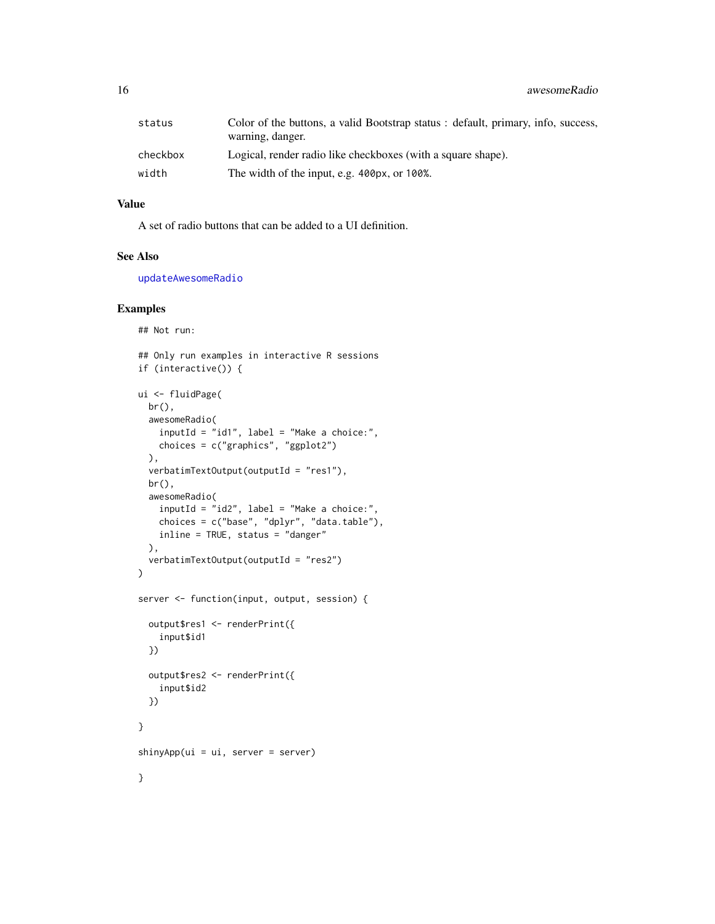| status   | Color of the buttons, a valid Bootstrap status : default, primary, info, success,<br>warning, danger. |
|----------|-------------------------------------------------------------------------------------------------------|
| checkbox | Logical, render radio like checkboxes (with a square shape).                                          |
| width    | The width of the input, e.g. 400px, or 100%.                                                          |

#### Value

A set of radio buttons that can be added to a UI definition.

## See Also

[updateAwesomeRadio](#page-88-1)

```
## Not run:
## Only run examples in interactive R sessions
if (interactive()) {
ui <- fluidPage(
  br(),
  awesomeRadio(
   inputId = "id1", label = "Make a choice:",
   choices = c("graphics", "ggplot2")
 ),
  verbatimTextOutput(outputId = "res1"),
  br().
  awesomeRadio(
   inputId = "id2", label = "Make a choice:",
   choices = c("base", "dplyr", "data.table"),
   inline = TRUE, status = "danger"
  ),
  verbatimTextOutput(outputId = "res2")
)
server <- function(input, output, session) {
  output$res1 <- renderPrint({
   input$id1
  })
  output$res2 <- renderPrint({
   input$id2
  })
}
shinyApp(ui = ui, server = server)
}
```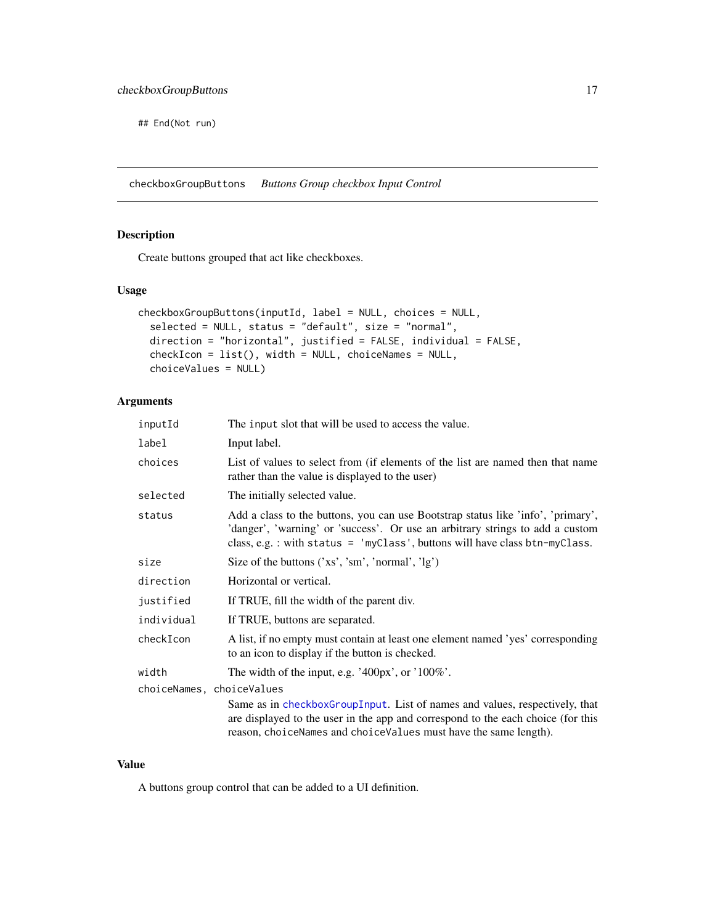<span id="page-16-0"></span>## End(Not run)

checkboxGroupButtons *Buttons Group checkbox Input Control*

# Description

Create buttons grouped that act like checkboxes.

## Usage

```
checkboxGroupButtons(inputId, label = NULL, choices = NULL,
  selected = NULL, status = "default", size = "normal",
  direction = "horizontal", justified = FALSE, individual = FALSE,
  checkIcon = list(), width = NULL, choiceNames = NULL,
  choiceValues = NULL)
```
# Arguments

| inputId                   | The input slot that will be used to access the value.                                                                                                                                                                                               |
|---------------------------|-----------------------------------------------------------------------------------------------------------------------------------------------------------------------------------------------------------------------------------------------------|
| label                     | Input label.                                                                                                                                                                                                                                        |
| choices                   | List of values to select from (if elements of the list are named then that name<br>rather than the value is displayed to the user)                                                                                                                  |
| selected                  | The initially selected value.                                                                                                                                                                                                                       |
| status                    | Add a class to the buttons, you can use Bootstrap status like 'info', 'primary',<br>'danger', 'warning' or 'success'. Or use an arbitrary strings to add a custom<br>class, e.g. : with status = 'myClass', buttons will have class $btn-myClass$ . |
| size                      | Size of the buttons $('xs', 'sm', 'normal', 'lg')$                                                                                                                                                                                                  |
| direction                 | Horizontal or vertical.                                                                                                                                                                                                                             |
| justified                 | If TRUE, fill the width of the parent div.                                                                                                                                                                                                          |
| individual                | If TRUE, buttons are separated.                                                                                                                                                                                                                     |
| checkIcon                 | A list, if no empty must contain at least one element named 'yes' corresponding<br>to an icon to display if the button is checked.                                                                                                                  |
| width                     | The width of the input, e.g. '400px', or ' $100\%$ '.                                                                                                                                                                                               |
| choiceNames, choiceValues |                                                                                                                                                                                                                                                     |
|                           | Same as in checkboxGroupInput. List of names and values, respectively, that<br>are displayed to the user in the app and correspond to the each choice (for this<br>reason, choiceNames and choiceValues must have the same length).                 |

# Value

A buttons group control that can be added to a UI definition.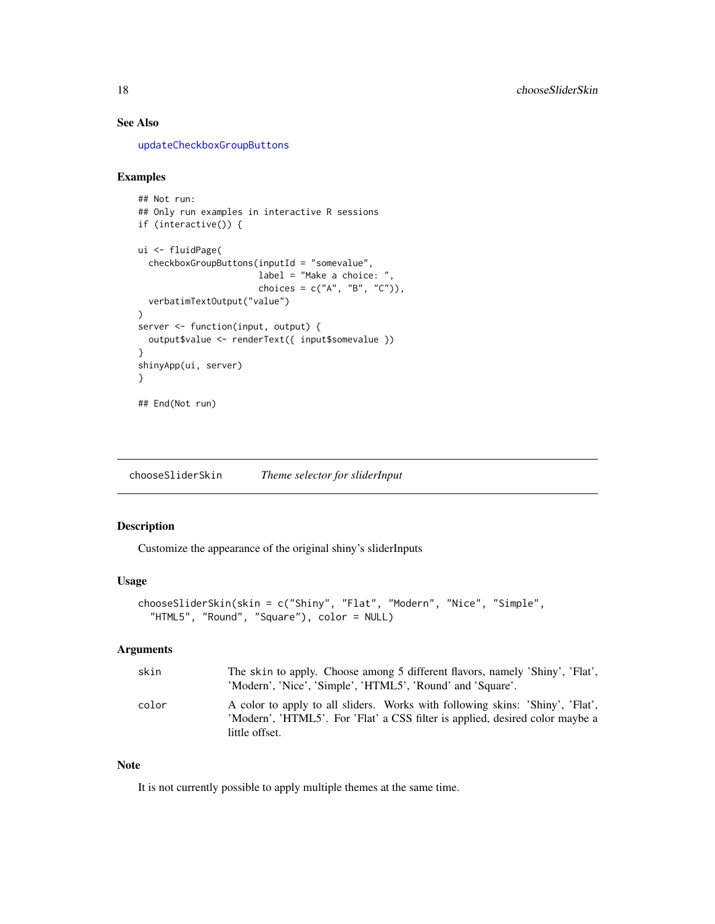# See Also

[updateCheckboxGroupButtons](#page-89-1)

#### Examples

```
## Not run:
## Only run examples in interactive R sessions
if (interactive()) {
ui <- fluidPage(
  checkboxGroupButtons(inputId = "somevalue",
                       label = "Make a choice: ",
                       choices = c("A", "B", "C")),
  verbatimTextOutput("value")
)
server <- function(input, output) {
  output$value <- renderText({ input$somevalue })
}
shinyApp(ui, server)
}
## End(Not run)
```
chooseSliderSkin *Theme selector for sliderInput*

# Description

Customize the appearance of the original shiny's sliderInputs

#### Usage

```
chooseSliderSkin(skin = c("Shiny", "Flat", "Modern", "Nice", "Simple",
  "HTML5", "Round", "Square"), color = NULL)
```
## Arguments

| skin  | The skin to apply. Choose among 5 different flavors, namely 'Shiny', 'Flat',<br>'Modern', 'Nice', 'Simple', 'HTML5', 'Round' and 'Square'.                                      |
|-------|---------------------------------------------------------------------------------------------------------------------------------------------------------------------------------|
| color | A color to apply to all sliders. Works with following skins: 'Shiny', 'Flat',<br>'Modern', 'HTML5'. For 'Flat' a CSS filter is applied, desired color maybe a<br>little offset. |

## Note

It is not currently possible to apply multiple themes at the same time.

<span id="page-17-0"></span>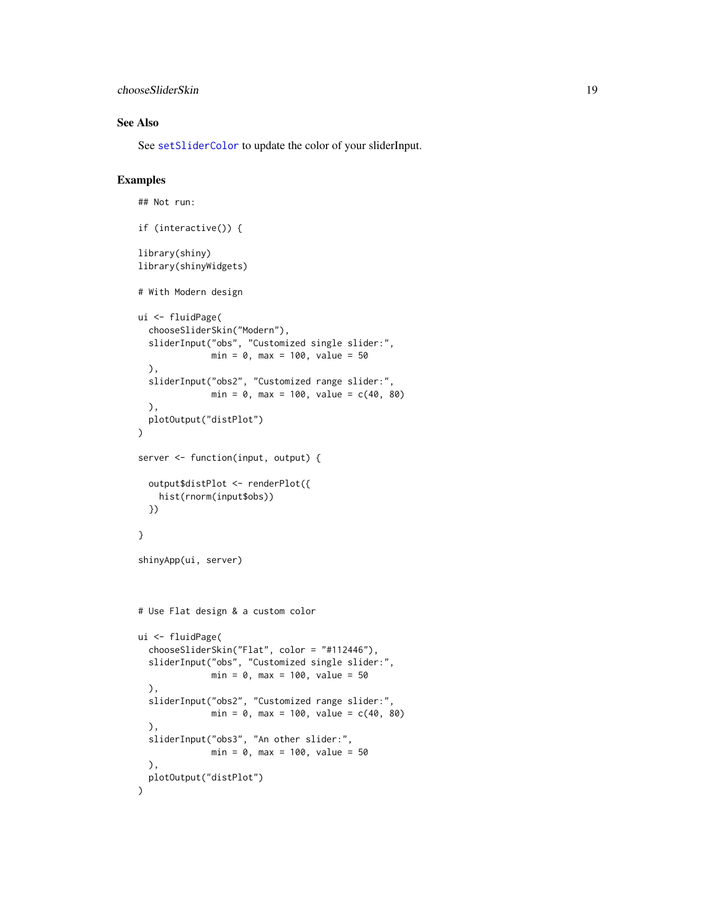## chooseSliderSkin 19

## See Also

See [setSliderColor](#page-74-1) to update the color of your sliderInput.

```
## Not run:
if (interactive()) {
library(shiny)
library(shinyWidgets)
# With Modern design
ui <- fluidPage(
  chooseSliderSkin("Modern"),
  sliderInput("obs", "Customized single slider:",
              min = 0, max = 100, value = 50
  ),
  sliderInput("obs2", "Customized range slider:",
              min = 0, max = 100, value = c(40, 80)),
  plotOutput("distPlot")
\mathcal{L}server <- function(input, output) {
  output$distPlot <- renderPlot({
   hist(rnorm(input$obs))
  })
}
shinyApp(ui, server)
# Use Flat design & a custom color
ui <- fluidPage(
  chooseSliderSkin("Flat", color = "#112446"),
  sliderInput("obs", "Customized single slider:",
              min = 0, max = 100, value = 50),
  sliderInput("obs2", "Customized range slider:",
              min = 0, max = 100, value = c(40, 80)),
  sliderInput("obs3", "An other slider:",
              min = 0, max = 100, value = 50
  ),
  plotOutput("distPlot")
\mathcal{L}
```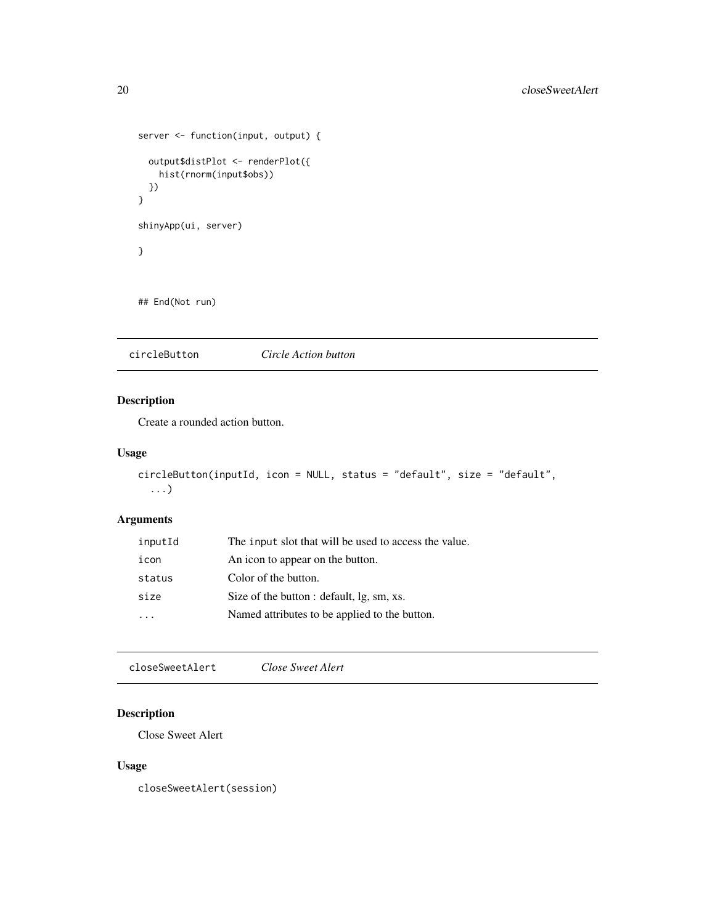```
server <- function(input, output) {
 output$distPlot <- renderPlot({
   hist(rnorm(input$obs))
 })
}
shinyApp(ui, server)
}
## End(Not run)
```
circleButton *Circle Action button*

# Description

Create a rounded action button.

# Usage

```
circleButton(inputId, icon = NULL, status = "default", size = "default",
  ...)
```
# Arguments

| inputId | The input slot that will be used to access the value. |
|---------|-------------------------------------------------------|
| icon    | An icon to appear on the button.                      |
| status  | Color of the button.                                  |
| size    | Size of the button : default, lg, sm, xs.             |
|         | Named attributes to be applied to the button.         |
|         |                                                       |

closeSweetAlert *Close Sweet Alert*

# Description

Close Sweet Alert

## Usage

closeSweetAlert(session)

<span id="page-19-0"></span>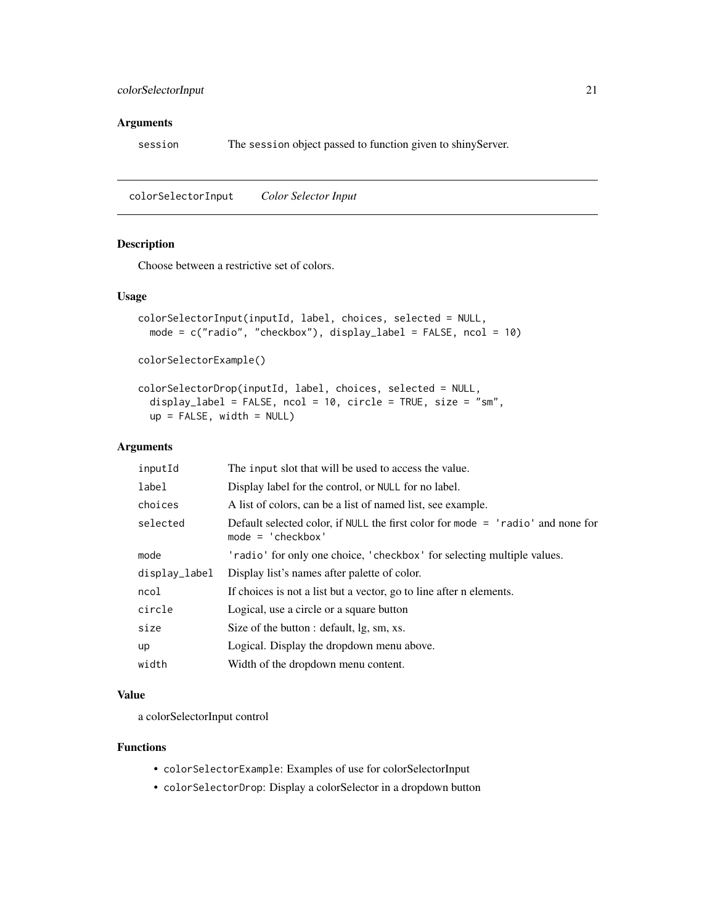#### <span id="page-20-0"></span>Arguments

session The session object passed to function given to shinyServer.

colorSelectorInput *Color Selector Input*

# Description

Choose between a restrictive set of colors.

## Usage

```
colorSelectorInput(inputId, label, choices, selected = NULL,
 mode = c("radio", "checkbox"), display_label = FALSE, ncol = 10)
```
colorSelectorExample()

```
colorSelectorDrop(inputId, label, choices, selected = NULL,
  display_label = FALSE, ncol = 10, circle = TRUE, size = "sm",
 up = FALSE, width = NULL)
```
#### Arguments

| inputId       | The input slot that will be used to access the value.                                                  |
|---------------|--------------------------------------------------------------------------------------------------------|
| label         | Display label for the control, or NULL for no label.                                                   |
| choices       | A list of colors, can be a list of named list, see example.                                            |
| selected      | Default selected color, if NULL the first color for mode = 'radio' and none for<br>$mode = 'checkbox'$ |
| mode          | 'radio' for only one choice, 'checkbox' for selecting multiple values.                                 |
| display_label | Display list's names after palette of color.                                                           |
| ncol          | If choices is not a list but a vector, go to line after n elements.                                    |
| circle        | Logical, use a circle or a square button                                                               |
| size          | Size of the button : default, lg, sm, xs.                                                              |
| up            | Logical. Display the dropdown menu above.                                                              |
| width         | Width of the dropdown menu content.                                                                    |
|               |                                                                                                        |

## Value

a colorSelectorInput control

#### Functions

- colorSelectorExample: Examples of use for colorSelectorInput
- colorSelectorDrop: Display a colorSelector in a dropdown button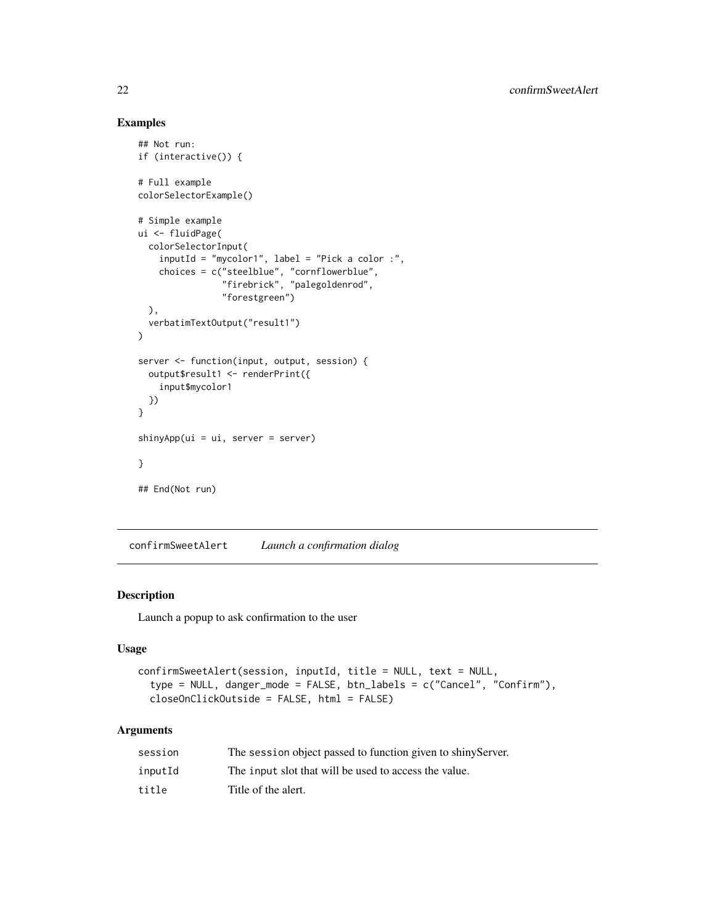# Examples

```
## Not run:
if (interactive()) {
# Full example
colorSelectorExample()
# Simple example
ui <- fluidPage(
  colorSelectorInput(
    inputId = "mycolor1", label = "Pick a color :",
    choices = c("steelblue", "cornflowerblue",
                 "firebrick", "palegoldenrod",
                "forestgreen")
  ),
  verbatimTextOutput("result1")
\lambdaserver <- function(input, output, session) {
  output$result1 <- renderPrint({
    input$mycolor1
  })
}
shinyApp(ui = ui, server = server)
}
## End(Not run)
```
<span id="page-21-1"></span>confirmSweetAlert *Launch a confirmation dialog*

# Description

Launch a popup to ask confirmation to the user

# Usage

```
confirmSweetAlert(session, inputId, title = NULL, text = NULL,
  type = NULL, danger_mode = FALSE, btn_labels = c("Cancel", "Confirm"),
  closeOnClickOutside = FALSE, html = FALSE)
```

| session | The session object passed to function given to shiny Server. |
|---------|--------------------------------------------------------------|
| inputId | The input slot that will be used to access the value.        |
| title   | Title of the alert.                                          |

<span id="page-21-0"></span>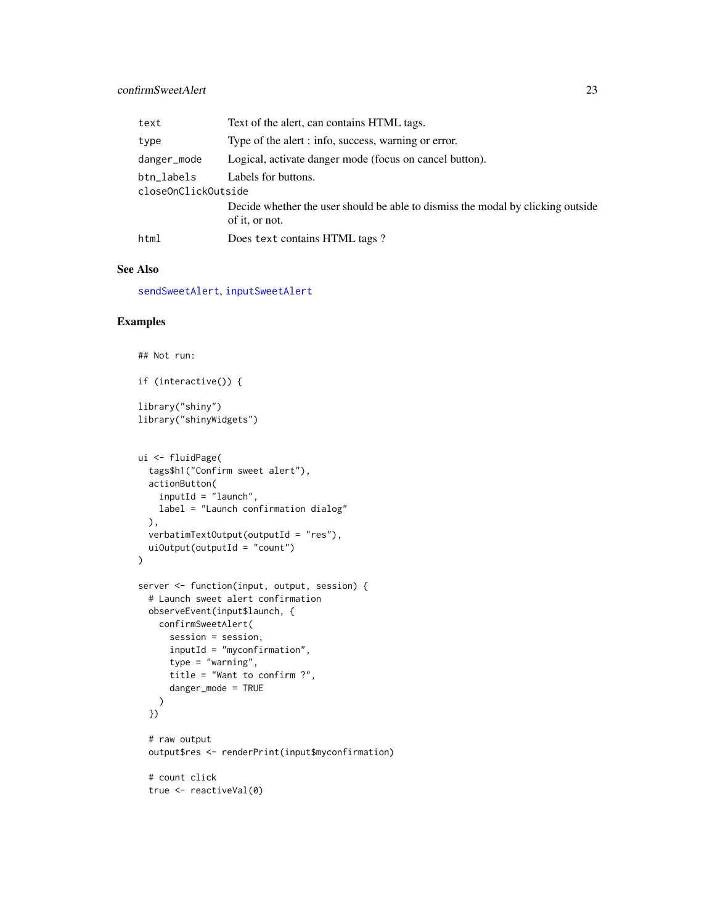## confirmSweetAlert 23

| text                              | Text of the alert, can contains HTML tags.                                                        |
|-----------------------------------|---------------------------------------------------------------------------------------------------|
| type                              | Type of the alert : info, success, warning or error.                                              |
| danger_mode                       | Logical, activate danger mode (focus on cancel button).                                           |
| btn_labels<br>closeOnClickOutside | Labels for buttons.                                                                               |
|                                   | Decide whether the user should be able to dismiss the modal by clicking outside<br>of it, or not. |
| html                              | Does text contains HTML tags?                                                                     |

# See Also

[sendSweetAlert](#page-68-1), [inputSweetAlert](#page-31-1)

```
## Not run:
if (interactive()) {
library("shiny")
library("shinyWidgets")
ui <- fluidPage(
 tags$h1("Confirm sweet alert"),
  actionButton(
   inputId = "launch",
   label = "Launch confirmation dialog"
  ),
  verbatimTextOutput(outputId = "res"),
  uiOutput(outputId = "count")\mathcal{L}server <- function(input, output, session) {
  # Launch sweet alert confirmation
  observeEvent(input$launch, {
   confirmSweetAlert(
     session = session,
     inputId = "myconfirmation",
      type = "warning",
      title = "Want to confirm ?",
      danger_mode = TRUE
   \lambda})
  # raw output
  output$res <- renderPrint(input$myconfirmation)
  # count click
  true <- reactiveVal(0)
```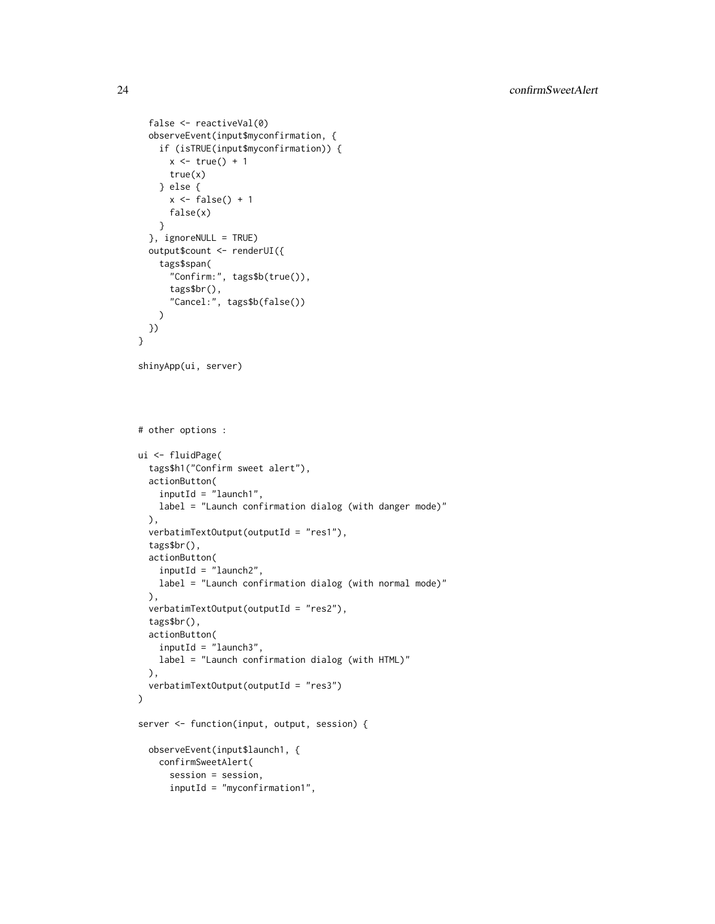```
false <- reactiveVal(0)
 observeEvent(input$myconfirmation, {
   if (isTRUE(input$myconfirmation)) {
     x \leftarrow true() + 1true(x)
   } else {
      x \leftarrow false() + 1false(x)
   }
 }, ignoreNULL = TRUE)
 output$count <- renderUI({
   tags$span(
      "Confirm:", tags$b(true()),
      tags$br(),
      "Cancel:", tags$b(false())
   )
 })
}
shinyApp(ui, server)
# other options :
ui <- fluidPage(
 tags$h1("Confirm sweet alert"),
 actionButton(
   inputId = "launch1",
   label = "Launch confirmation dialog (with danger mode)"
 ),
 verbatimTextOutput(outputId = "res1"),
 tags$br(),
 actionButton(
   inputId = "launch2",label = "Launch confirmation dialog (with normal mode)"
 ),
 verbatimTextOutput(outputId = "res2"),
 tags$br(),
 actionButton(
   inputId = "launch3",
   label = "Launch confirmation dialog (with HTML)"
 ),
 verbatimTextOutput(outputId = "res3")
\lambdaserver <- function(input, output, session) {
 observeEvent(input$launch1, {
   confirmSweetAlert(
      session = session,
      inputId = "myconfirmation1",
```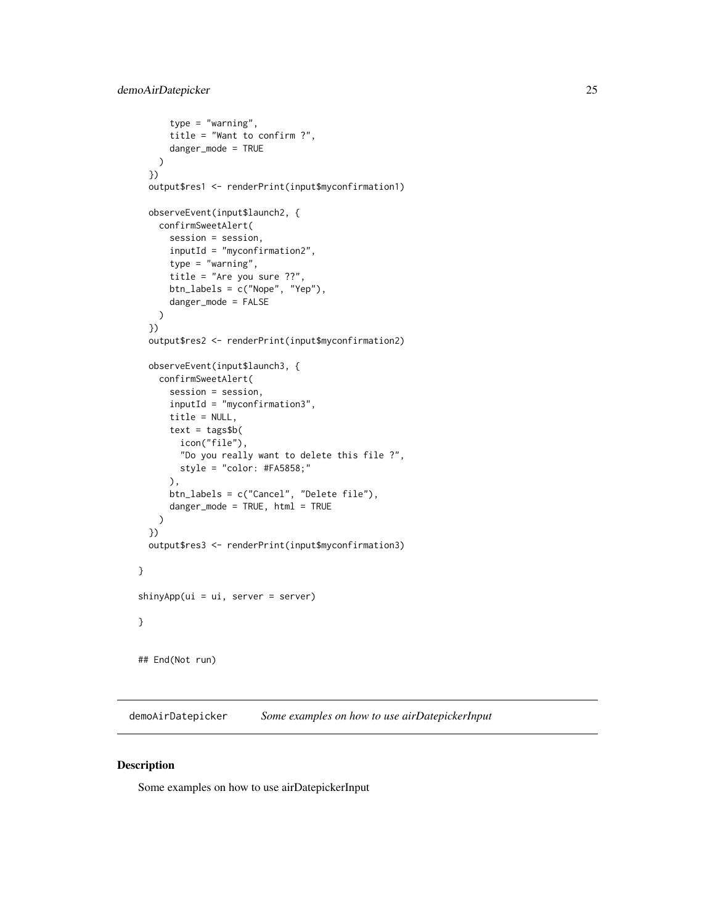```
type = "warning",
     title = "Want to confirm ?",
     danger_mode = TRUE
   )
 })
 output$res1 <- renderPrint(input$myconfirmation1)
 observeEvent(input$launch2, {
   confirmSweetAlert(
     session = session,
     inputId = "myconfirmation2",
     type = "warning",
     title = "Are you sure ??",
     btn_labels = c("Nope", "Yep"),
     danger_mode = FALSE
   )
 })
 output$res2 <- renderPrint(input$myconfirmation2)
 observeEvent(input$launch3, {
   confirmSweetAlert(
     session = session,
     inputId = "myconfirmation3",
     title = NULL,
     text = tags$b(icon("file"),
       "Do you really want to delete this file ?",
       style = "color: #FA5858;"
     ),
     btn_labels = c("Cancel", "Delete file"),
     danger_mode = TRUE, html = TRUE
   )
 })
 output$res3 <- renderPrint(input$myconfirmation3)
}
shinyApp(ui = ui, server = server)
}
## End(Not run)
```
<span id="page-24-1"></span>demoAirDatepicker *Some examples on how to use airDatepickerInput*

# Description

Some examples on how to use airDatepickerInput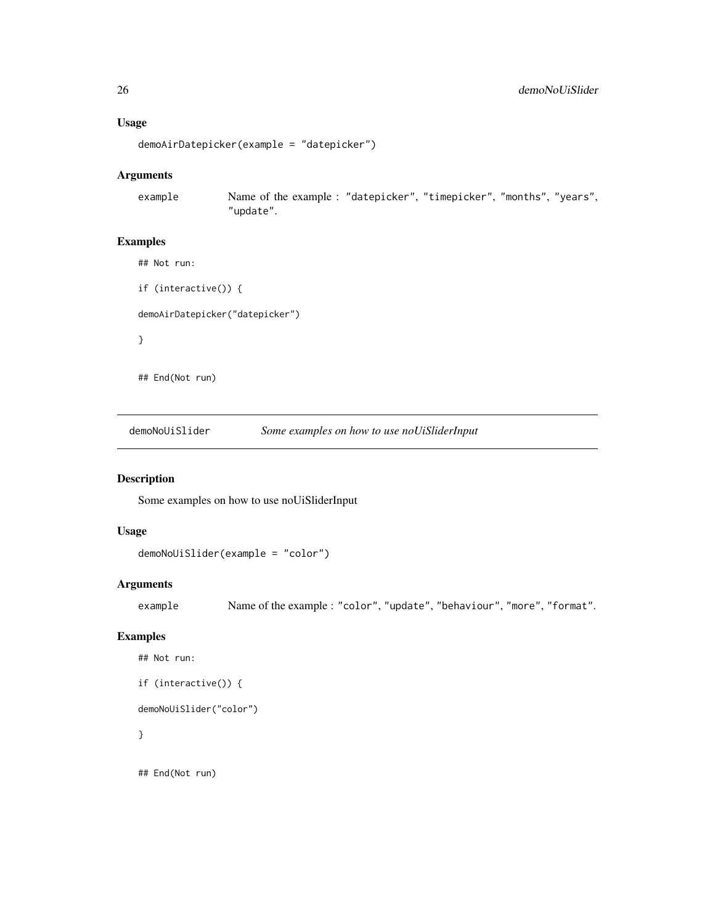#### <span id="page-25-0"></span>Usage

```
demoAirDatepicker(example = "datepicker")
```
# Arguments

example Name of the example : "datepicker", "timepicker", "months", "years", "update".

#### Examples

## Not run:

```
if (interactive()) {
demoAirDatepicker("datepicker")
}
```
## End(Not run)

demoNoUiSlider *Some examples on how to use noUiSliderInput*

## Description

Some examples on how to use noUiSliderInput

# Usage

```
demoNoUiSlider(example = "color")
```
# Arguments

example Name of the example : "color", "update", "behaviour", "more", "format".

## Examples

```
## Not run:
if (interactive()) {
demoNoUiSlider("color")
}
```
## End(Not run)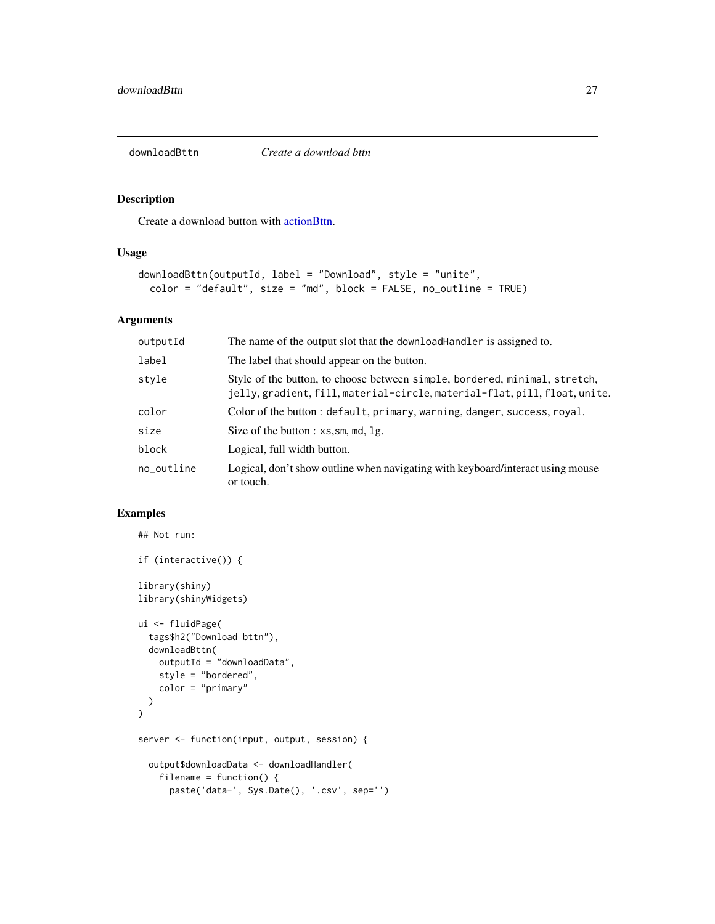<span id="page-26-1"></span><span id="page-26-0"></span>

#### Description

Create a download button with [actionBttn.](#page-3-1)

#### Usage

```
downloadBttn(outputId, label = "Download", style = "unite",
 color = "default", size = "md", block = FALSE, no_outline = TRUE)
```
#### Arguments

| outputId   | The name of the output slot that the download Handler is assigned to.                                                                                    |
|------------|----------------------------------------------------------------------------------------------------------------------------------------------------------|
| label      | The label that should appear on the button.                                                                                                              |
| style      | Style of the button, to choose between simple, bordered, minimal, stretch,<br>jelly, gradient, fill, material-circle, material-flat, pill, float, unite. |
| color      | Color of the button: default, primary, warning, danger, success, royal.                                                                                  |
| size       | Size of the button : $xs, sm, md, lg$ .                                                                                                                  |
| block      | Logical, full width button.                                                                                                                              |
| no_outline | Logical, don't show outline when navigating with keyboard/interact using mouse<br>or touch.                                                              |

# Examples

## Not run:

```
if (interactive()) {
library(shiny)
library(shinyWidgets)
ui <- fluidPage(
  tags$h2("Download bttn"),
  downloadBttn(
   outputId = "downloadData",
   style = "bordered",
   color = "primary"
 )
\overline{)}server <- function(input, output, session) {
  output$downloadData <- downloadHandler(
   filename = function() {
      paste('data-', Sys.Date(), '.csv', sep='')
```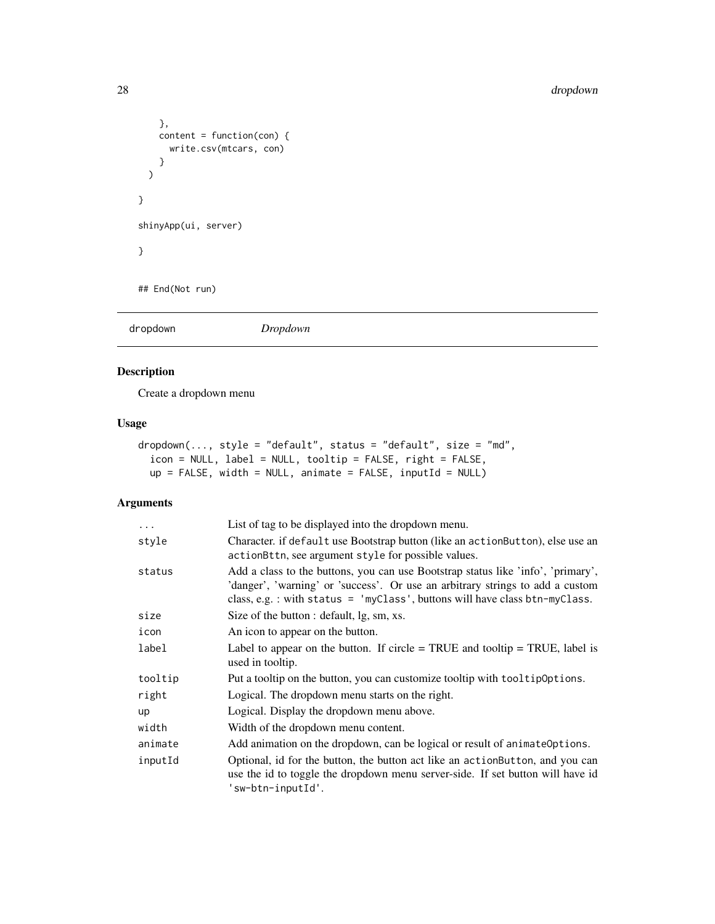```
},
    content = function(con) {
      write.csv(mtcars, con)
    }
  \overline{)}}
shinyApp(ui, server)
}
## End(Not run)
```
<span id="page-27-1"></span>dropdown *Dropdown*

# Description

Create a dropdown menu

# Usage

```
dropdown(..., style = "default", status = "default", size = "md",
 icon = NULL, label = NULL, tooltip = FALSE, right = FALSE,
 up = FALSE, width = NULL, animate = FALSE, inputId = NULL)
```

| $\ddots$ | List of tag to be displayed into the dropdown menu.                                                                                                                                                                                              |
|----------|--------------------------------------------------------------------------------------------------------------------------------------------------------------------------------------------------------------------------------------------------|
| style    | Character. if default use Bootstrap button (like an actionButton), else use an<br>actionBttn, see argument style for possible values.                                                                                                            |
| status   | Add a class to the buttons, you can use Bootstrap status like 'info', 'primary',<br>'danger', 'warning' or 'success'. Or use an arbitrary strings to add a custom<br>class, e.g. : with status = 'myClass', buttons will have class btn-myClass. |
| size     | Size of the button : default, lg, sm, xs.                                                                                                                                                                                                        |
| icon     | An icon to appear on the button.                                                                                                                                                                                                                 |
| label    | Label to appear on the button. If circle $=$ TRUE and tooltip $=$ TRUE, label is<br>used in tooltip.                                                                                                                                             |
| tooltip  | Put a tooltip on the button, you can customize tooltip with tooltipOptions.                                                                                                                                                                      |
| right    | Logical. The dropdown menu starts on the right.                                                                                                                                                                                                  |
| up       | Logical. Display the dropdown menu above.                                                                                                                                                                                                        |
| width    | Width of the dropdown menu content.                                                                                                                                                                                                              |
| animate  | Add animation on the dropdown, can be logical or result of animate Options.                                                                                                                                                                      |
| inputId  | Optional, id for the button, the button act like an action Button, and you can<br>use the id to toggle the dropdown menu server-side. If set button will have id<br>'sw-btn-inputId'.                                                            |

<span id="page-27-0"></span>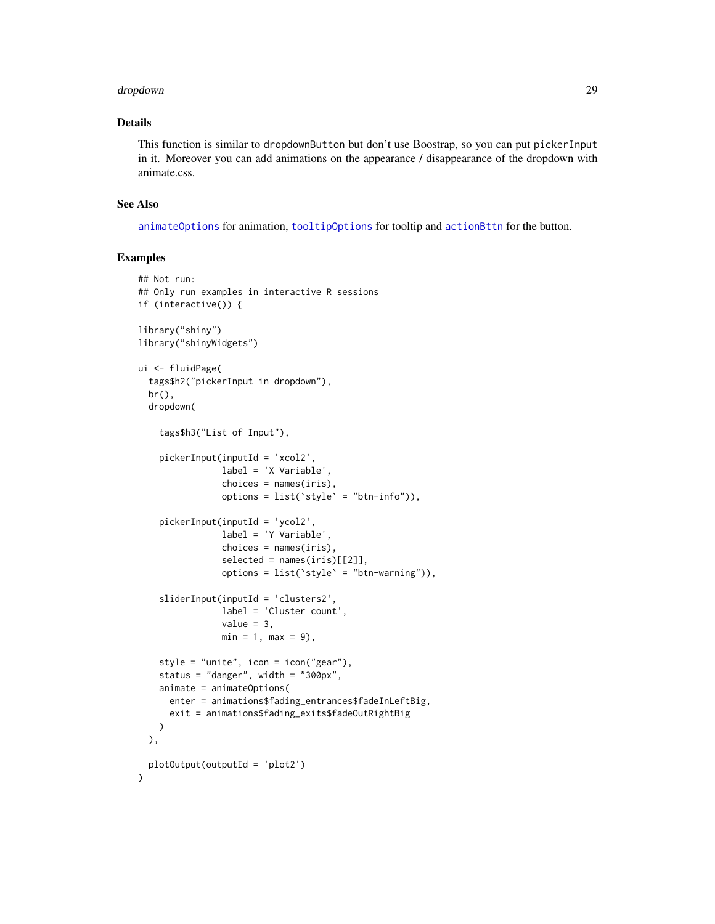#### dropdown 29 and 2012 and 2012 and 2012 and 2012 and 2012 and 2012 and 2012 and 2012 and 2012 and 201

#### Details

This function is similar to dropdownButton but don't use Boostrap, so you can put pickerInput in it. Moreover you can add animations on the appearance / disappearance of the dropdown with animate.css.

#### See Also

[animateOptions](#page-10-1) for animation, [tooltipOptions](#page-83-1) for tooltip and [actionBttn](#page-3-1) for the button.

```
## Not run:
## Only run examples in interactive R sessions
if (interactive()) {
library("shiny")
library("shinyWidgets")
ui <- fluidPage(
  tags$h2("pickerInput in dropdown"),
  br(),
  dropdown(
    tags$h3("List of Input"),
    pickerInput(inputId = 'xcol2',
                label = 'X Variable',
                choices = names(iris),
                options = list(`style` = "btn-info")),
    pickerInput(inputId = 'ycol2',
                label = 'Y Variable',
                choices = names(iris),
                selected = names(iris)[[2]],
                options = list(`style` = "btn-warning")),
    sliderInput(inputId = 'clusters2',
                label = 'Cluster count',
                value = 3,
                min = 1, max = 9,
    style = "unite", icon = icon("gear"),
    status = "danger", width = "300px",
   animate = animateOptions(
      enter = animations$fading_entrances$fadeInLeftBig,
      exit = animations$fading_exits$fadeOutRightBig
   )
  ),
  plotOutput(outputId = 'plot2')
\lambda
```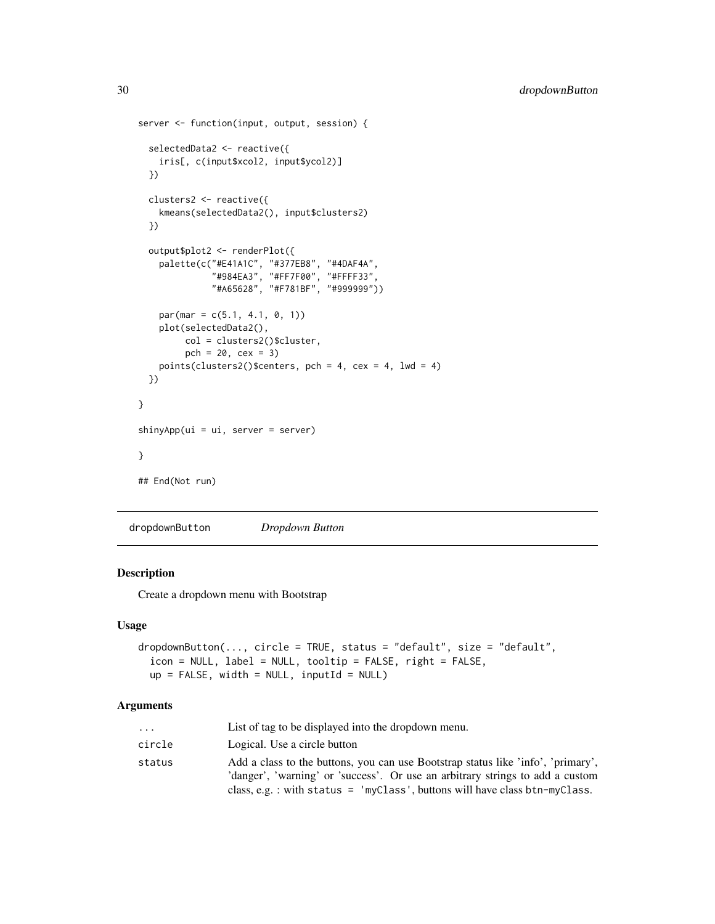```
server <- function(input, output, session) {
 selectedData2 <- reactive({
   iris[, c(input$xcol2, input$ycol2)]
 })
 clusters2 <- reactive({
   kmeans(selectedData2(), input$clusters2)
 })
 output$plot2 <- renderPlot({
    palette(c("#E41A1C", "#377EB8", "#4DAF4A",
              "#984EA3", "#FF7F00", "#FFFF33",
              "#A65628", "#F781BF", "#999999"))
   par(max = c(5.1, 4.1, 0, 1))plot(selectedData2(),
        col = clusters2()$cluster,
        pch = 20, cex = 3)points(clusters2()$centers, pch = 4, cex = 4, lwd = 4)
 })
}
shinyApp(ui = ui, server = server)
}
## End(Not run)
```
dropdownButton *Dropdown Button*

#### Description

Create a dropdown menu with Bootstrap

#### Usage

```
dropdownButton(..., circle = TRUE, status = "default", size = "default",
  icon = NULL, label = NULL, tooltip = FALSE, right = FALSE,
  up = FALSE, width = NULL, inputId = NULL)
```

| .      | List of tag to be displayed into the dropdown menu.                                                                                                               |
|--------|-------------------------------------------------------------------------------------------------------------------------------------------------------------------|
| circle | Logical. Use a circle button                                                                                                                                      |
| status | Add a class to the buttons, you can use Bootstrap status like 'info', 'primary',<br>'danger', 'warning' or 'success'. Or use an arbitrary strings to add a custom |
|        | class, e.g. : with status = 'myClass', buttons will have class btn-myClass.                                                                                       |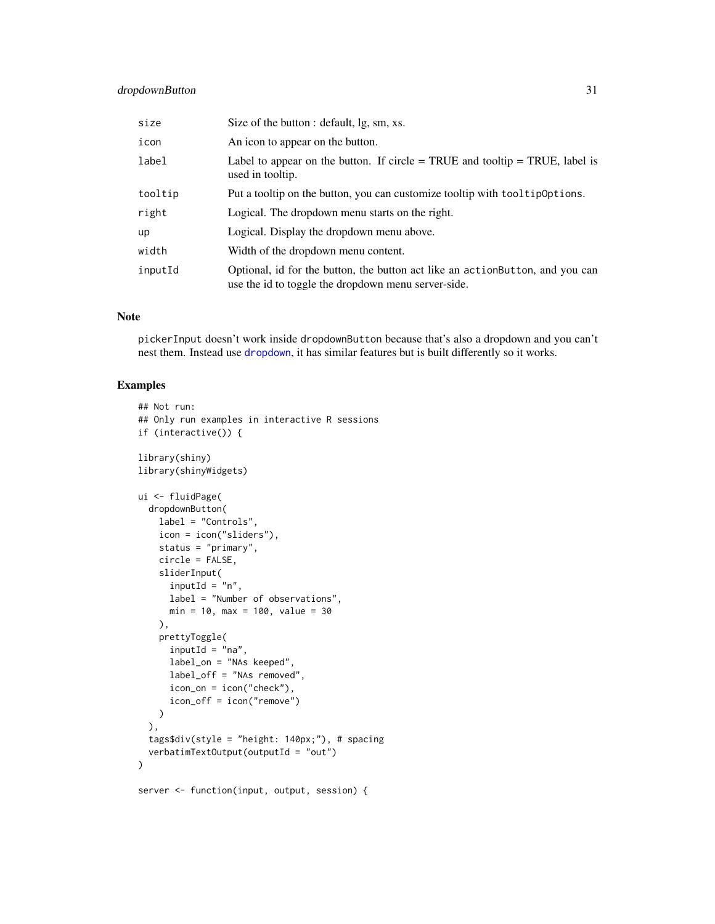# dropdownButton 31

| size    | Size of the button : default, lg, sm, xs.                                                                                             |
|---------|---------------------------------------------------------------------------------------------------------------------------------------|
| icon    | An icon to appear on the button.                                                                                                      |
| label   | Label to appear on the button. If circle $=$ TRUE and tooltip $=$ TRUE, label is<br>used in tooltip.                                  |
| tooltip | Put a tooltip on the button, you can customize tooltip with tooltip Options.                                                          |
| right   | Logical. The dropdown menu starts on the right.                                                                                       |
| up      | Logical. Display the dropdown menu above.                                                                                             |
| width   | Width of the dropdown menu content.                                                                                                   |
| inputId | Optional, id for the button, the button act like an action Button, and you can<br>use the id to toggle the dropdown menu server-side. |

#### Note

pickerInput doesn't work inside dropdownButton because that's also a dropdown and you can't nest them. Instead use [dropdown](#page-27-1), it has similar features but is built differently so it works.

```
## Not run:
## Only run examples in interactive R sessions
if (interactive()) {
library(shiny)
library(shinyWidgets)
ui <- fluidPage(
  dropdownButton(
   label = "Controls",
   icon = icon("sliders"),
   status = "primary",
   circle = FALSE,
    sliderInput(
     inputId = "n",label = "Number of observations",
     min = 10, max = 100, value = 30
   ),
   prettyToggle(
     inputId = "na",label_on = "NAs keeped",
     label_off = "NAs removed",
     icon_on = icon("check"),
      icon_off = icon("remove")
   )
  ),
  tags$div(style = "height: 140px;"), # spacing
  verbatimTextOutput(outputId = "out")
)
```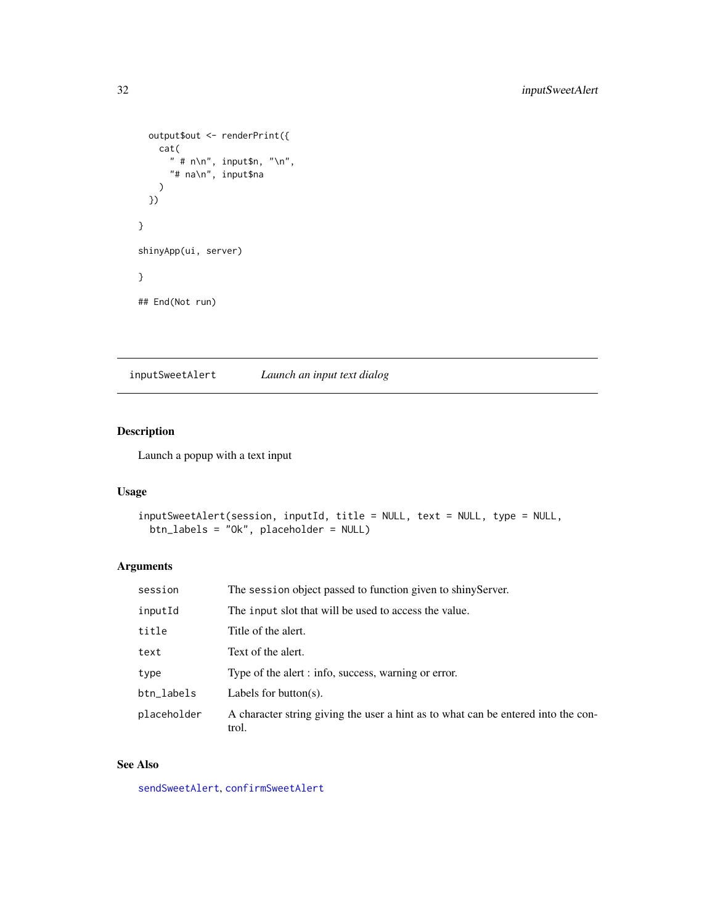```
output$out <- renderPrint({
    cat(
      " # n\n", input$n, "\n",
      "# na\n", input$na
    \mathcal{L}})
}
shinyApp(ui, server)
}
## End(Not run)
```
<span id="page-31-1"></span>inputSweetAlert *Launch an input text dialog*

# Description

Launch a popup with a text input

#### Usage

```
inputSweetAlert(session, inputId, title = NULL, text = NULL, type = NULL,
 btn_labels = "Ok", placeholder = NULL)
```
# Arguments

| session     | The session object passed to function given to shiny Server.                               |
|-------------|--------------------------------------------------------------------------------------------|
| inputId     | The input slot that will be used to access the value.                                      |
| title       | Title of the alert.                                                                        |
| text        | Text of the alert.                                                                         |
| type        | Type of the alert : info, success, warning or error.                                       |
| btn_labels  | Labels for button $(s)$ .                                                                  |
| placeholder | A character string giving the user a hint as to what can be entered into the con-<br>trol. |

# See Also

[sendSweetAlert](#page-68-1), [confirmSweetAlert](#page-21-1)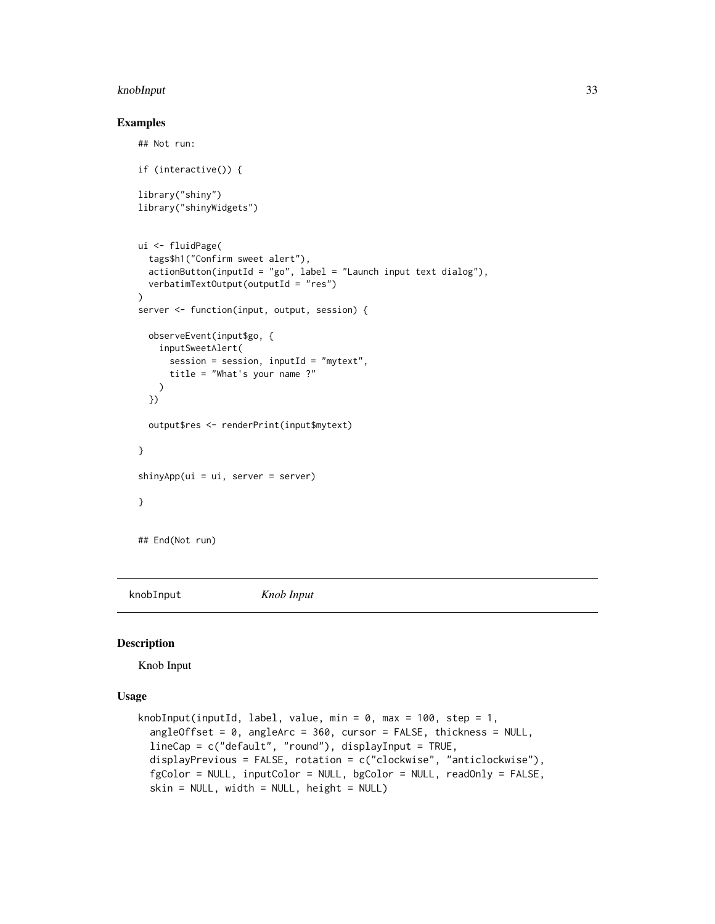#### <span id="page-32-0"></span>knobInput 33

#### Examples

```
## Not run:
if (interactive()) {
library("shiny")
library("shinyWidgets")
ui <- fluidPage(
  tags$h1("Confirm sweet alert"),
  actionButton(inputId = "go", label = "Launch input text dialog"),
  verbatimTextOutput(outputId = "res")
\lambdaserver <- function(input, output, session) {
  observeEvent(input$go, {
   inputSweetAlert(
      session = session, inputId = "mytext",
      title = "What's your name ?"
   )
  })
  output$res <- renderPrint(input$mytext)
}
shinyApp(ui = ui, server = server)
}
## End(Not run)
```
knobInput *Knob Input*

#### Description

Knob Input

#### Usage

```
knobInput(inputId, label, value, min = 0, max = 100, step = 1,
  angleOffset = 0, angleArc = 360, cursor = FALSE, thickness = NULL,
  lineCap = c("default", "round"), displayInput = TRUE,
  displayPrevious = FALSE, rotation = c("clockwise", "anticlockwise"),
  fgColor = NULL, inputColor = NULL, bgColor = NULL, readOnly = FALSE,
 skin = NULL, width = NULL, height = NULL)
```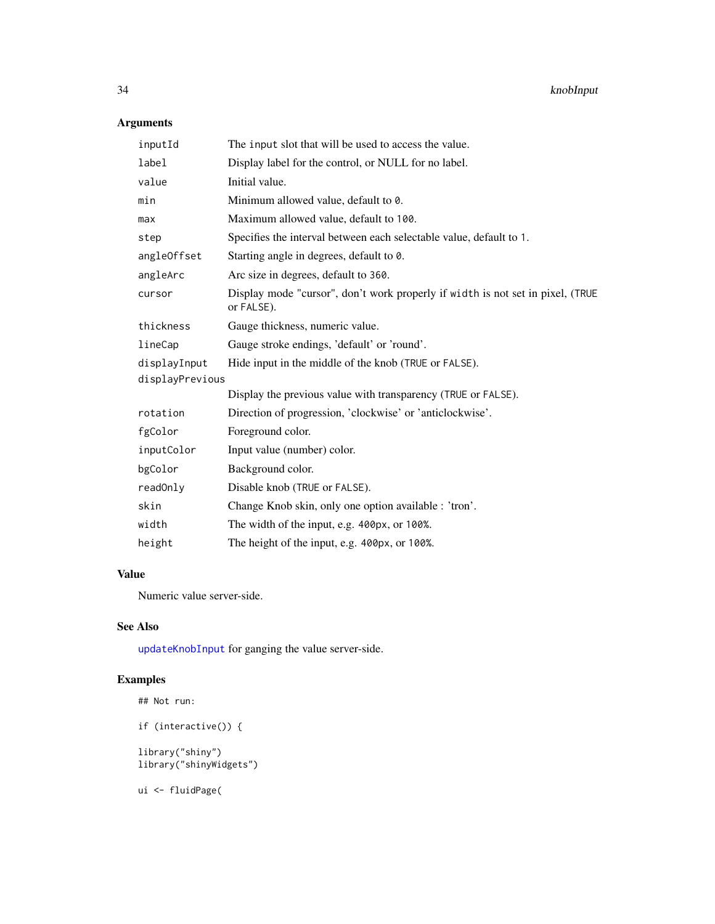# Arguments

| inputId         | The input slot that will be used to access the value.                                        |
|-----------------|----------------------------------------------------------------------------------------------|
| label           | Display label for the control, or NULL for no label.                                         |
| value           | Initial value.                                                                               |
| min             | Minimum allowed value, default to 0.                                                         |
| max             | Maximum allowed value, default to 100.                                                       |
| step            | Specifies the interval between each selectable value, default to 1.                          |
| angleOffset     | Starting angle in degrees, default to 0.                                                     |
| angleArc        | Arc size in degrees, default to 360.                                                         |
| cursor          | Display mode "cursor", don't work properly if width is not set in pixel, (TRUE<br>or FALSE). |
| thickness       | Gauge thickness, numeric value.                                                              |
| lineCap         | Gauge stroke endings, 'default' or 'round'.                                                  |
| displayInput    | Hide input in the middle of the knob (TRUE or FALSE).                                        |
| displayPrevious |                                                                                              |
|                 | Display the previous value with transparency (TRUE or FALSE).                                |
| rotation        | Direction of progression, 'clockwise' or 'anticlockwise'.                                    |
| fgColor         | Foreground color.                                                                            |
| inputColor      | Input value (number) color.                                                                  |
| bgColor         | Background color.                                                                            |
| readOnly        | Disable knob (TRUE or FALSE).                                                                |
| skin            | Change Knob skin, only one option available : 'tron'.                                        |
| width           | The width of the input, e.g. 400px, or 100%.                                                 |
| height          | The height of the input, e.g. 400px, or 100%.                                                |

# Value

Numeric value server-side.

# See Also

[updateKnobInput](#page-92-1) for ganging the value server-side.

# Examples

```
## Not run:
```

```
if (interactive()) {
library("shiny")
```

```
library("shinyWidgets")
```
ui <- fluidPage(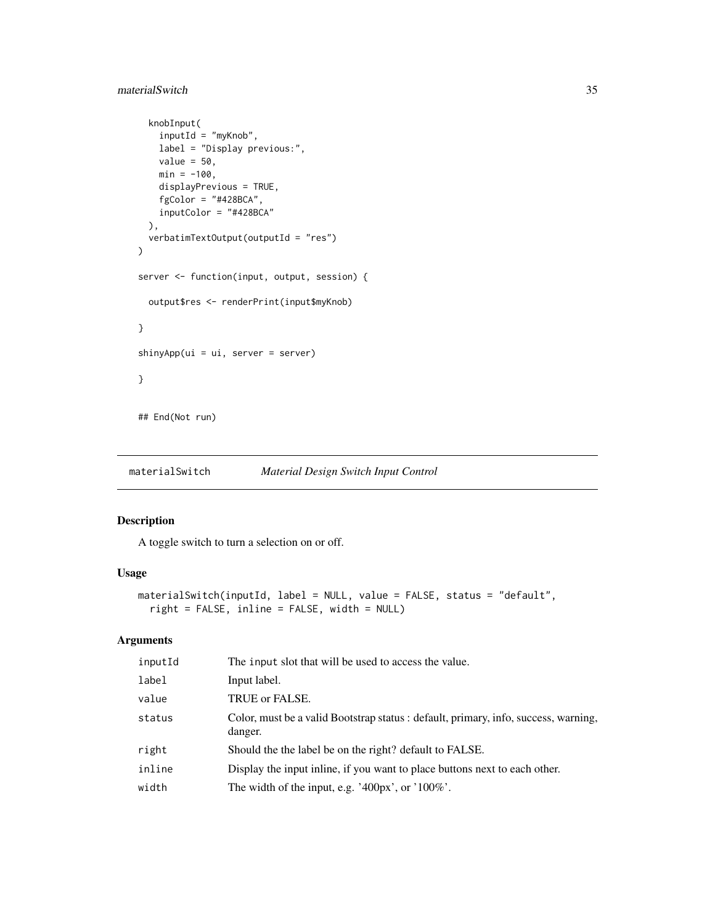# <span id="page-34-0"></span>materialSwitch 35

```
knobInput(
    inputId = "myKnob",
    label = "Display previous:",
    value = 50,
    min = -100,displayPrevious = TRUE,
    fgColor = "#428BCA",
    inputColor = "#428BCA"
  ),
  verbatimTextOutput(outputId = "res")
\mathcal{L}server <- function(input, output, session) {
  output$res <- renderPrint(input$myKnob)
}
shinyApp(ui = ui, server = server)
}
## End(Not run)
```
materialSwitch *Material Design Switch Input Control*

# Description

A toggle switch to turn a selection on or off.

#### Usage

```
materialSwitch(inputId, label = NULL, value = FALSE, status = "default",
  right = FALSE, inline = FALSE, width = NULL)
```

| inputId | The input slot that will be used to access the value.                                          |
|---------|------------------------------------------------------------------------------------------------|
| label   | Input label.                                                                                   |
| value   | TRUE or FALSE.                                                                                 |
| status  | Color, must be a valid Bootstrap status : default, primary, info, success, warning,<br>danger. |
| right   | Should the the label be on the right? default to FALSE.                                        |
| inline  | Display the input in line, if you want to place buttons next to each other.                    |
| width   | The width of the input, e.g. '400px', or ' $100\%$ '.                                          |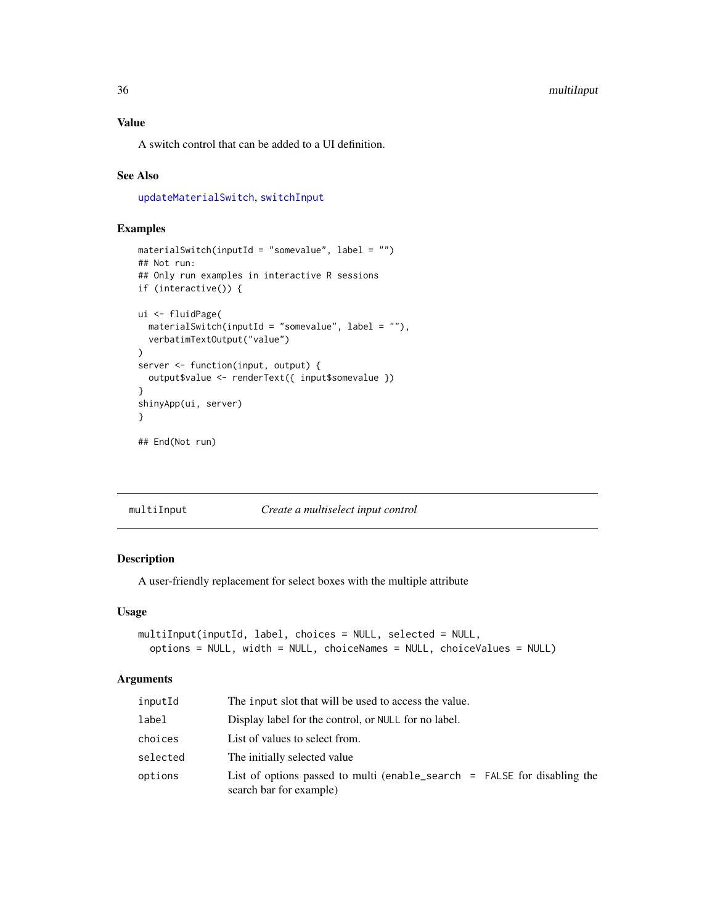# <span id="page-35-0"></span>36 multiInput

# Value

A switch control that can be added to a UI definition.

#### See Also

[updateMaterialSwitch](#page-94-1), [switchInput](#page-80-1)

# Examples

```
materialSwitch(inputId = "somevalue", label = "")
## Not run:
## Only run examples in interactive R sessions
if (interactive()) {
ui <- fluidPage(
  materialSwitch(inputId = "somevalue", label = ""),
  verbatimTextOutput("value")
)
server <- function(input, output) {
  output$value <- renderText({ input$somevalue })
}
shinyApp(ui, server)
}
## End(Not run)
```

| multiInput | Create a multiselect input control |  |
|------------|------------------------------------|--|
|            |                                    |  |

# Description

A user-friendly replacement for select boxes with the multiple attribute

#### Usage

```
multiInput(inputId, label, choices = NULL, selected = NULL,
 options = NULL, width = NULL, choiceNames = NULL, choiceValues = NULL)
```

| inputId  | The input slot that will be used to access the value.                                                 |  |
|----------|-------------------------------------------------------------------------------------------------------|--|
| label    | Display label for the control, or NULL for no label.                                                  |  |
| choices  | List of values to select from.                                                                        |  |
| selected | The initially selected value                                                                          |  |
| options  | List of options passed to multi (enable_search $=$ FALSE for disabling the<br>search bar for example) |  |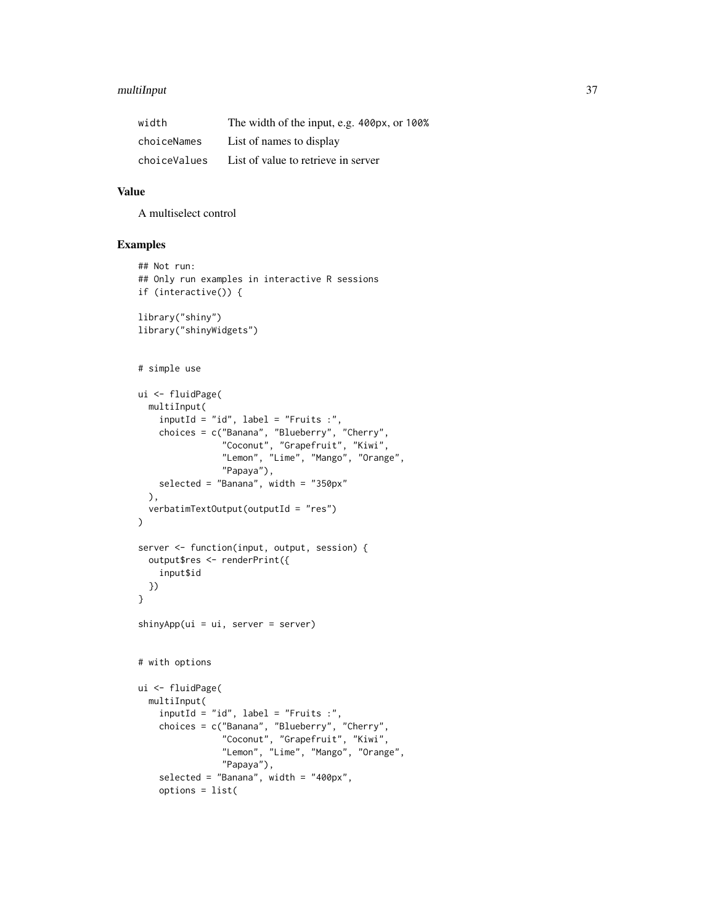#### multiInput 37

| width        | The width of the input, e.g. 400px, or 100% |
|--------------|---------------------------------------------|
| choiceNames  | List of names to display                    |
| choiceValues | List of value to retrieve in server         |

#### Value

A multiselect control

```
## Not run:
## Only run examples in interactive R sessions
if (interactive()) {
library("shiny")
library("shinyWidgets")
# simple use
ui <- fluidPage(
 multiInput(
    inputId = "id", label = "Fruits :",
    choices = c("Banana", "Blueberry", "Cherry",
                "Coconut", "Grapefruit", "Kiwi",
                "Lemon", "Lime", "Mango", "Orange",
                "Papaya"),
   selected = "Banana", width = "350px"
  ),
  verbatimTextOutput(outputId = "res")
\mathcal{L}server <- function(input, output, session) {
  output$res <- renderPrint({
    input$id
 })
}
shinyApp(ui = ui, server = server)
# with options
ui <- fluidPage(
  multiInput(
    inputId = "id", label = "Fruits :",
    choices = c("Banana", "Blueberry", "Cherry",
                "Coconut", "Grapefruit", "Kiwi",
                "Lemon", "Lime", "Mango", "Orange",
                "Papaya"),
    selected = "Banana", width = "400px",
    options = list(
```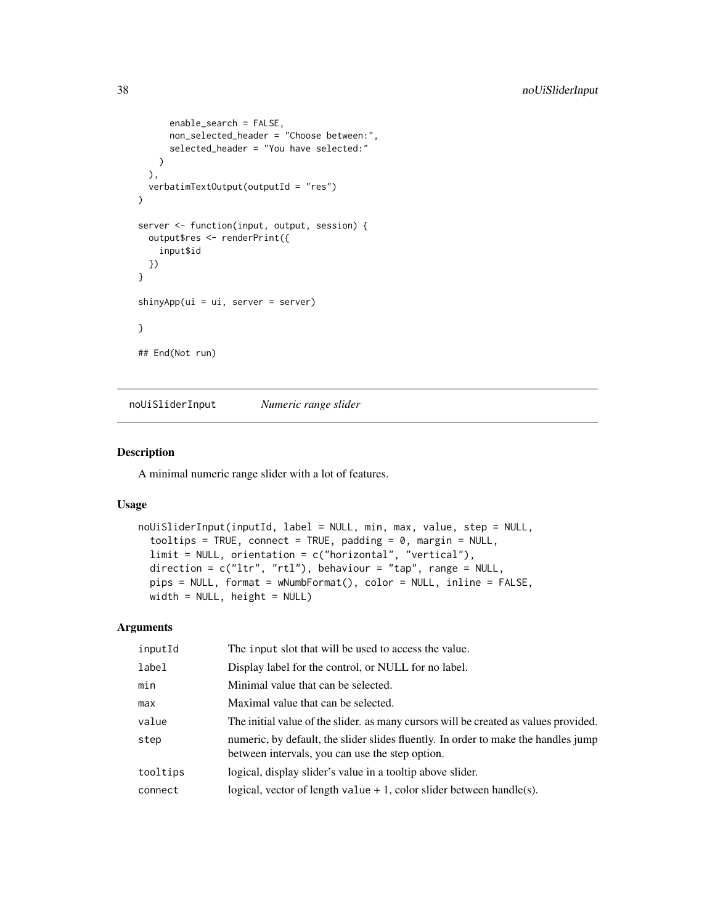```
enable_search = FALSE,
      non_selected_header = "Choose between:",
      selected_header = "You have selected:"
    )
  ),
  verbatimTextOutput(outputId = "res")
\mathcal{L}server <- function(input, output, session) {
  output$res <- renderPrint({
    input$id
 })
}
shinyApp(ui = ui, server = server)
}
## End(Not run)
```
noUiSliderInput *Numeric range slider*

#### Description

A minimal numeric range slider with a lot of features.

#### Usage

```
noUiSliderInput(inputId, label = NULL, min, max, value, step = NULL,
  tooltips = TRUE, connect = TRUE, padding = 0, margin = NULL,
  limit = NULL, orientation = c("horizontal", "vertical"),
 direction = c("ltr", "rtl"), behaviour = "tap", range = NULL,pips = NULL, format = wNumbFormat(), color = NULL, inline = FALSE,
 width = NULL, height = NULL)
```
#### Arguments

| inputId  | The input slot that will be used to access the value.                                                                                 |
|----------|---------------------------------------------------------------------------------------------------------------------------------------|
| label    | Display label for the control, or NULL for no label.                                                                                  |
| min      | Minimal value that can be selected.                                                                                                   |
| max      | Maximal value that can be selected.                                                                                                   |
| value    | The initial value of the slider, as many cursors will be created as values provided.                                                  |
| step     | numeric, by default, the slider slides fluently. In order to make the handles jump<br>between intervals, you can use the step option. |
| tooltips | logical, display slider's value in a tooltip above slider.                                                                            |
| connect  | logical, vector of length value $+1$ , color slider between handle(s).                                                                |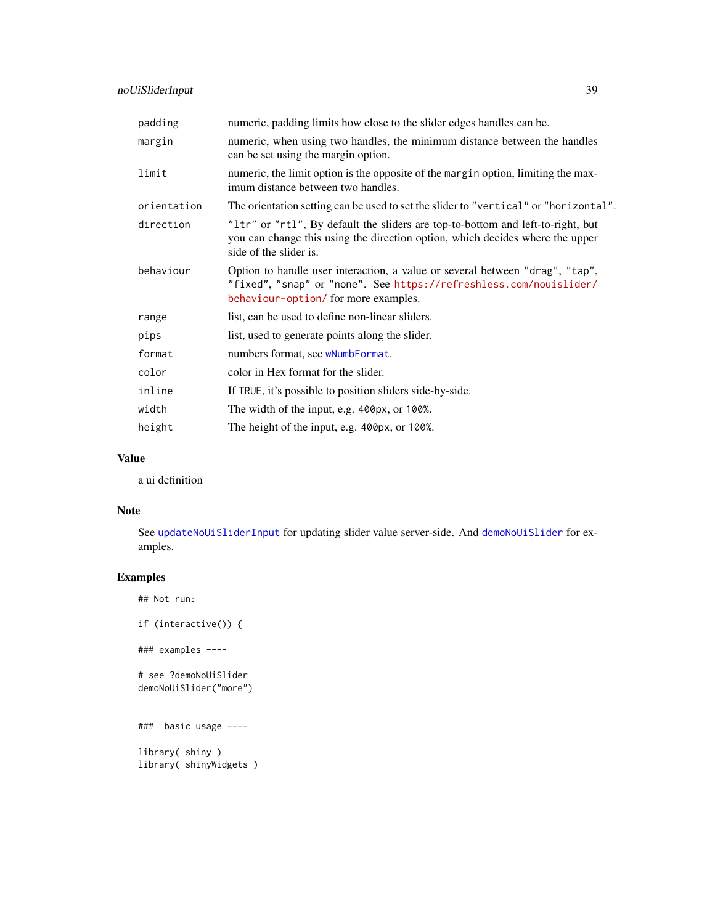| padding     | numeric, padding limits how close to the slider edges handles can be.                                                                                                                      |
|-------------|--------------------------------------------------------------------------------------------------------------------------------------------------------------------------------------------|
| margin      | numeric, when using two handles, the minimum distance between the handles<br>can be set using the margin option.                                                                           |
| limit       | numeric, the limit option is the opposite of the margin option, limiting the max-<br>imum distance between two handles.                                                                    |
| orientation | The orientation setting can be used to set the slider to "vertical" or "horizontal".                                                                                                       |
| direction   | "1tr" or "rt1", By default the sliders are top-to-bottom and left-to-right, but<br>you can change this using the direction option, which decides where the upper<br>side of the slider is. |
| behaviour   | Option to handle user interaction, a value or several between "drag", "tap",<br>"fixed", "snap" or "none". See https://refreshless.com/nouislider/<br>behaviour-option/for more examples.  |
| range       | list, can be used to define non-linear sliders.                                                                                                                                            |
| pips        | list, used to generate points along the slider.                                                                                                                                            |
| format      | numbers format, see wNumbFormat.                                                                                                                                                           |
| color       | color in Hex format for the slider.                                                                                                                                                        |
| inline      | If TRUE, it's possible to position sliders side-by-side.                                                                                                                                   |
| width       | The width of the input, e.g. 400px, or 100%.                                                                                                                                               |
| height      | The height of the input, e.g. 400px, or 100%.                                                                                                                                              |

#### Value

a ui definition

#### Note

See [updateNoUiSliderInput](#page-94-0) for updating slider value server-side. And [demoNoUiSlider](#page-25-0) for examples.

# Examples

```
## Not run:
```
if (interactive()) {

### examples ----

```
# see ?demoNoUiSlider
demoNoUiSlider("more")
```
### basic usage ----

library( shiny ) library( shinyWidgets )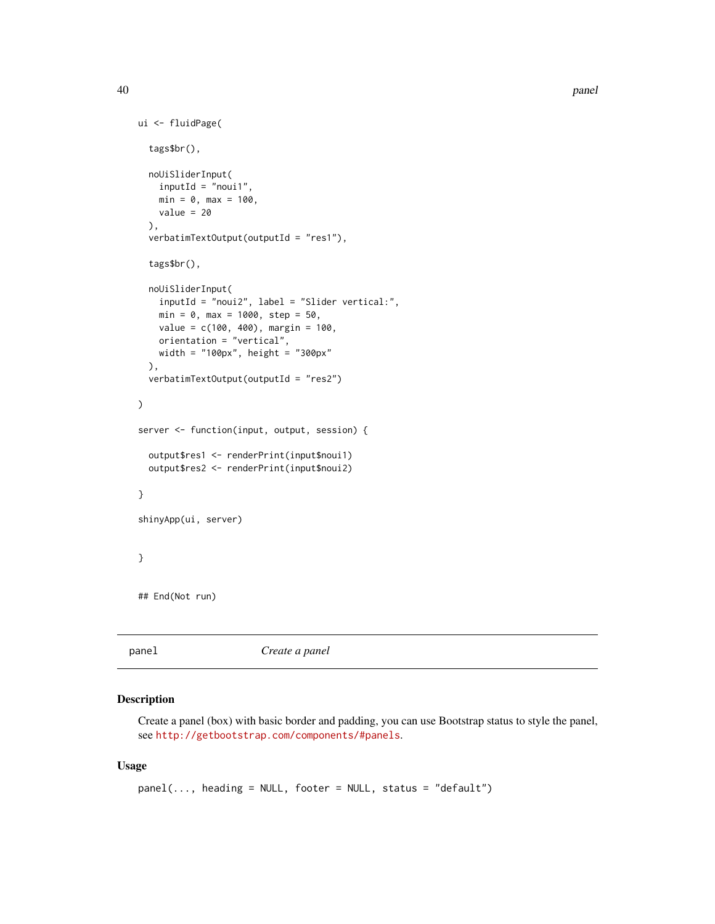```
40 panel
```

```
ui <- fluidPage(
 tags$br(),
 noUiSliderInput(
   inputId = "noui1",
   min = 0, max = 100,value = 20
 ),
 verbatimTextOutput(outputId = "res1"),
 tags$br(),
 noUiSliderInput(
    inputId = "noui2", label = "Slider vertical:",
   min = 0, max = 1000, step = 50,
   value = c(100, 400), margin = 100,
   orientation = "vertical",
   width = "100px", height = "300px"
 ),
 verbatimTextOutput(outputId = "res2")
)
server <- function(input, output, session) {
 output$res1 <- renderPrint(input$noui1)
 output$res2 <- renderPrint(input$noui2)
}
shinyApp(ui, server)
}
## End(Not run)
```

```
panel Create a panel
```
## Description

Create a panel (box) with basic border and padding, you can use Bootstrap status to style the panel, see <http://getbootstrap.com/components/#panels>.

#### Usage

```
panel(..., heading = NULL, footer = NULL, status = "default")
```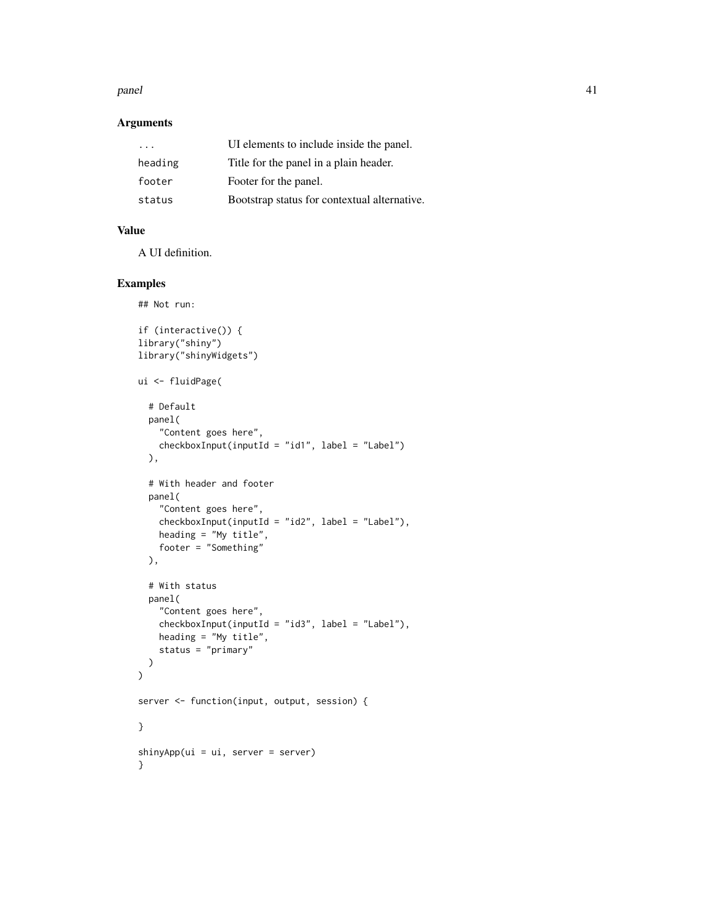#### panel 41 and 41 and 42 and 42 and 42 and 42 and 42 and 42 and 42 and 42 and 42 and 42 and 42 and 42 and 42 and 42 and 42 and 42 and 42 and 42 and 42 and 42 and 42 and 42 and 42 and 42 and 42 and 42 and 42 and 42 and 42 and

#### Arguments

| .       | UI elements to include inside the panel.     |
|---------|----------------------------------------------|
| heading | Title for the panel in a plain header.       |
| footer  | Footer for the panel.                        |
| status  | Bootstrap status for contextual alternative. |

#### Value

A UI definition.

```
## Not run:
if (interactive()) {
library("shiny")
library("shinyWidgets")
ui <- fluidPage(
  # Default
  panel(
    "Content goes here",
    checkboxInput(inputId = "id1", label = "Label")
  ),
  # With header and footer
  panel(
    "Content goes here",
    checkboxInput(inputId = "id2", label = "Label"),
    heading = "My title",
    footer = "Something"
  ),
  # With status
  panel(
    "Content goes here",
    checkboxInput(inputId = "id3", label = "Label"),
    heading = "My title",
    status = "primary"
 )
\mathcal{L}server <- function(input, output, session) {
}
shinyApp(ui = ui, server = server)
}
```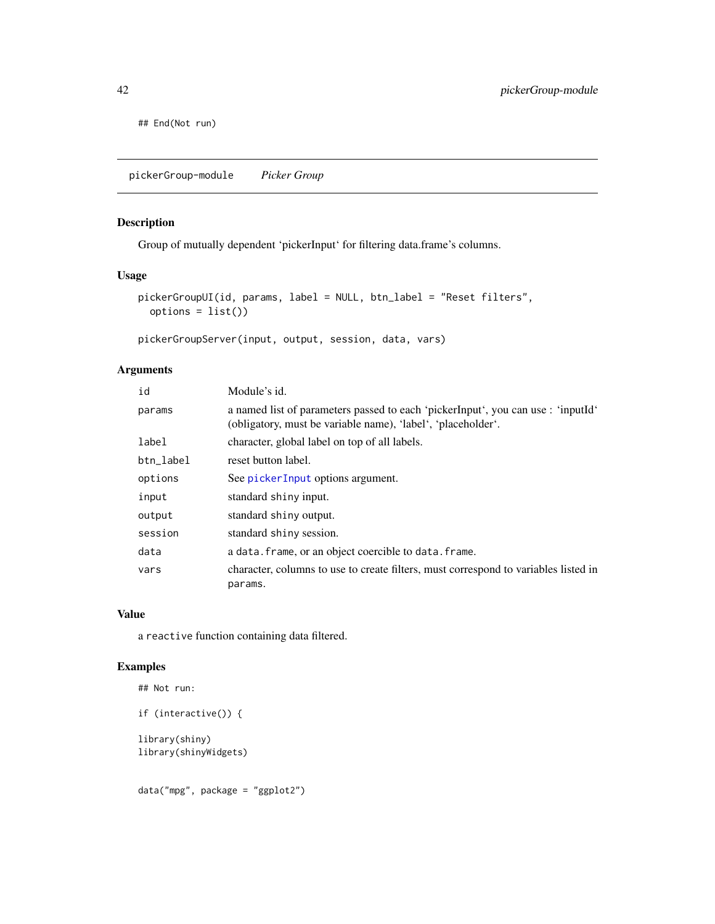## End(Not run)

pickerGroup-module *Picker Group*

## Description

Group of mutually dependent 'pickerInput' for filtering data.frame's columns.

## Usage

```
pickerGroupUI(id, params, label = NULL, btn_label = "Reset filters",
 options = list()
```

```
pickerGroupServer(input, output, session, data, vars)
```
## Arguments

| id        | Module's id.                                                                                                                                     |
|-----------|--------------------------------------------------------------------------------------------------------------------------------------------------|
| params    | a named list of parameters passed to each 'pickerInput', you can use : 'inputId'<br>(obligatory, must be variable name), 'label', 'placeholder'. |
| label     | character, global label on top of all labels.                                                                                                    |
| btn_label | reset button label.                                                                                                                              |
| options   | See picker Input options argument.                                                                                                               |
| input     | standard shiny input.                                                                                                                            |
| output    | standard shiny output.                                                                                                                           |
| session   | standard shiny session.                                                                                                                          |
| data      | a data. frame, or an object coercible to data. frame.                                                                                            |
| vars      | character, columns to use to create filters, must correspond to variables listed in<br>params.                                                   |

#### Value

a reactive function containing data filtered.

# Examples

```
## Not run:
if (interactive()) {
library(shiny)
library(shinyWidgets)
```
data("mpg", package = "ggplot2")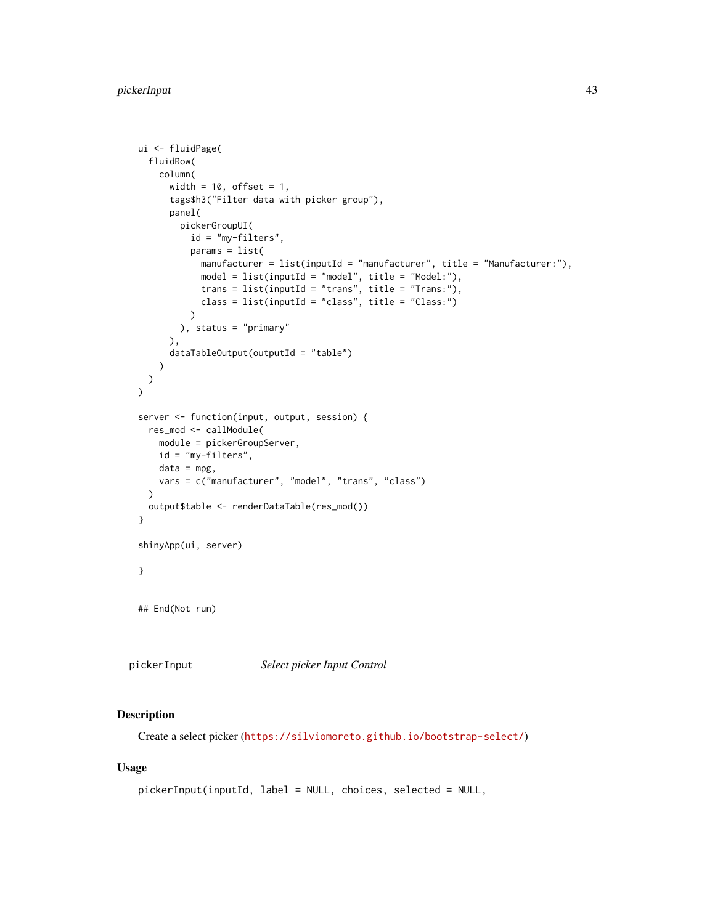```
ui <- fluidPage(
  fluidRow(
    column(
      width = 10, offset = 1,
      tags$h3("Filter data with picker group"),
      panel(
        pickerGroupUI(
          id = "my-filters",
          params = list(
            manufacturer = list(inputId = "manufacturer", title = "Manufacturer:"),
            model = list(inputId = "model", title = "Model:"),
            trans = list(inputId = "trans", title = "Trans:"),
            class = list(inputId = "class", title = "Class:")
          )
        ), status = "primary"
      ),
      dataTableOutput(outputId = "table")
    )
 )
\lambdaserver <- function(input, output, session) {
  res_mod <- callModule(
    module = pickerGroupServer,
    id = "my-filters",
    data = mpg,vars = c("manufacturer", "model", "trans", "class")
  )
  output$table <- renderDataTable(res_mod())
}
shinyApp(ui, server)
}
## End(Not run)
```
<span id="page-42-0"></span>pickerInput *Select picker Input Control*

#### Description

Create a select picker (<https://silviomoreto.github.io/bootstrap-select/>)

#### Usage

```
pickerInput(inputId, label = NULL, choices, selected = NULL,
```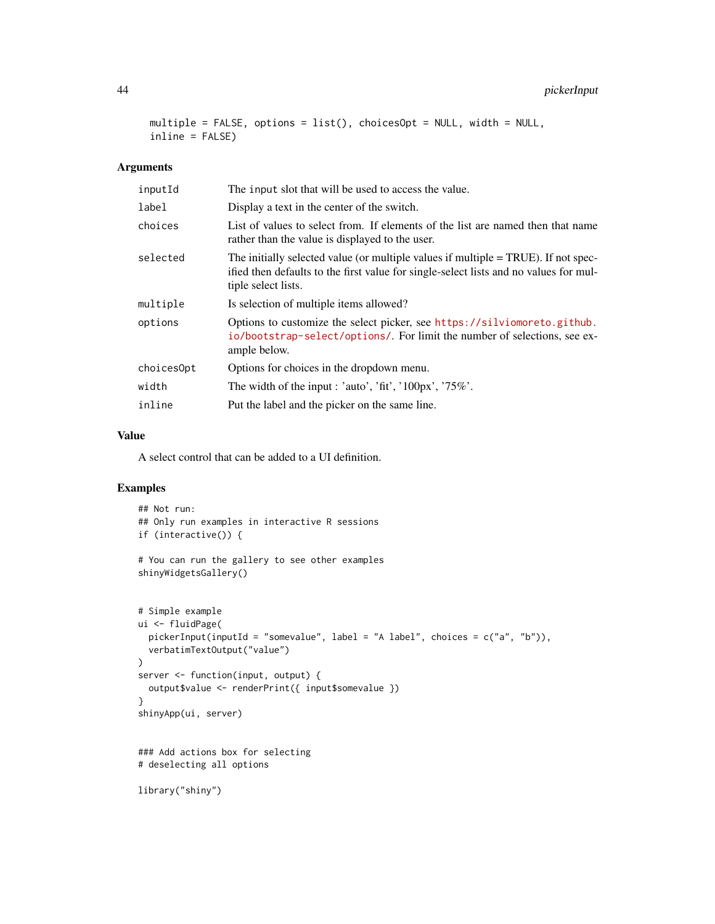```
multiple = FALSE, options = list(), choicesOpt = NULL, width = NULL,
inline = FALSE)
```
#### Arguments

| inputId    | The input slot that will be used to access the value.                                                                                                                                              |
|------------|----------------------------------------------------------------------------------------------------------------------------------------------------------------------------------------------------|
| label      | Display a text in the center of the switch.                                                                                                                                                        |
| choices    | List of values to select from. If elements of the list are named then that name<br>rather than the value is displayed to the user.                                                                 |
| selected   | The initially selected value (or multiple values if multiple = TRUE). If not spec-<br>ified then defaults to the first value for single-select lists and no values for mul-<br>tiple select lists. |
| multiple   | Is selection of multiple items allowed?                                                                                                                                                            |
| options    | Options to customize the select picker, see https://silviomoreto.github.<br>io/bootstrap-select/options/. For limit the number of selections, see ex-<br>ample below.                              |
| choicesOpt | Options for choices in the dropdown menu.                                                                                                                                                          |
| width      | The width of the input : 'auto', 'fit', ' $100px'$ , ' $75%$ '.                                                                                                                                    |
| inline     | Put the label and the picker on the same line.                                                                                                                                                     |

#### Value

A select control that can be added to a UI definition.

```
## Not run:
## Only run examples in interactive R sessions
if (interactive()) {
# You can run the gallery to see other examples
shinyWidgetsGallery()
# Simple example
ui <- fluidPage(
  pickerInput(inputId = "somevalue", label = "A label", choices = c("a", "b")),
  verbatimTextOutput("value")
\lambdaserver <- function(input, output) {
  output$value <- renderPrint({ input$somevalue })
}
shinyApp(ui, server)
### Add actions box for selecting
# deselecting all options
library("shiny")
```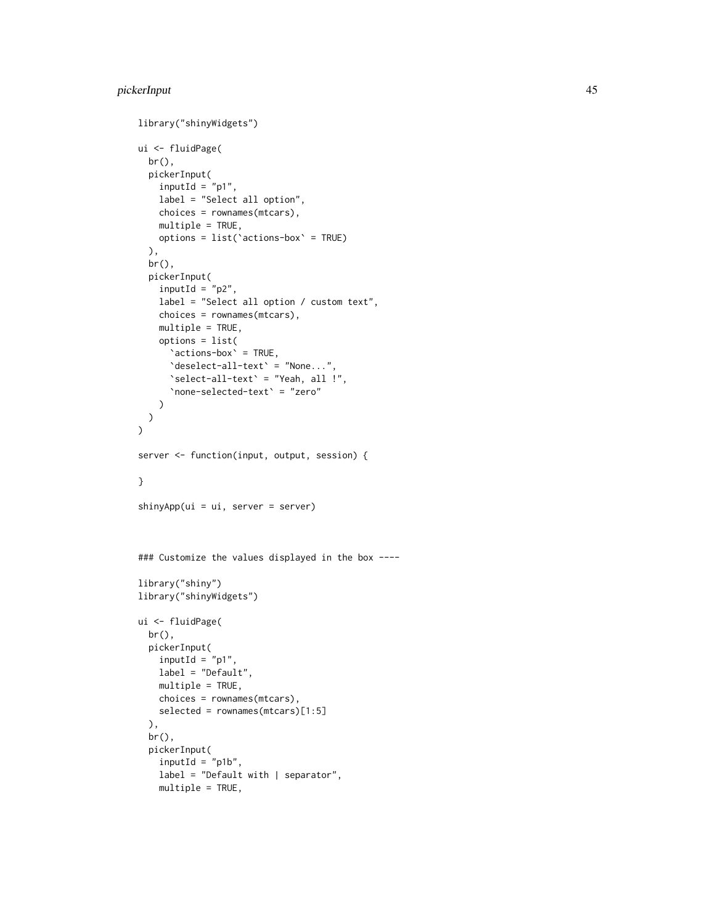## pickerInput 45

```
library("shinyWidgets")
ui <- fluidPage(
 br(),
  pickerInput(
    inputId = "p1",label = "Select all option",
    choices = rownames(mtcars),
    multiple = TRUE,
    options = list(`actions-box` = TRUE)
  ),
  br(),
  pickerInput(
    inputId = "p2",label = "Select all option / custom text",
    choices = rownames(mtcars),
    multiple = TRUE,
    options = list(
      `actions-box` = TRUE,
      `deselect-all-text` = "None...",
      `select-all-text` = "Yeah, all !",
      `none-selected-text` = "zero"
    )
 )
\lambdaserver <- function(input, output, session) {
}
shinyApp(ui = ui, server = server)
### Customize the values displayed in the box ----
library("shiny")
library("shinyWidgets")
ui <- fluidPage(
  br(),
  pickerInput(
   inputId = "p1",label = "Default",
    multiple = TRUE,
    choices = rownames(mtcars),
    selected = rownames(mtcars)[1:5]
  ),
  br(),
  pickerInput(
    inputId = "plb",label = "Default with | separator",
    multiple = TRUE,
```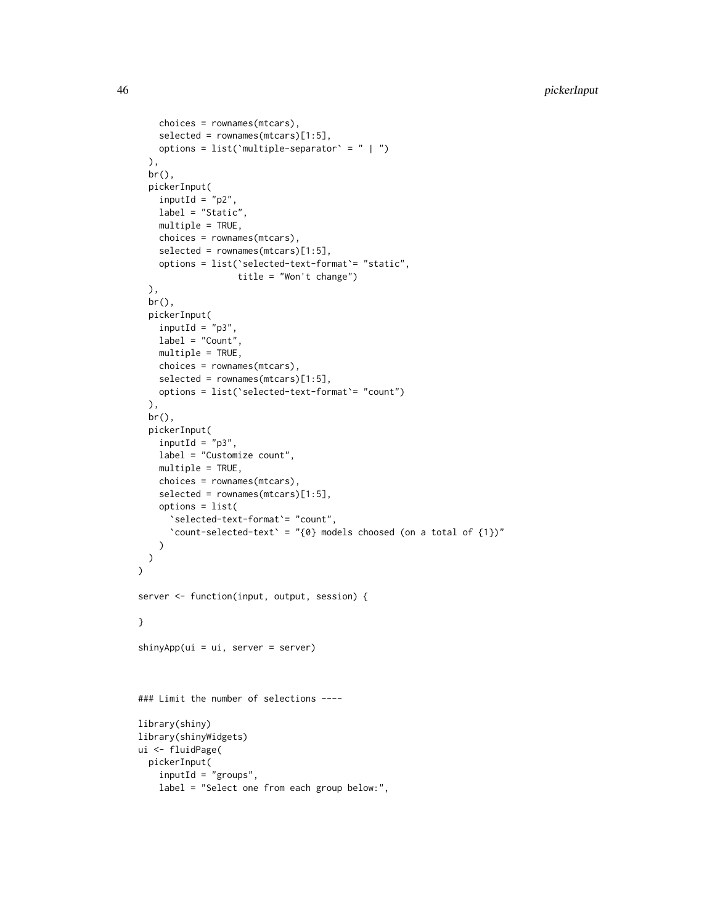```
choices = rownames(mtcars),
   selected = rownames(mtcars)[1:5],
   options = list(`multiple-separator` = " | ")
  ),
  br(),
  pickerInput(
   inputId = "p2",label = "Static",
   multiple = TRUE,
   choices = rownames(mtcars),
   selected = rownames(mtcars)[1:5],
   options = list(`selected-text-format`= "static",
                   title = "Won't change")
  ),
  br(),
  pickerInput(
   inputId = "p3",label = "Count",
   multiple = TRUE,
   choices = rownames(mtcars),
   selected = rownames(mtcars)[1:5],
   options = list(`selected-text-format`= "count")
  ),
  br(),
  pickerInput(
    inputId = "p3",label = "Customize count",
   multiple = TRUE,
   choices = rownames(mtcars),
   selected = rownames(mtcars)[1:5],
   options = list(
      `selected-text-format`= "count",
      `count-selected-text` = "(0) models choosed (on a total of \{1\})'')
 )
\lambdaserver <- function(input, output, session) {
}
shinyApp(ui = ui, server = server)
### Limit the number of selections ----
library(shiny)
library(shinyWidgets)
ui <- fluidPage(
  pickerInput(
    inputId = "groups",
    label = "Select one from each group below:",
```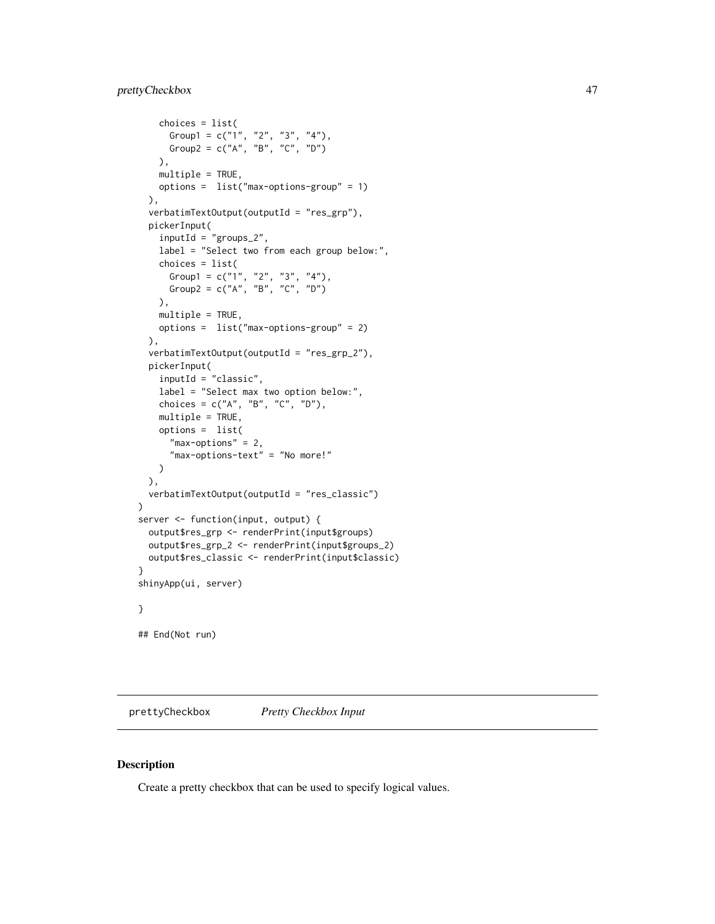## prettyCheckbox 47

```
choices = list(
      Group1 = c("1", "2", "3", "4"),
      Group2 = c("A", "B", "C", "D")
   ),
   multiple = TRUE,
   options = list("max-options-group" = 1)
 ),
 verbatimTextOutput(outputId = "res_grp"),
 pickerInput(
   inputId = "groups_2",label = "Select two from each group below:",
   choices = list(
      Group1 = c("1", "2", "3", "4"),
      Group2 = c("A", "B", "C", "D")
   ),
   multiple = TRUE,
   options = list("max-options-group" = 2)
 ),
 verbatimTextOutput(outputId = "res_grp_2"),
 pickerInput(
   inputId = "classic",
   label = "Select max two option below:",
   choices = c("A", "B", "C", "D"),
   multiple = TRUE,
   options = list(
     "max-options" = 2,
      "max-options-text" = "No more!"
   )
 ),
 verbatimTextOutput(outputId = "res_classic")
\mathcal{L}server <- function(input, output) {
 output$res_grp <- renderPrint(input$groups)
 output$res_grp_2 <- renderPrint(input$groups_2)
 output$res_classic <- renderPrint(input$classic)
}
shinyApp(ui, server)
}
## End(Not run)
```
prettyCheckbox *Pretty Checkbox Input*

## Description

Create a pretty checkbox that can be used to specify logical values.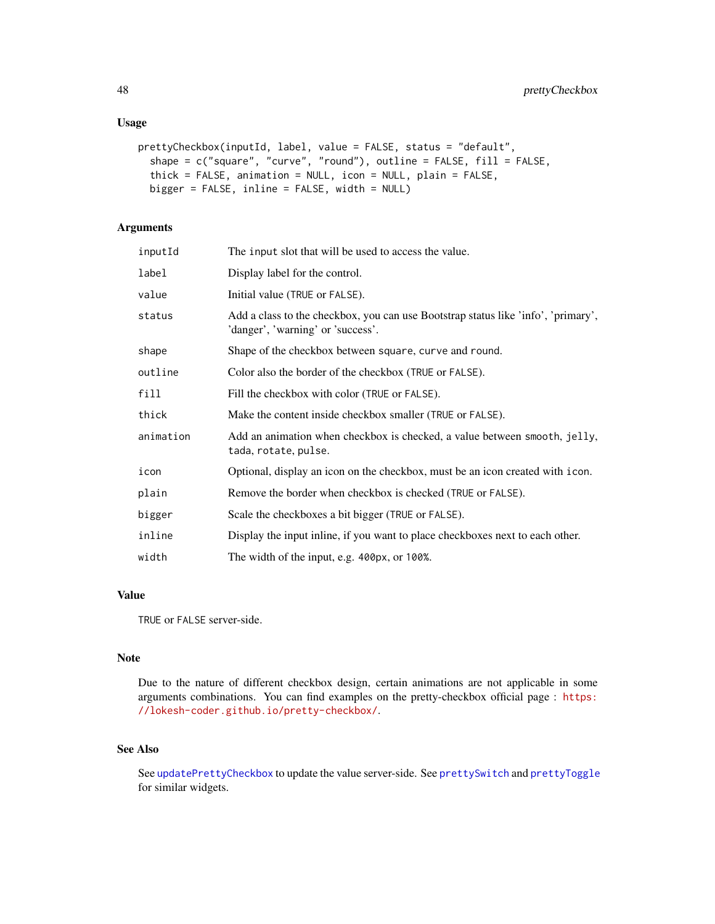## Usage

```
prettyCheckbox(inputId, label, value = FALSE, status = "default",
  shape = c("square", "curve", "round"), outline = FALSE, fill = FALSE,
  thick = FALSE, animation = NULL, icon = NULL, plain = FALSE,
 bigger = FALSE, inline = FALSE, width = NULL)
```
#### Arguments

| inputId   | The input slot that will be used to access the value.                                                                  |
|-----------|------------------------------------------------------------------------------------------------------------------------|
| label     | Display label for the control.                                                                                         |
| value     | Initial value (TRUE or FALSE).                                                                                         |
| status    | Add a class to the checkbox, you can use Bootstrap status like 'info', 'primary',<br>'danger', 'warning' or 'success'. |
| shape     | Shape of the checkbox between square, curve and round.                                                                 |
| outline   | Color also the border of the checkbox (TRUE or FALSE).                                                                 |
| fill      | Fill the checkbox with color (TRUE or FALSE).                                                                          |
| thick     | Make the content inside checkbox smaller (TRUE or FALSE).                                                              |
| animation | Add an animation when checkbox is checked, a value between smooth, jelly,<br>tada, rotate, pulse.                      |
| icon      | Optional, display an icon on the checkbox, must be an icon created with icon.                                          |
| plain     | Remove the border when checkbox is checked (TRUE or FALSE).                                                            |
| bigger    | Scale the checkboxes a bit bigger (TRUE or FALSE).                                                                     |
| inline    | Display the input inline, if you want to place checkboxes next to each other.                                          |
| width     | The width of the input, e.g. 400px, or 100%.                                                                           |

### Value

TRUE or FALSE server-side.

#### Note

Due to the nature of different checkbox design, certain animations are not applicable in some arguments combinations. You can find examples on the pretty-checkbox official page : [https:](https://lokesh-coder.github.io/pretty-checkbox/) [//lokesh-coder.github.io/pretty-checkbox/](https://lokesh-coder.github.io/pretty-checkbox/).

#### See Also

See [updatePrettyCheckbox](#page-97-0) to update the value server-side. See [prettySwitch](#page-55-0) and [prettyToggle](#page-57-0) for similar widgets.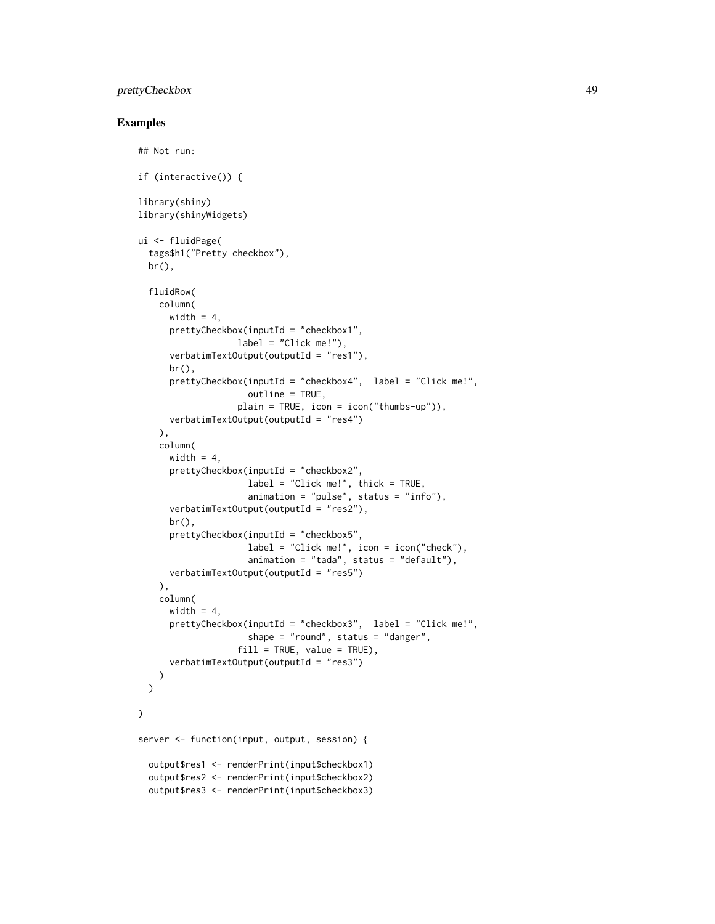#### prettyCheckbox 49

```
## Not run:
if (interactive()) {
library(shiny)
library(shinyWidgets)
ui <- fluidPage(
  tags$h1("Pretty checkbox"),
  br(),
  fluidRow(
    column(
      width = 4,
      prettyCheckbox(inputId = "checkbox1",
                   label = "Click me!"),
      verbatimTextOutput(outputId = "res1"),
      br(),
      prettyCheckbox(inputId = "checkbox4", label = "Click me!",
                     outline = TRUE,
                   plain = TRUE, icon = icon("thumbs-up")),
      verbatimTextOutput(outputId = "res4")
   ),
    column(
      width = 4,
      prettyCheckbox(inputId = "checkbox2",
                     label = "Click me!", thick = TRUE,
                     animation = "pulse", status = "info"),
      verbatimTextOutput(outputId = "res2"),
      br(),
      prettyCheckbox(inputId = "checkbox5",
                     label = "Click me!", icon = icon("check"),
                     animation = "tada", status = "default"),
      verbatimTextOutput(outputId = "res5")
   ),
    column(
      width = 4,
      prettyCheckbox(inputId = "checkbox3", label = "Click me!",
                     shape = "round", status = "danger",
                   fill = TRUE, value = TRUE),
      verbatimTextOutput(outputId = "res3")
   )
  )
\mathcal{L}server <- function(input, output, session) {
  output$res1 <- renderPrint(input$checkbox1)
  output$res2 <- renderPrint(input$checkbox2)
  output$res3 <- renderPrint(input$checkbox3)
```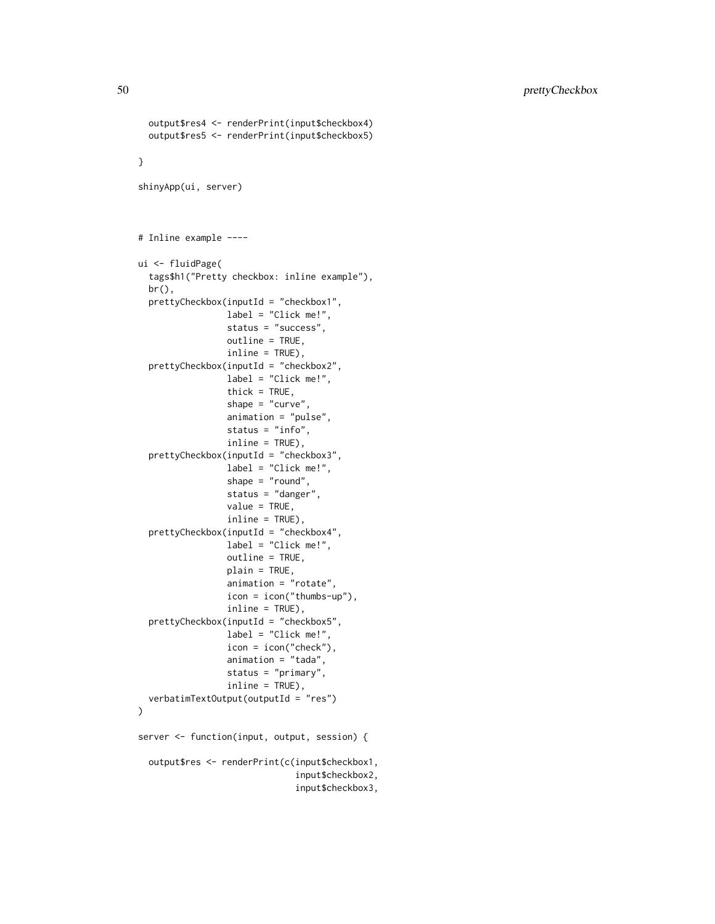```
output$res4 <- renderPrint(input$checkbox4)
 output$res5 <- renderPrint(input$checkbox5)
}
shinyApp(ui, server)
# Inline example ----
ui <- fluidPage(
 tags$h1("Pretty checkbox: inline example"),
 br(),
 prettyCheckbox(inputId = "checkbox1",
                 label = "Click me!",
                 status = "success",
                 outline = TRUE,
                 inline = TRUE),
 prettyCheckbox(inputId = "checkbox2",
                 label = "Click me!",
                 thick = TRUE,
                 shape = "curve",
                 animation = "pulse",
                 status = "info",
                 inline = TRUE),
 prettyCheckbox(inputId = "checkbox3",
                 label = "Click me!",
                 shape = "round",
                 status = "danger",
                 value = TRUE,
                 inline = TRUE),
 prettyCheckbox(inputId = "checkbox4",
                 label = "Click me!",
                 outline = TRUE,
                 plain = TRUE,
                 animation = "rotate",
                 icon = icon("thumbs-up"),
                 inline = TRUE),
 prettyCheckbox(inputId = "checkbox5",
                 label = "Click me!",
                 icon = icon("check"),
                 animation = "tada",
                 status = "primary",
                 inline = TRUE),
 verbatimTextOutput(outputId = "res")
\mathcal{L}server <- function(input, output, session) {
 output$res <- renderPrint(c(input$checkbox1,
                              input$checkbox2,
                              input$checkbox3,
```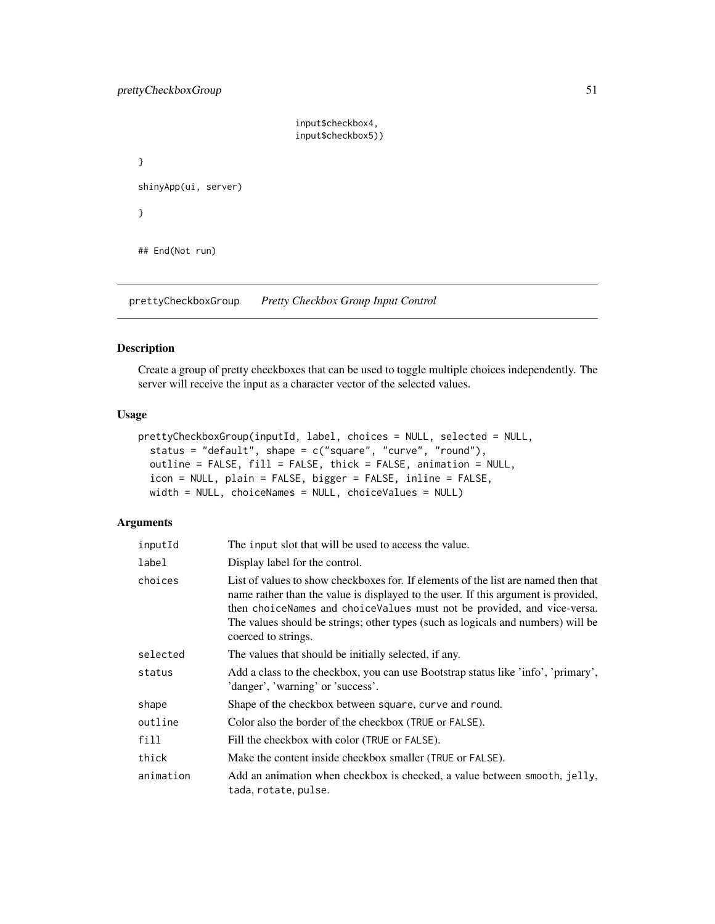input\$checkbox4, input\$checkbox5)) } shinyApp(ui, server) } ## End(Not run)

prettyCheckboxGroup *Pretty Checkbox Group Input Control*

#### Description

Create a group of pretty checkboxes that can be used to toggle multiple choices independently. The server will receive the input as a character vector of the selected values.

#### Usage

```
prettyCheckboxGroup(inputId, label, choices = NULL, selected = NULL,
  status = "default", shape = c("square", "curve", "round"),
 outline = FALSE, fill = FALSE, thick = FALSE, animation = NULL,
  icon = NULL, plain = FALSE, bigger = FALSE, inline = FALSE,
 width = NULL, choiceNames = NULL, choiceValues = NULL)
```
#### Arguments

| inputId   | The input slot that will be used to access the value.                                                                                                                                                                                                                                                                                                          |
|-----------|----------------------------------------------------------------------------------------------------------------------------------------------------------------------------------------------------------------------------------------------------------------------------------------------------------------------------------------------------------------|
| label     | Display label for the control.                                                                                                                                                                                                                                                                                                                                 |
| choices   | List of values to show checkboxes for. If elements of the list are named then that<br>name rather than the value is displayed to the user. If this argument is provided,<br>then choiceNames and choiceValues must not be provided, and vice-versa.<br>The values should be strings; other types (such as logicals and numbers) will be<br>coerced to strings. |
| selected  | The values that should be initially selected, if any.                                                                                                                                                                                                                                                                                                          |
| status    | Add a class to the checkbox, you can use Bootstrap status like 'info', 'primary',<br>'danger', 'warning' or 'success'.                                                                                                                                                                                                                                         |
| shape     | Shape of the checkbox between square, curve and round.                                                                                                                                                                                                                                                                                                         |
| outline   | Color also the border of the checkbox (TRUE or FALSE).                                                                                                                                                                                                                                                                                                         |
| fill      | Fill the checkbox with color (TRUE or FALSE).                                                                                                                                                                                                                                                                                                                  |
| thick     | Make the content inside checkbox smaller (TRUE or FALSE).                                                                                                                                                                                                                                                                                                      |
| animation | Add an animation when checkbox is checked, a value between smooth, jelly,<br>tada, rotate, pulse.                                                                                                                                                                                                                                                              |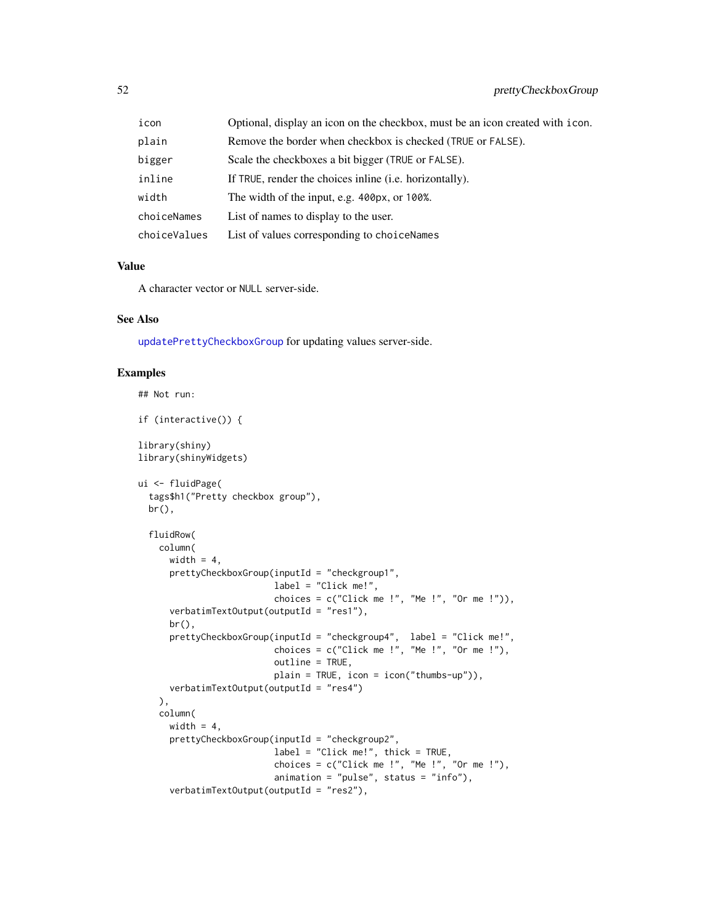| icon         | Optional, display an icon on the checkbox, must be an icon created with icon. |
|--------------|-------------------------------------------------------------------------------|
| plain        | Remove the border when checkbox is checked (TRUE or FALSE).                   |
| bigger       | Scale the checkboxes a bit bigger (TRUE or FALSE).                            |
| inline       | If TRUE, render the choices in line (i.e. horizontally).                      |
| width        | The width of the input, e.g. 400px, or 100%.                                  |
| choiceNames  | List of names to display to the user.                                         |
| choiceValues | List of values corresponding to choiceNames                                   |

## Value

A character vector or NULL server-side.

#### See Also

[updatePrettyCheckboxGroup](#page-98-0) for updating values server-side.

```
## Not run:
if (interactive()) {
library(shiny)
library(shinyWidgets)
ui <- fluidPage(
  tags$h1("Pretty checkbox group"),
  br(),
  fluidRow(
   column(
      width = 4,
      prettyCheckboxGroup(inputId = "checkgroup1",
                          label = "Click me!",
                          choices = c("Click me!", "Me!", "Or me!")),
      verbatimTextOutput(outputId = "res1"),
      br(),
      prettyCheckboxGroup(inputId = "checkgroup4", label = "Click me!",
                         choices = c("Click me !", "Me !", "Or me !"),
                         outline = TRUE,
                         plain = TRUE, icon = icon("thumbs-up")),
      verbatimTextOutput(outputId = "res4")
   ),
    column(
      width = 4,
      prettyCheckboxGroup(inputId = "checkgroup2",
                          label = "Click me!", thick = TRUE,
                          choices = c("Click me!", "Me!", "Or me!"),animation = "pulse", status = "info"),
      verbatimTextOutput(outputId = "res2"),
```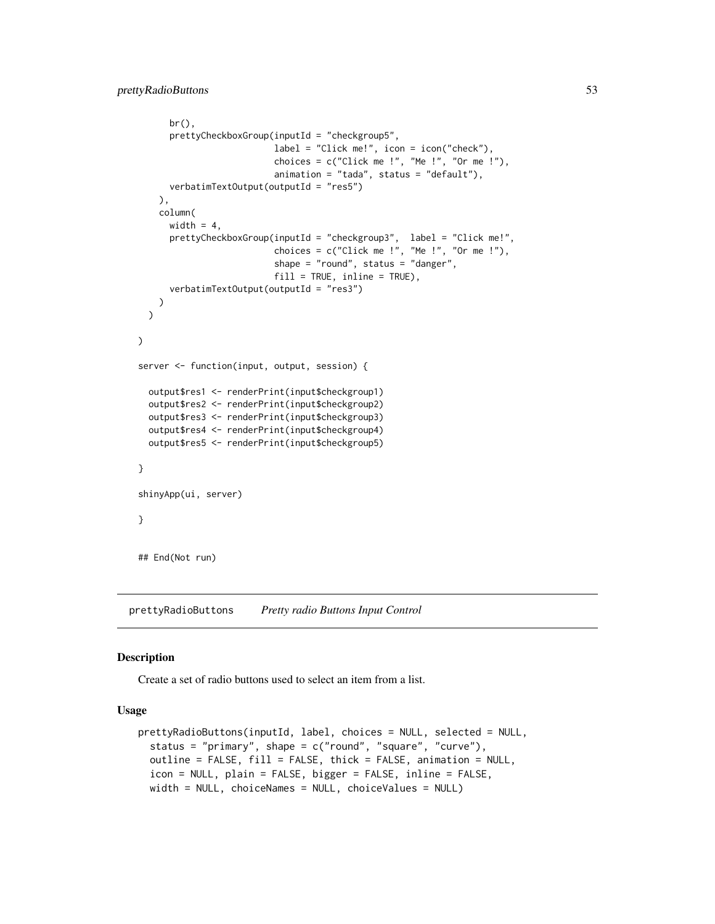```
br(),
     prettyCheckboxGroup(inputId = "checkgroup5",
                          label = "Click me!", icon = icon("check"),
                          choices = c("Click me!", "Me!", "Or me!"),animation = "tada", status = "default"),
     verbatimTextOutput(outputId = "res5")
   ),
   column(
     width = 4,
     prettyCheckboxGroup(inputId = "checkgroup3", label = "Click me!",
                          choices = c("Click me !", "Me !", "Or me !"),
                          shape = "round", status = "danger",
                          fill = TRUE, inline = TRUE),
      verbatimTextOutput(outputId = "res3")
   )
 )
)
server <- function(input, output, session) {
 output$res1 <- renderPrint(input$checkgroup1)
 output$res2 <- renderPrint(input$checkgroup2)
 output$res3 <- renderPrint(input$checkgroup3)
 output$res4 <- renderPrint(input$checkgroup4)
 output$res5 <- renderPrint(input$checkgroup5)
}
shinyApp(ui, server)
}
## End(Not run)
```
prettyRadioButtons *Pretty radio Buttons Input Control*

## Description

Create a set of radio buttons used to select an item from a list.

#### Usage

```
prettyRadioButtons(inputId, label, choices = NULL, selected = NULL,
  status = "primary", shape = c("round", "square", "curve"),
 outline = FALSE, fill = FALSE, thick = FALSE, animation = NULL,
  icon = NULL, plain = FALSE, bigger = FALSE, inline = FALSE,
 width = NULL, choiceNames = NULL, choiceValues = NULL)
```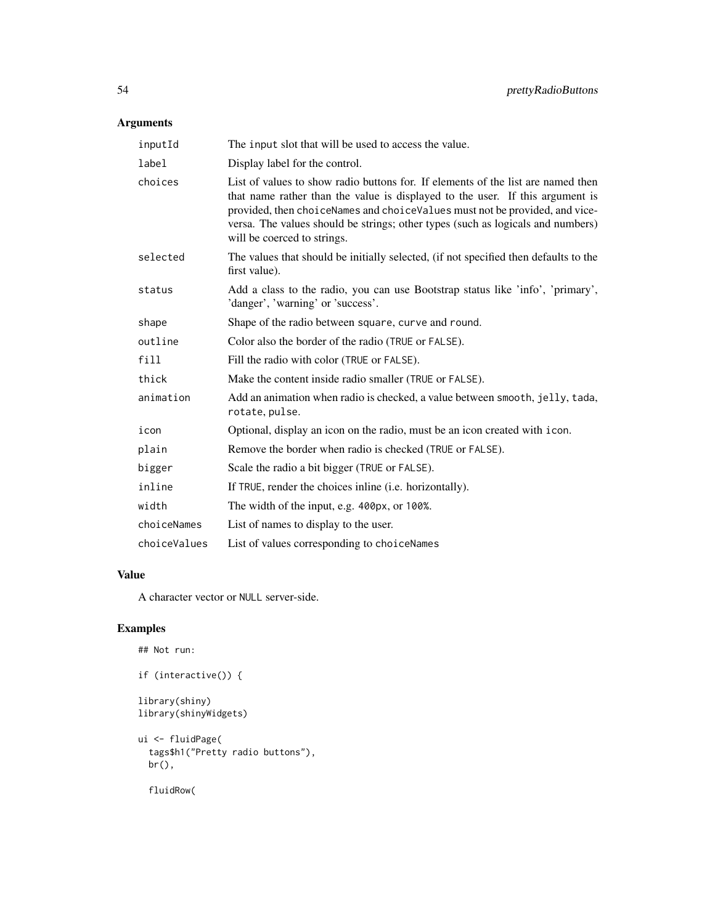## Arguments

| inputId      | The input slot that will be used to access the value.                                                                                                                                                                                                                                                                                                              |
|--------------|--------------------------------------------------------------------------------------------------------------------------------------------------------------------------------------------------------------------------------------------------------------------------------------------------------------------------------------------------------------------|
| label        | Display label for the control.                                                                                                                                                                                                                                                                                                                                     |
| choices      | List of values to show radio buttons for. If elements of the list are named then<br>that name rather than the value is displayed to the user. If this argument is<br>provided, then choiceNames and choiceValues must not be provided, and vice-<br>versa. The values should be strings; other types (such as logicals and numbers)<br>will be coerced to strings. |
| selected     | The values that should be initially selected, (if not specified then defaults to the<br>first value).                                                                                                                                                                                                                                                              |
| status       | Add a class to the radio, you can use Bootstrap status like 'info', 'primary',<br>'danger', 'warning' or 'success'.                                                                                                                                                                                                                                                |
| shape        | Shape of the radio between square, curve and round.                                                                                                                                                                                                                                                                                                                |
| outline      | Color also the border of the radio (TRUE or FALSE).                                                                                                                                                                                                                                                                                                                |
| fill         | Fill the radio with color (TRUE or FALSE).                                                                                                                                                                                                                                                                                                                         |
| thick        | Make the content inside radio smaller (TRUE or FALSE).                                                                                                                                                                                                                                                                                                             |
| animation    | Add an animation when radio is checked, a value between smooth, jelly, tada,<br>rotate, pulse.                                                                                                                                                                                                                                                                     |
| icon         | Optional, display an icon on the radio, must be an icon created with icon.                                                                                                                                                                                                                                                                                         |
| plain        | Remove the border when radio is checked (TRUE or FALSE).                                                                                                                                                                                                                                                                                                           |
| bigger       | Scale the radio a bit bigger (TRUE or FALSE).                                                                                                                                                                                                                                                                                                                      |
| inline       | If TRUE, render the choices inline (i.e. horizontally).                                                                                                                                                                                                                                                                                                            |
| width        | The width of the input, e.g. 400px, or 100%.                                                                                                                                                                                                                                                                                                                       |
| choiceNames  | List of names to display to the user.                                                                                                                                                                                                                                                                                                                              |
| choiceValues | List of values corresponding to choiceNames                                                                                                                                                                                                                                                                                                                        |

## Value

A character vector or NULL server-side.

# Examples

```
## Not run:
```

```
if (interactive()) {
```

```
library(shiny)
library(shinyWidgets)
```

```
ui <- fluidPage(
  tags$h1("Pretty radio buttons"),
 br(),
```
fluidRow(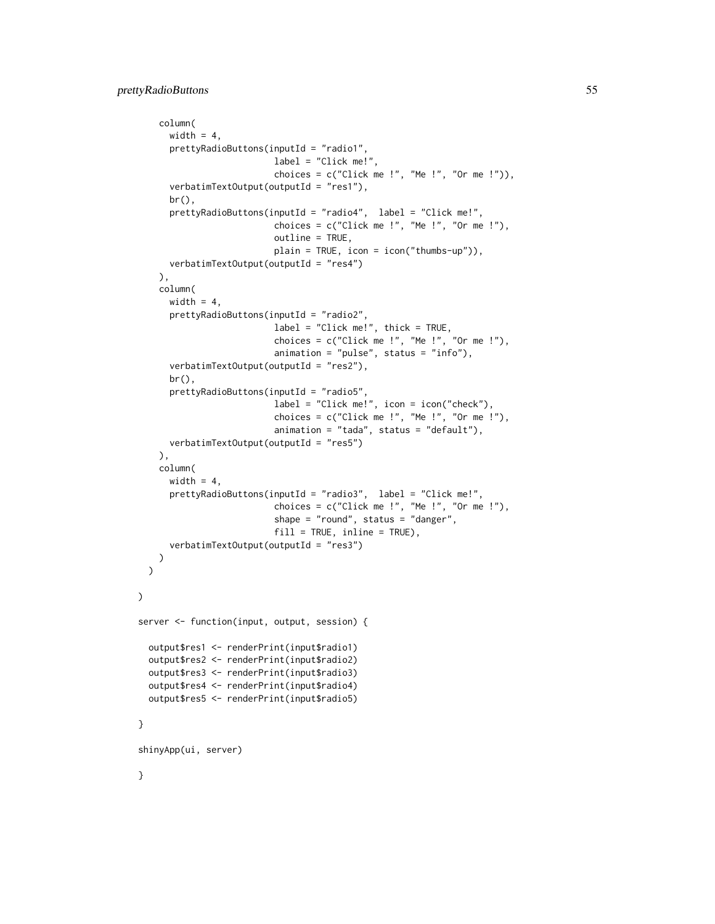$\mathcal{L}$ 

}

}

```
column(
     width = 4,
     prettyRadioButtons(inputId = "radio1",
                         label = "Click me!",
                          choices = c("Click me!", "Me!", "Or me!")),
     verbatimTextOutput(outputId = "res1"),
     br(),
     prettyRadioButtons(inputId = "radio4", label = "Click me!",
                         choices = c("Click me!", "Me!", "Or me!"),outline = TRUE,
                         plain = TRUE, icon = icon("thumbs-up")),
     verbatimTextOutput(outputId = "res4")
   ),
    column(
     width = 4,
     prettyRadioButtons(inputId = "radio2",
                         label = "Click me!", thick = TRUE,
                          choices = c("Click me!", "Me!", "Or me!"),animation = "pulse", status = "info"),
     verbatimTextOutput(outputId = "res2"),
     br(),
     prettyRadioButtons(inputId = "radio5",
                         label = "Click me!", icon = icon("check"),
                         choices = c("Click me!", "Me!", "Or me!"),animation = "tada", status = "default"),
     verbatimTextOutput(outputId = "res5")
   ),
   column(
     width = 4,
     prettyRadioButtons(inputId = "radio3", label = "Click me!",
                         choices = c("Click me!", "Me!", "Or me!"),shape = "round", status = "danger",
                         fill = TRUE, inline = TRUE),
     verbatimTextOutput(outputId = "res3")
   )
 \mathcal{L}server <- function(input, output, session) {
 output$res1 <- renderPrint(input$radio1)
 output$res2 <- renderPrint(input$radio2)
 output$res3 <- renderPrint(input$radio3)
 output$res4 <- renderPrint(input$radio4)
 output$res5 <- renderPrint(input$radio5)
shinyApp(ui, server)
```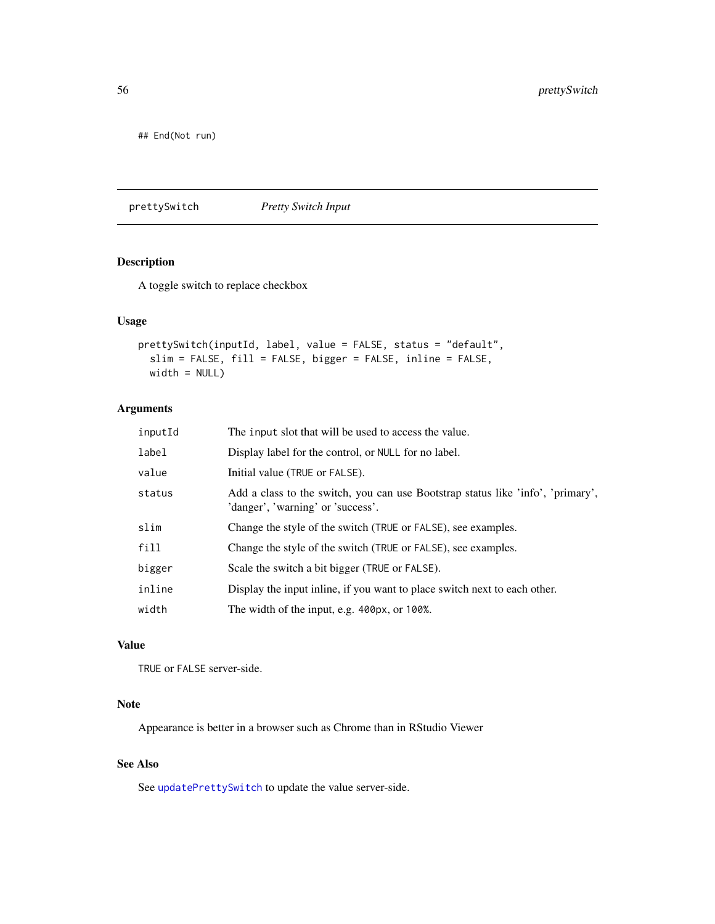## End(Not run)

<span id="page-55-0"></span>prettySwitch *Pretty Switch Input*

## Description

A toggle switch to replace checkbox

#### Usage

```
prettySwitch(inputId, label, value = FALSE, status = "default",
 slim = FALSE, fill = FALSE, bigger = FALSE, inline = FALSE,
 width = NULL)
```
## Arguments

| inputId | The input slot that will be used to access the value.                                                                |
|---------|----------------------------------------------------------------------------------------------------------------------|
| label   | Display label for the control, or NULL for no label.                                                                 |
| value   | Initial value (TRUE or FALSE).                                                                                       |
| status  | Add a class to the switch, you can use Bootstrap status like 'info', 'primary',<br>'danger', 'warning' or 'success'. |
| slim    | Change the style of the switch (TRUE or FALSE), see examples.                                                        |
| fill    | Change the style of the switch (TRUE or FALSE), see examples.                                                        |
| bigger  | Scale the switch a bit bigger (TRUE or FALSE).                                                                       |
| inline  | Display the input in line, if you want to place switch next to each other.                                           |
| width   | The width of the input, e.g. 400px, or 100%.                                                                         |
|         |                                                                                                                      |

## Value

TRUE or FALSE server-side.

## Note

Appearance is better in a browser such as Chrome than in RStudio Viewer

#### See Also

See [updatePrettySwitch](#page-102-0) to update the value server-side.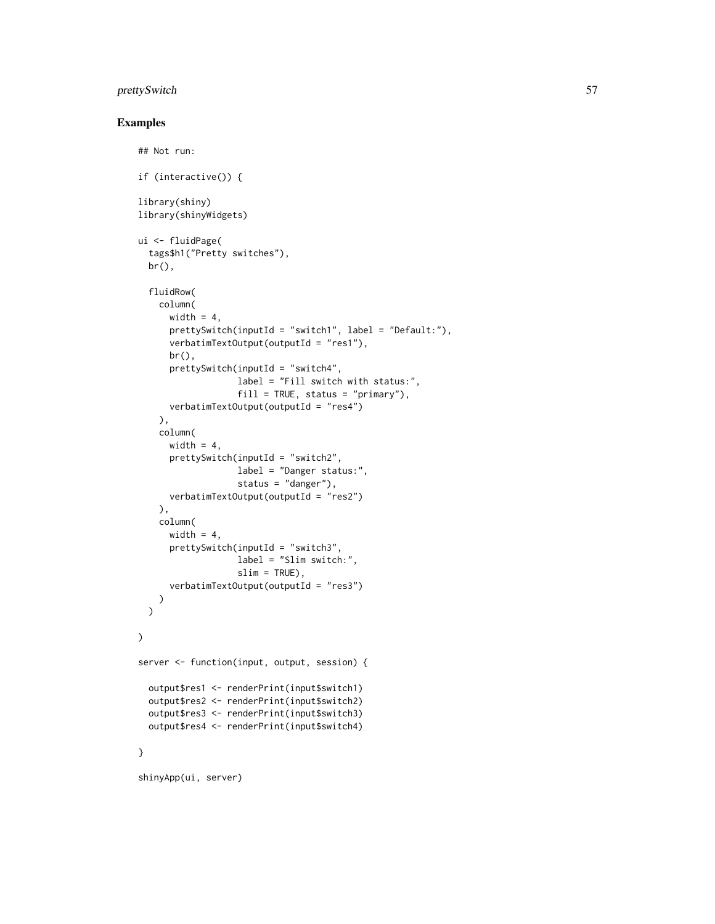#### prettySwitch 57

```
## Not run:
if (interactive()) {
library(shiny)
library(shinyWidgets)
ui <- fluidPage(
  tags$h1("Pretty switches"),
  br(),
  fluidRow(
   column(
      width = 4,
      prettySwitch(inputId = "switch1", label = "Default:"),
      verbatimTextOutput(outputId = "res1"),
      br(),
      prettySwitch(inputId = "switch4",
                   label = "Fill switch with status:",
                   fill = TRUE, status = "primary",verbatimTextOutput(outputId = "res4")
   ),
    column(
     width = 4,
      prettySwitch(inputId = "switch2",
                   label = "Danger status:",
                   status = "danger"),
      verbatimTextOutput(outputId = "res2")
   ),
    column(
      width = 4,
      prettySwitch(inputId = "switch3",
                   label = "Slim switch:",
                   slim = TRUE),
      verbatimTextOutput(outputId = "res3")
   )
  )
)
server <- function(input, output, session) {
  output$res1 <- renderPrint(input$switch1)
  output$res2 <- renderPrint(input$switch2)
  output$res3 <- renderPrint(input$switch3)
  output$res4 <- renderPrint(input$switch4)
}
shinyApp(ui, server)
```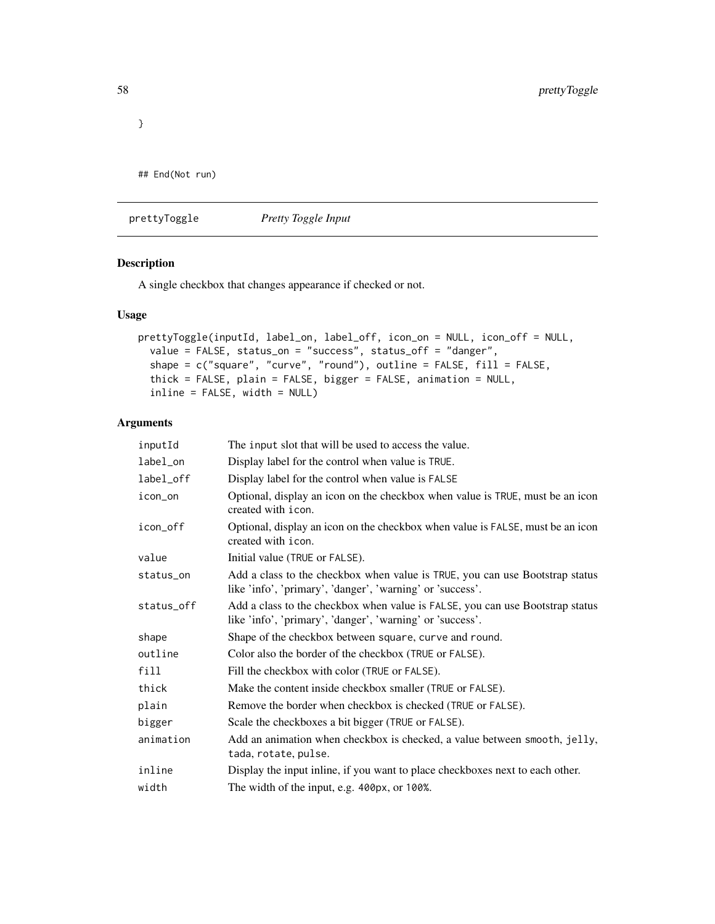## End(Not run)

<span id="page-57-0"></span>prettyToggle *Pretty Toggle Input*

# Description

A single checkbox that changes appearance if checked or not.

#### Usage

```
prettyToggle(inputId, label_on, label_off, icon_on = NULL, icon_off = NULL,
 value = FALSE, status_on = "success", status_off = "danger",
  shape = c("square", "curve", "round"), outline = FALSE, fill = FALSE,
  thick = FALSE, plain = FALSE, bigger = FALSE, animation = NULL,
  inline = FALSE, width = NULL)
```
# Arguments

| inputId    | The input slot that will be used to access the value.                                                                                      |
|------------|--------------------------------------------------------------------------------------------------------------------------------------------|
| label_on   | Display label for the control when value is TRUE.                                                                                          |
| label_off  | Display label for the control when value is FALSE                                                                                          |
| icon_on    | Optional, display an icon on the checkbox when value is TRUE, must be an icon<br>created with icon.                                        |
| icon_off   | Optional, display an icon on the checkbox when value is FALSE, must be an icon<br>created with icon.                                       |
| value      | Initial value (TRUE or FALSE).                                                                                                             |
| status_on  | Add a class to the checkbox when value is TRUE, you can use Bootstrap status<br>like 'info', 'primary', 'danger', 'warning' or 'success'.  |
| status_off | Add a class to the checkbox when value is FALSE, you can use Bootstrap status<br>like 'info', 'primary', 'danger', 'warning' or 'success'. |
| shape      | Shape of the checkbox between square, curve and round.                                                                                     |
| outline    | Color also the border of the checkbox (TRUE or FALSE).                                                                                     |
| fill       | Fill the checkbox with color (TRUE or FALSE).                                                                                              |
| thick      | Make the content inside checkbox smaller (TRUE or FALSE).                                                                                  |
| plain      | Remove the border when checkbox is checked (TRUE or FALSE).                                                                                |
| bigger     | Scale the checkboxes a bit bigger (TRUE or FALSE).                                                                                         |
| animation  | Add an animation when checkbox is checked, a value between smooth, jelly,<br>tada, rotate, pulse.                                          |
| inline     | Display the input inline, if you want to place checkboxes next to each other.                                                              |
| width      | The width of the input, e.g. 400px, or 100%.                                                                                               |

}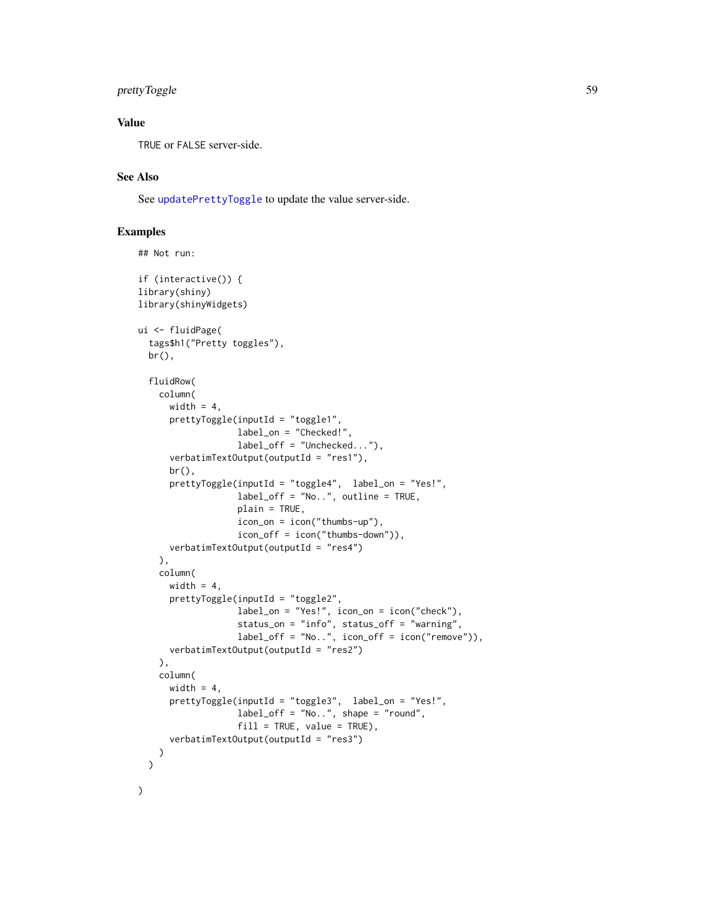## prettyToggle 59

## Value

TRUE or FALSE server-side.

#### See Also

See [updatePrettyToggle](#page-103-0) to update the value server-side.

```
## Not run:
if (interactive()) {
library(shiny)
library(shinyWidgets)
ui <- fluidPage(
  tags$h1("Pretty toggles"),
  br(),
  fluidRow(
   column(
      width = 4,
      prettyToggle(inputId = "toggle1",
                   label_on = "Checked!",
                   label_off = "Unchecked..."),
      verbatimTextOutput(outputId = "res1"),
      br(),
      prettyToggle(inputId = "toggle4", label_on = "Yes!",
                   label_{off} = "No..", outline = TRUE,
                   plain = TRUE,
                   icon_on = icon("thumbs-up"),
                   icon_off = icon("thumbs-down")),
      verbatimTextOutput(outputId = "res4")
   ),
    column(
      width = 4,
      prettyToggle(inputId = "toggle2",
                   label_on = "Yes!", icon_on = icon("check"),
                   status_on = "info", status_off = "warning",
                   label_of f = "No..", icon_of f = icon("remove")),
      verbatimTextOutput(outputId = "res2")
   ),
    column(
      width = 4,
      prettyToggle(inputId = "toggle3", label_on = "Yes!",
                   label_off = "No..", shape = "round",fill = TRUE, value = TRUE),
      verbatimTextOutput(outputId = "res3")
   )
  )
)
```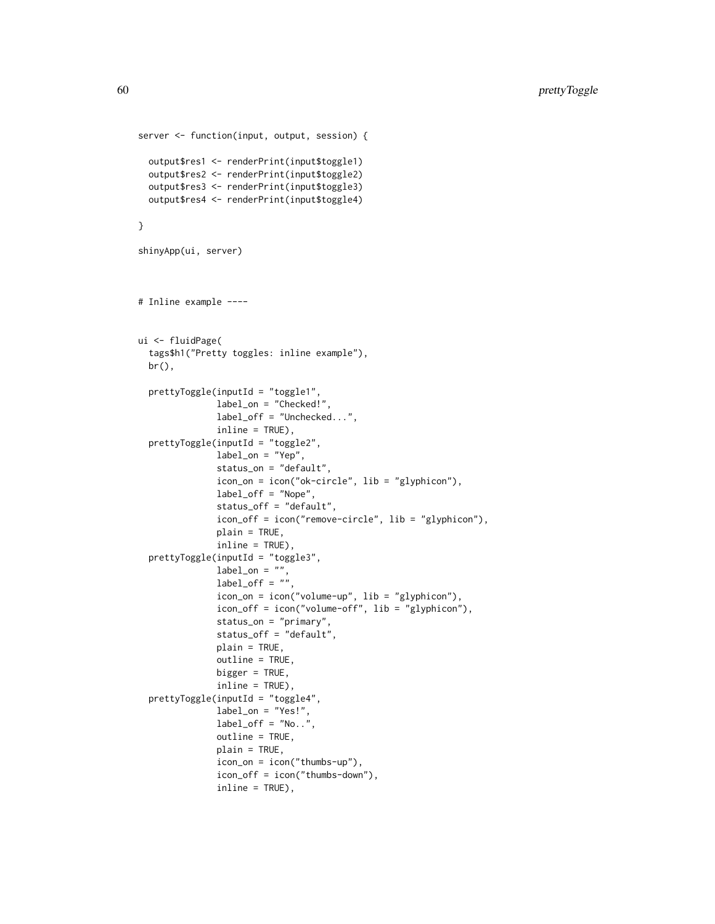```
server <- function(input, output, session) {
  output$res1 <- renderPrint(input$toggle1)
  output$res2 <- renderPrint(input$toggle2)
  output$res3 <- renderPrint(input$toggle3)
  output$res4 <- renderPrint(input$toggle4)
}
shinyApp(ui, server)
# Inline example ----
ui <- fluidPage(
  tags$h1("Pretty toggles: inline example"),
  br(),
  prettyToggle(inputId = "toggle1",
               label_on = "Checked!",
               label_off = "Unchecked...",
               inline = TRUE),
  prettyToggle(inputId = "toggle2",
               label_on = "Yep",
               status_on = "default",
               icon_on = icon("ok-circle", lib = "glyphicon"),
               label_off = "Nope",
               status_off = "default",
               icon_off = icon("remove-circle", lib = "glyphicon"),
               plain = TRUE,
               inline = TRUE),
  prettyToggle(inputId = "toggle3",
               label\_on = "".label_of f = ""icon_on = icon("volume-up", lib = "glyphicon"),
               icon_off = icon("volume-off", lib = "glyphicon"),
               status_on = "primary",
               status_off = "default",
               plain = TRUE,
               outline = TRUE,
               bigger = TRUE,
               inline = TRUE),
  prettyToggle(inputId = "toggle4",
               label_on = "Yes!",
               label_{off} = "No..",
               outline = TRUE,
               plain = TRUE,
               icon_on = icon("thumbs-up"),
               icon_off = icon("thumbs-down"),
               inline = TRUE),
```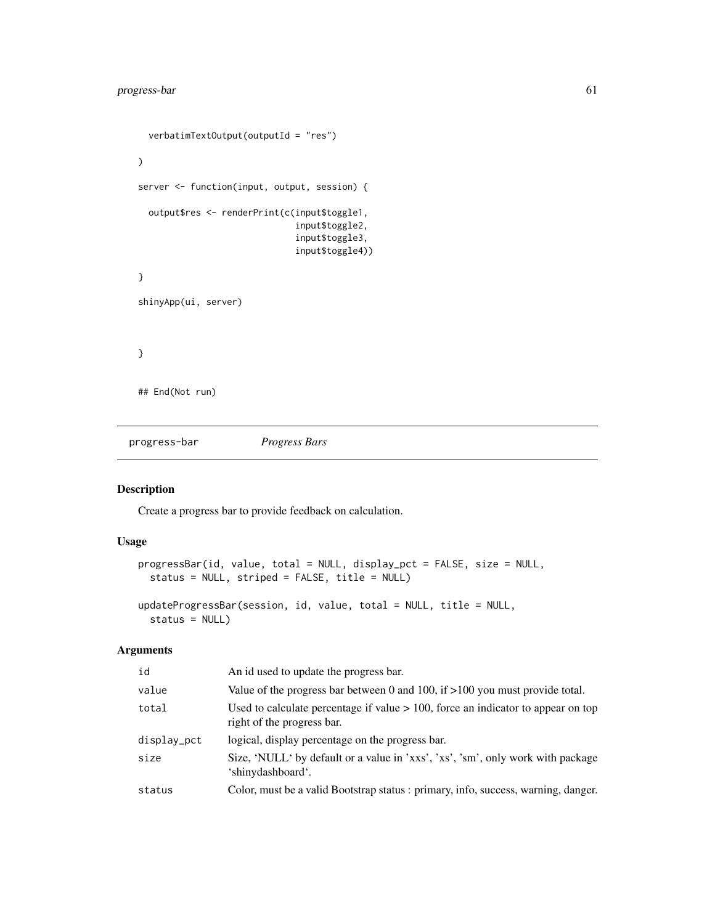```
verbatimTextOutput(outputId = "res")
\overline{)}server <- function(input, output, session) {
 output$res <- renderPrint(c(input$toggle1,
                                input$toggle2,
                                input$toggle3,
                                input$toggle4))
}
shinyApp(ui, server)
}
## End(Not run)
```
progress-bar *Progress Bars*

## Description

Create a progress bar to provide feedback on calculation.

## Usage

```
progressBar(id, value, total = NULL, display_pct = FALSE, size = NULL,
  status = NULL, striped = FALSE, title = NULL)
updateProgressBar(session, id, value, total = NULL, title = NULL,
```

```
status = NULL)
```
## Arguments

| id          | An id used to update the progress bar.                                                                            |
|-------------|-------------------------------------------------------------------------------------------------------------------|
| value       | Value of the progress bar between 0 and 100, if $>100$ you must provide total.                                    |
| total       | Used to calculate percentage if value $> 100$ , force an indicator to appear on top<br>right of the progress bar. |
| display_pct | logical, display percentage on the progress bar.                                                                  |
| size        | Size, 'NULL' by default or a value in 'xxs', 'xs', 'sm', only work with package<br>'shinydashboard'.              |
| status      | Color, must be a valid Bootstrap status : primary, info, success, warning, danger.                                |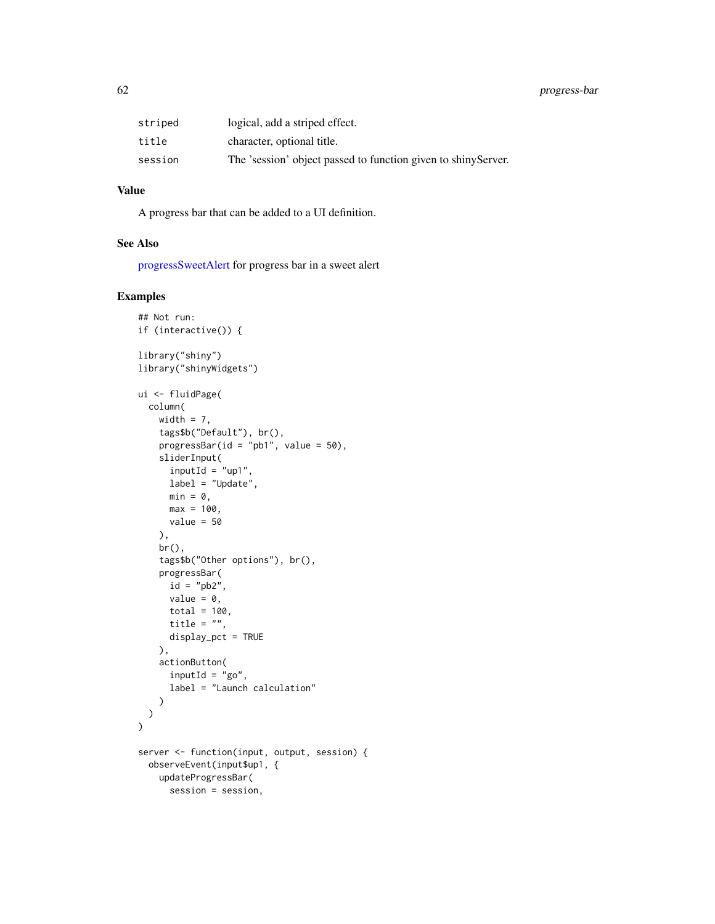| striped | logical, add a striped effect.                                |
|---------|---------------------------------------------------------------|
| title   | character, optional title.                                    |
| session | The 'session' object passed to function given to shinyServer. |

#### Value

A progress bar that can be added to a UI definition.

## See Also

[progressSweetAlert](#page-62-0) for progress bar in a sweet alert

```
## Not run:
if (interactive()) {
library("shiny")
library("shinyWidgets")
ui <- fluidPage(
 column(
   width = 7,
   tags$b("Default"), br(),
   progressBar(id = "pb1", value = 50),
   sliderInput(
     inputId = "up1",label = "Update",
     min = 0,
     max = 100,
     value = 50),
   br(),
    tags$b("Other options"), br(),
   progressBar(
     id = "pb2",value = 0,total = 100,title = ",
     display_pct = TRUE
   ),
   actionButton(
      inputId = "go",label = "Launch calculation"
   )
 )
\mathcal{L}server <- function(input, output, session) {
  observeEvent(input$up1, {
   updateProgressBar(
     session = session,
```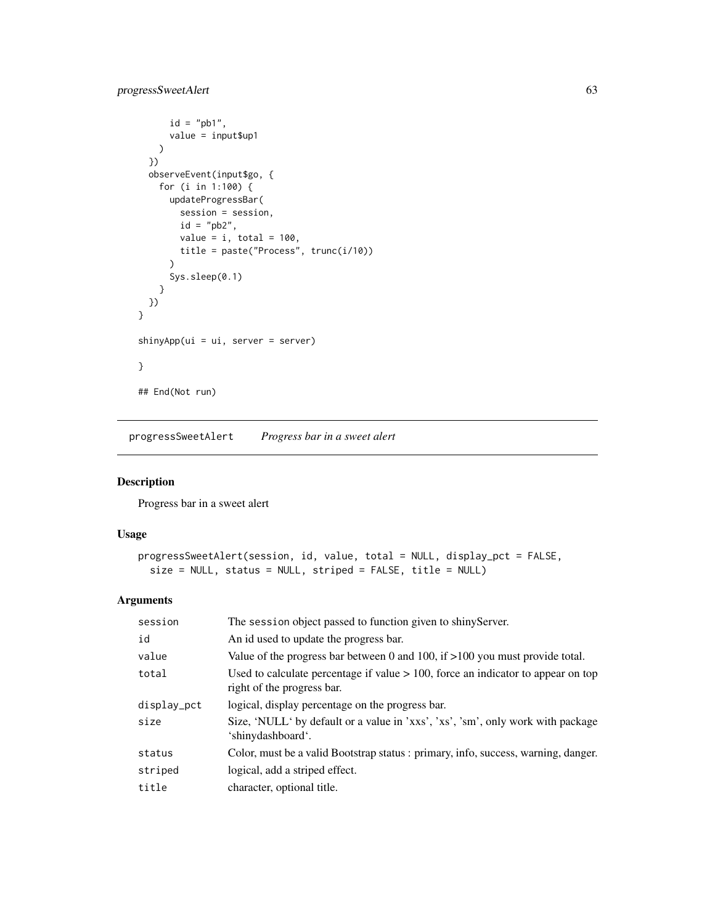```
id = "pb1",value = input$up1
    )
  })
  observeEvent(input$go, {
    for (i in 1:100) {
      updateProgressBar(
        session = session,
        id = "pb2",value = i, total = 100,
        title = paste("Process", trunc(i/10))
      \mathcal{L}Sys.sleep(0.1)
    }
 })
}
shinyApp(ui = ui, server = server)
}
## End(Not run)
```
<span id="page-62-0"></span>progressSweetAlert *Progress bar in a sweet alert*

# Description

Progress bar in a sweet alert

#### Usage

```
progressSweetAlert(session, id, value, total = NULL, display_pct = FALSE,
 size = NULL, status = NULL, striped = FALSE, title = NULL)
```
## Arguments

| session     | The session object passed to function given to shiny Server.                                                      |
|-------------|-------------------------------------------------------------------------------------------------------------------|
| id          | An id used to update the progress bar.                                                                            |
| value       | Value of the progress bar between 0 and 100, if $>100$ you must provide total.                                    |
| total       | Used to calculate percentage if value $> 100$ , force an indicator to appear on top<br>right of the progress bar. |
| display_pct | logical, display percentage on the progress bar.                                                                  |
| size        | Size, 'NULL' by default or a value in 'xxs', 'xs', 'sm', only work with package<br>'shinydashboard'.              |
| status      | Color, must be a valid Bootstrap status : primary, info, success, warning, danger.                                |
| striped     | logical, add a striped effect.                                                                                    |
| title       | character, optional title.                                                                                        |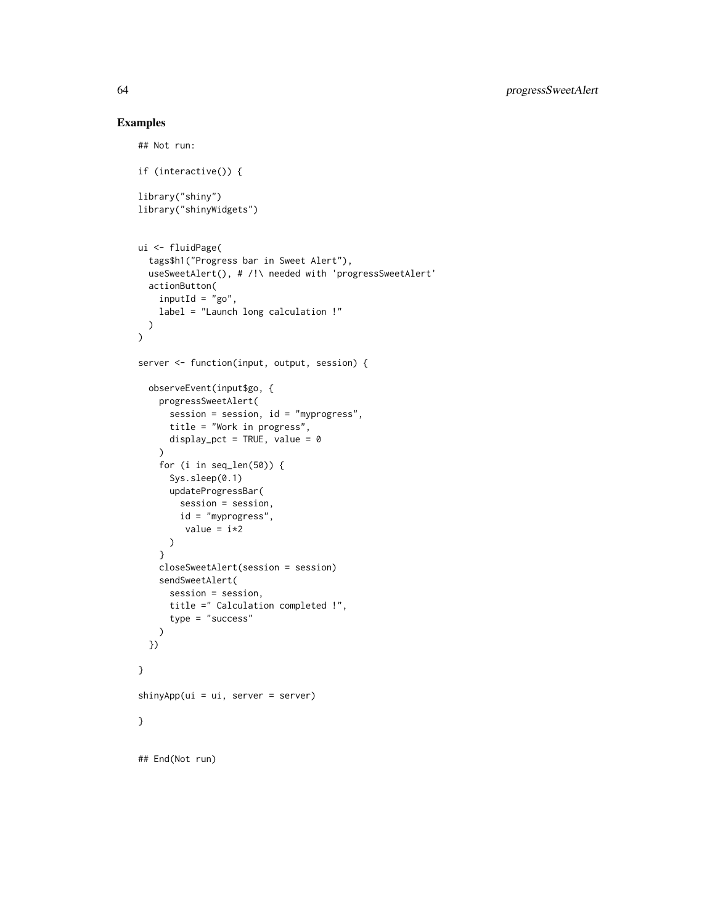```
## Not run:
if (interactive()) {
library("shiny")
library("shinyWidgets")
ui <- fluidPage(
  tags$h1("Progress bar in Sweet Alert"),
 useSweetAlert(), # /!\ needed with 'progressSweetAlert'
 actionButton(
   inputId = "go",label = "Launch long calculation !"
 )
\lambdaserver <- function(input, output, session) {
  observeEvent(input$go, {
   progressSweetAlert(
      session = session, id = "myprogress",
      title = "Work in progress",
      display_pct = TRUE, value = 0\lambdafor (i in seq_len(50)) {
      Sys.sleep(0.1)
      updateProgressBar(
       session = session,
       id = "myprogress",
        value = i*2)
    }
   closeSweetAlert(session = session)
   sendSweetAlert(
     session = session,
     title =" Calculation completed !",
      type = "success"
   \lambda})
}
shinyApp(ui = ui, server = server)
}
## End(Not run)
```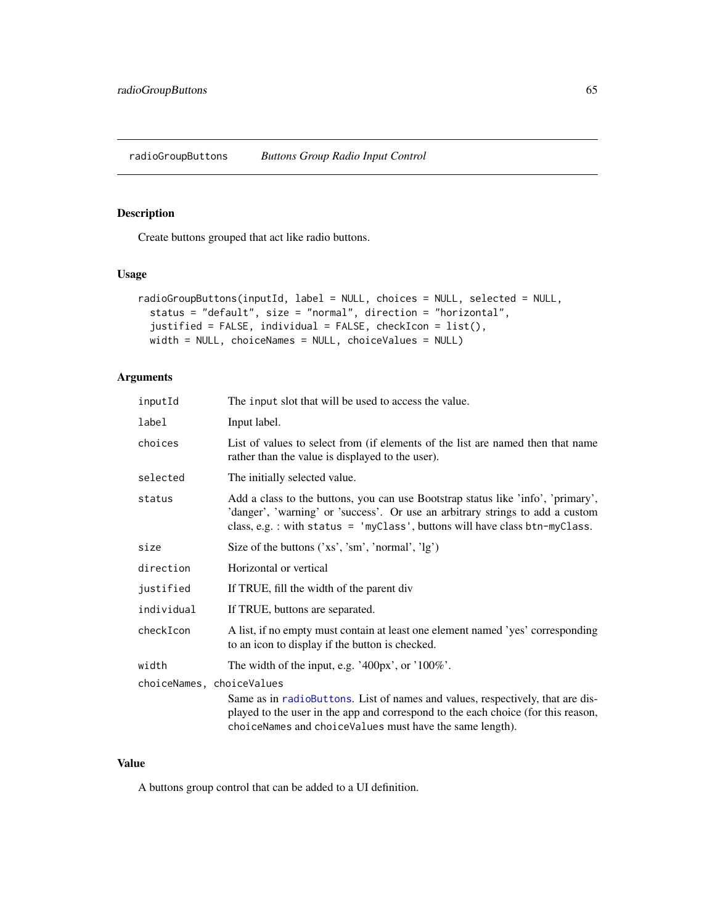## Description

Create buttons grouped that act like radio buttons.

#### Usage

```
radioGroupButtons(inputId, label = NULL, choices = NULL, selected = NULL,
  status = "default", size = "normal", direction = "horizontal",
 justified = FALSE, individual = FALSE, checkIcon = list(),
 width = NULL, choiceNames = NULL, choiceValues = NULL)
```
## Arguments

| inputId                   | The input slot that will be used to access the value.                                                                                                                                                                                               |
|---------------------------|-----------------------------------------------------------------------------------------------------------------------------------------------------------------------------------------------------------------------------------------------------|
| label                     | Input label.                                                                                                                                                                                                                                        |
| choices                   | List of values to select from (if elements of the list are named then that name<br>rather than the value is displayed to the user).                                                                                                                 |
| selected                  | The initially selected value.                                                                                                                                                                                                                       |
| status                    | Add a class to the buttons, you can use Bootstrap status like 'info', 'primary',<br>'danger', 'warning' or 'success'. Or use an arbitrary strings to add a custom<br>class, e.g. : with status = 'myClass', buttons will have class $btn-myClass$ . |
| size                      | Size of the buttons ('xs', 'sm', 'normal', 'lg')                                                                                                                                                                                                    |
| direction                 | Horizontal or vertical                                                                                                                                                                                                                              |
| justified                 | If TRUE, fill the width of the parent div                                                                                                                                                                                                           |
| individual                | If TRUE, buttons are separated.                                                                                                                                                                                                                     |
| checkIcon                 | A list, if no empty must contain at least one element named 'yes' corresponding<br>to an icon to display if the button is checked.                                                                                                                  |
| width                     | The width of the input, e.g. '400px', or ' $100\%$ '.                                                                                                                                                                                               |
| choiceNames, choiceValues | Same as in radioButtons. List of names and values, respectively, that are dis-<br>played to the user in the app and correspond to the each choice (for this reason,<br>choiceNames and choiceValues must have the same length).                     |

#### Value

A buttons group control that can be added to a UI definition.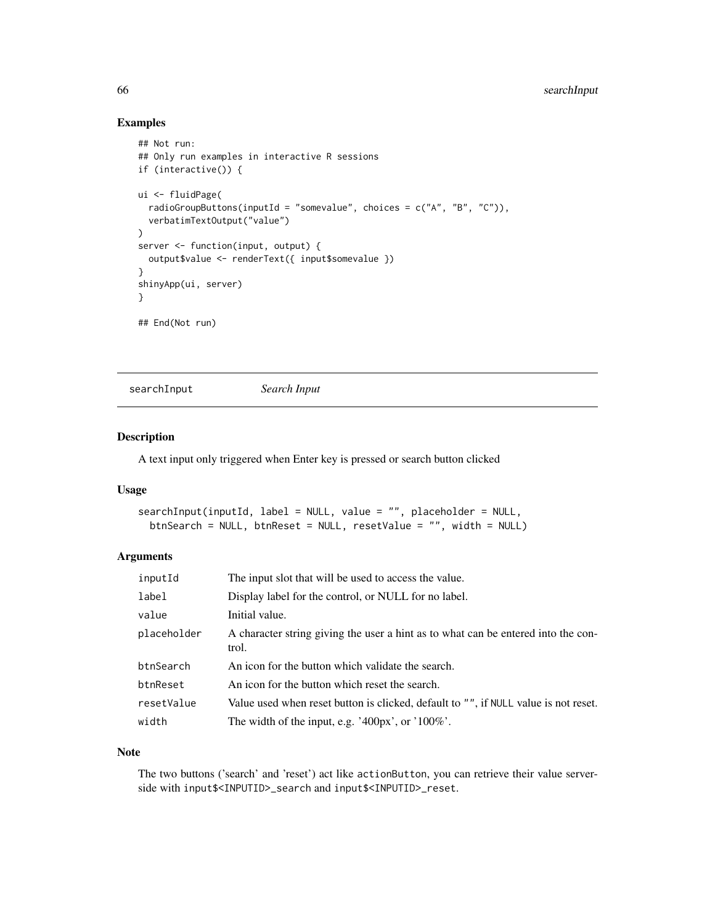## Examples

```
## Not run:
## Only run examples in interactive R sessions
if (interactive()) {
ui <- fluidPage(
  radioGroupButtons(inputId = "somevalue", choices = c("A", "B", "C")),
  verbatimTextOutput("value")
\lambdaserver <- function(input, output) {
 output$value <- renderText({ input$somevalue })
}
shinyApp(ui, server)
}
## End(Not run)
```
searchInput *Search Input*

#### Description

A text input only triggered when Enter key is pressed or search button clicked

#### Usage

```
searchInput(inputId, label = NULL, value = "", placeholder = NULL,
 btnSearch = NULL, btnReset = NULL, resetValue = "", width = NULL)
```
#### Arguments

| inputId     | The input slot that will be used to access the value.                                      |
|-------------|--------------------------------------------------------------------------------------------|
| label       | Display label for the control, or NULL for no label.                                       |
| value       | Initial value.                                                                             |
| placeholder | A character string giving the user a hint as to what can be entered into the con-<br>trol. |
| btnSearch   | An icon for the button which validate the search.                                          |
| btnReset    | An icon for the button which reset the search.                                             |
| resetValue  | Value used when reset button is clicked, default to "", if NULL value is not reset.        |
| width       | The width of the input, e.g. '400px', or '100%'.                                           |

#### Note

The two buttons ('search' and 'reset') act like actionButton, you can retrieve their value serverside with input\$<INPUTID>\_search and input\$<INPUTID>\_reset.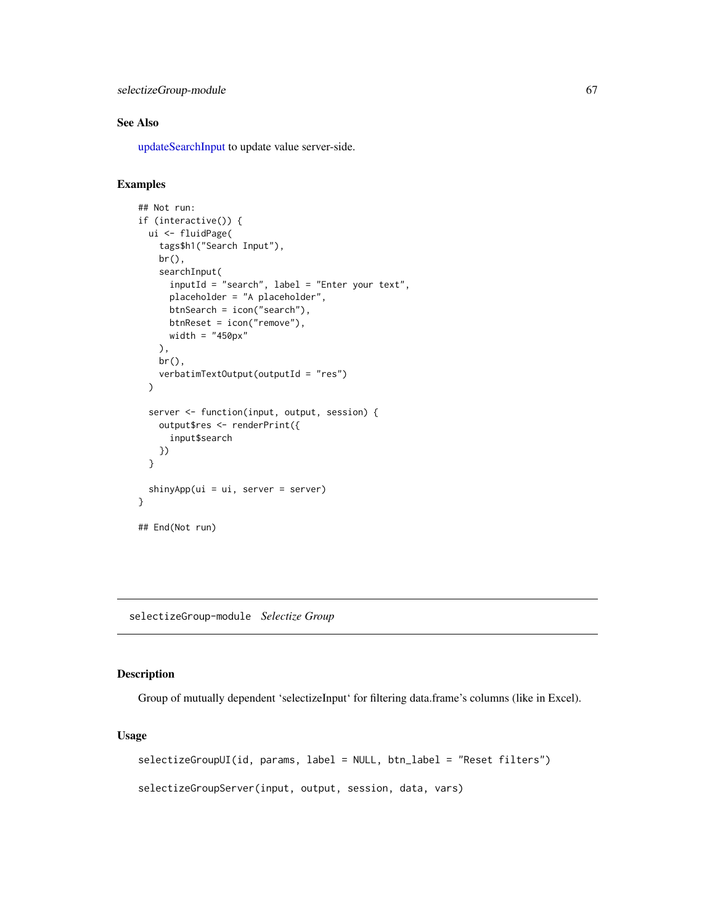selectizeGroup-module 67

## See Also

[updateSearchInput](#page-106-0) to update value server-side.

#### Examples

```
## Not run:
if (interactive()) {
 ui <- fluidPage(
   tags$h1("Search Input"),
   br(),
   searchInput(
      inputId = "search", label = "Enter your text",
     placeholder = "A placeholder",
     btnSearch = icon("search"),
     btnReset = icon("remove"),
     width = "450px"),
   br(),
   verbatimTextOutput(outputId = "res")
 \mathcal{L}server <- function(input, output, session) {
   output$res <- renderPrint({
      input$search
   })
 }
 shinyApp(ui = ui, server = server)
}
## End(Not run)
```
selectizeGroup-module *Selectize Group*

#### Description

Group of mutually dependent 'selectizeInput' for filtering data.frame's columns (like in Excel).

#### Usage

```
selectizeGroupUI(id, params, label = NULL, btn_label = "Reset filters")
selectizeGroupServer(input, output, session, data, vars)
```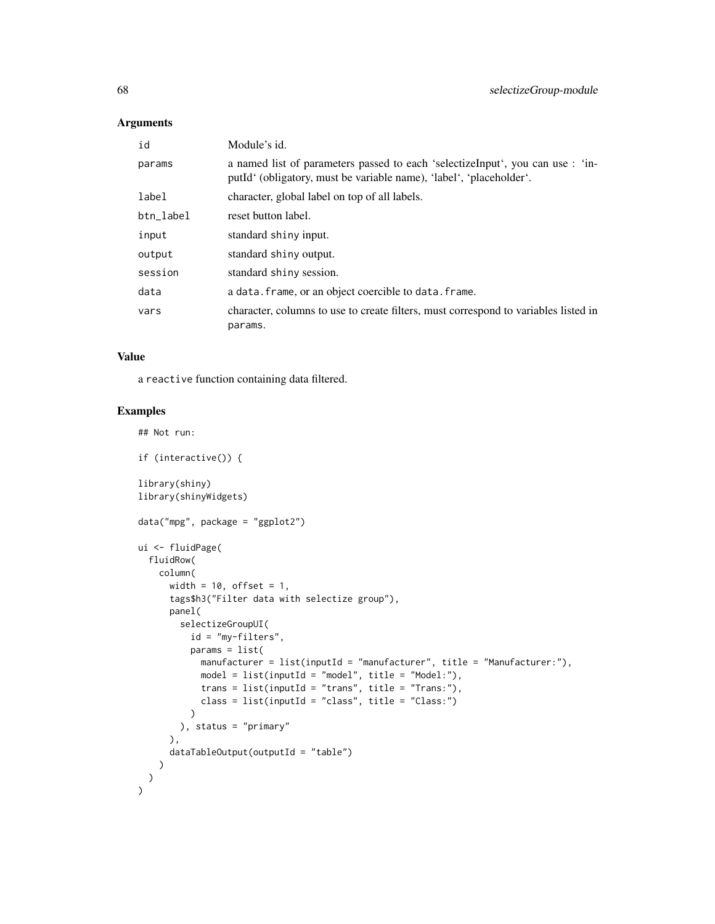## Arguments

| id        | Module's id.                                                                                                                                          |
|-----------|-------------------------------------------------------------------------------------------------------------------------------------------------------|
| params    | a named list of parameters passed to each 'selectizeInput', you can use : 'in-<br>putId' (obligatory, must be variable name), 'label', 'placeholder'. |
| label     | character, global label on top of all labels.                                                                                                         |
| btn_label | reset button label.                                                                                                                                   |
| input     | standard shiny input.                                                                                                                                 |
| output    | standard shiny output.                                                                                                                                |
| session   | standard shiny session.                                                                                                                               |
| data      | a data. frame, or an object coercible to data. frame.                                                                                                 |
| vars      | character, columns to use to create filters, must correspond to variables listed in<br>params.                                                        |

#### Value

a reactive function containing data filtered.

```
## Not run:
if (interactive()) {
library(shiny)
library(shinyWidgets)
data("mpg", package = "ggplot2")
ui <- fluidPage(
  fluidRow(
    column(
      width = 10, offset = 1,
      tags$h3("Filter data with selectize group"),
      panel(
       selectizeGroupUI(
         id = "my-filters",
          params = list(
            manufacturer = list(inputId = "manufacturer", title = "Manufacturer:"),
            model = list(inputId = "model", title = "Model:"),
            trans = list(inputId = "trans", title = "Trans:"),
            class = list(inputId = "class", title = "Class:")
          \lambda), status = "primary"
      ),
      dataTableOutput(outputId = "table")
   )
 )
\mathcal{L}
```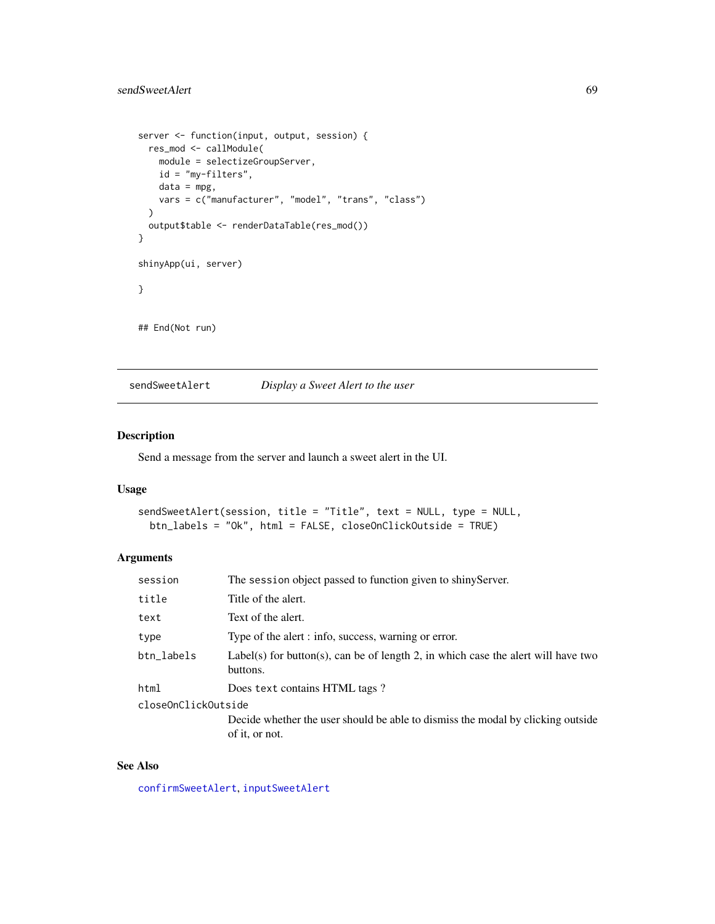## sendSweetAlert 69

```
server <- function(input, output, session) {
 res_mod <- callModule(
   module = selectizeGroupServer,
   id = "my-filters",
   data = mpg,vars = c("manufacturer", "model", "trans", "class")
  )
  output$table <- renderDataTable(res_mod())
}
shinyApp(ui, server)
}
## End(Not run)
```
sendSweetAlert *Display a Sweet Alert to the user*

## Description

Send a message from the server and launch a sweet alert in the UI.

#### Usage

```
sendSweetAlert(session, title = "Title", text = NULL, type = NULL,
 btn_labels = "Ok", html = FALSE, closeOnClickOutside = TRUE)
```
## Arguments

| session             | The session object passed to function given to shiny Server.                                  |
|---------------------|-----------------------------------------------------------------------------------------------|
| title               | Title of the alert.                                                                           |
| text                | Text of the alert.                                                                            |
| type                | Type of the alert : info, success, warning or error.                                          |
| btn_labels          | Label(s) for button(s), can be of length 2, in which case the alert will have two<br>buttons. |
| html                | Does text contains HTML tags?                                                                 |
| closeOnClickOutside |                                                                                               |
|                     | Decide whether the user should be able to dismiss the modal by clicking outside               |
|                     | of it, or not.                                                                                |

#### See Also

[confirmSweetAlert](#page-21-0), [inputSweetAlert](#page-31-0)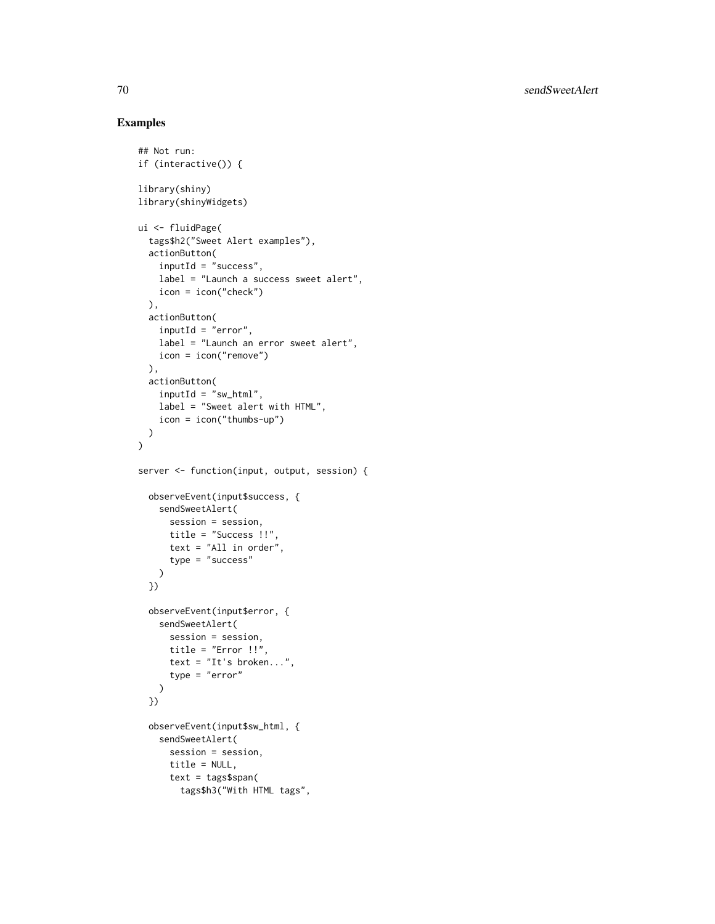```
## Not run:
if (interactive()) {
library(shiny)
library(shinyWidgets)
ui <- fluidPage(
  tags$h2("Sweet Alert examples"),
  actionButton(
    inputId = "success",
   label = "Launch a success sweet alert",
   icon = icon("check")
  ),
  actionButton(
   inputId = "error",
   label = "Launch an error sweet alert",
   icon = icon("remove")
  ),
  actionButton(
    inputId = "sw.html",label = "Sweet alert with HTML",
   icon = icon("thumbs-up")
 )
\mathcal{L}server <- function(input, output, session) {
 observeEvent(input$success, {
   sendSweetAlert(
     session = session,
     title = "Success !!"
     text = "All in order",
      type = "success"
   )
  })
  observeEvent(input$error, {
   sendSweetAlert(
     session = session,
     title = "Error !!",
     text = "It's broken...",type = "error"
   \lambda})
  observeEvent(input$sw_html, {
   sendSweetAlert(
      session = session,
      title = NULL,
      text = tags$span(
       tags$h3("With HTML tags",
```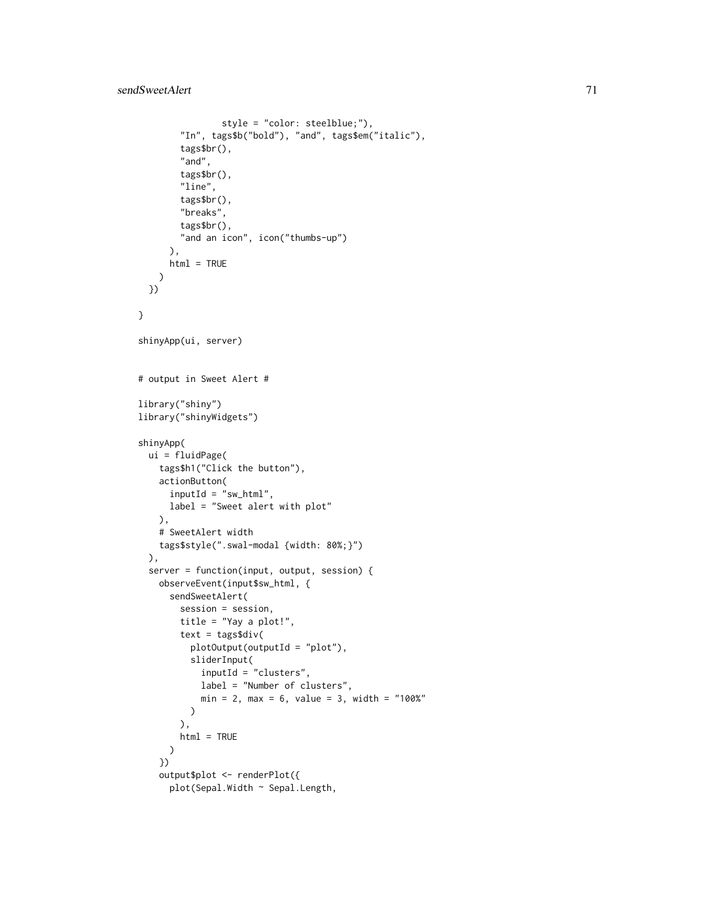```
style = "color: steelblue;"),
        "In", tags$b("bold"), "and", tags$em("italic"),
        tags$br(),
        "and",
        tags$br(),
        "line",
        tags$br(),
        "breaks",
        tags$br(),
        "and an icon", icon("thumbs-up")
      ),
     html = TRUE
   )
  })
}
shinyApp(ui, server)
# output in Sweet Alert #
library("shiny")
library("shinyWidgets")
shinyApp(
  ui = fluidPage(
   tags$h1("Click the button"),
   actionButton(
     inputId = "sw_html",
     label = "Sweet alert with plot"
   ),
    # SweetAlert width
   tags$style(".swal-modal {width: 80%;}")
  ),
  server = function(input, output, session) {
   observeEvent(input$sw_html, {
      sendSweetAlert(
        session = session,
        title = "Yay a plot!",
        text = tags5div(plotOutput(outputId = "plot"),
          sliderInput(
           inputId = "clusters",
           label = "Number of clusters",
           min = 2, max = 6, value = 3, width = "100%")
        ),
       html = TRUE
     \lambda})
    output$plot <- renderPlot({
      plot(Sepal.Width ~ Sepal.Length,
```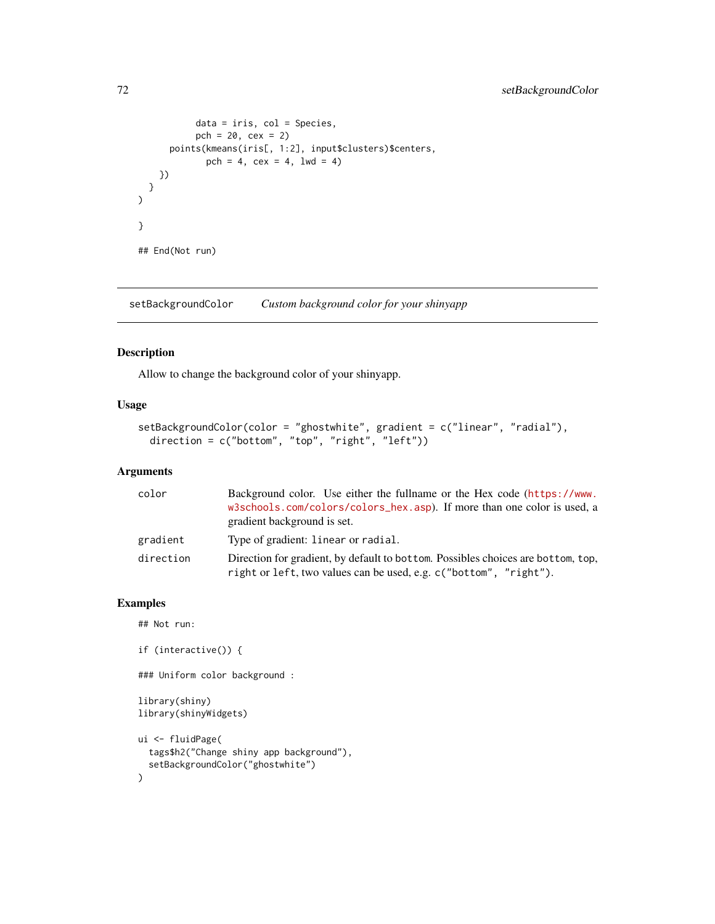```
data = iris, col = Species,pch = 20, cex = 2)points(kmeans(iris[, 1:2], input$clusters)$centers,
             pch = 4, cex = 4, 1wd = 4)
    })
  }
\mathcal{L}}
## End(Not run)
```
setBackgroundColor *Custom background color for your shinyapp*

## Description

Allow to change the background color of your shinyapp.

# Usage

```
setBackgroundColor(color = "ghostwhite", gradient = c("linear", "radial"),
 direction = c("bottom", "top", "right", "left"))
```
#### Arguments

| color     | Background color. Use either the fullname or the Hex code (https://www.<br>w3schools.com/colors/colors_hex.asp). If more than one color is used, a<br>gradient background is set. |
|-----------|-----------------------------------------------------------------------------------------------------------------------------------------------------------------------------------|
| gradient  | Type of gradient: linear or radial.                                                                                                                                               |
| direction | Direction for gradient, by default to bottom. Possibles choices are bottom, top,<br>right or left, two values can be used, e.g. c("bottom", "right").                             |

```
## Not run:
if (interactive()) {
### Uniform color background :
library(shiny)
library(shinyWidgets)
ui <- fluidPage(
  tags$h2("Change shiny app background"),
  setBackgroundColor("ghostwhite")
)
```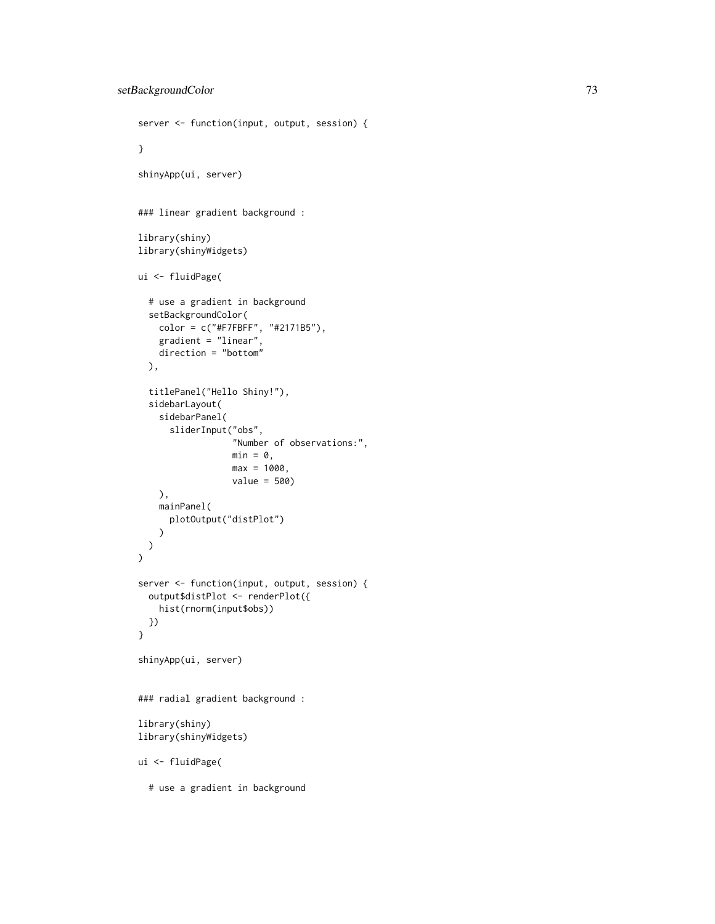```
server <- function(input, output, session) {
}
shinyApp(ui, server)
### linear gradient background :
library(shiny)
library(shinyWidgets)
ui <- fluidPage(
  # use a gradient in background
  setBackgroundColor(
   color = c("#F7FBFF", "#2171B5"),
   gradient = "linear",
   direction = "bottom"
  ),
  titlePanel("Hello Shiny!"),
  sidebarLayout(
   sidebarPanel(
      sliderInput("obs",
                  "Number of observations:",
                  min = 0,
                  max = 1000,
                  value = 500)
   ),
   mainPanel(
     plotOutput("distPlot")
   )
 )
\mathcal{L}server <- function(input, output, session) {
  output$distPlot <- renderPlot({
    hist(rnorm(input$obs))
 })
}
shinyApp(ui, server)
### radial gradient background :
library(shiny)
library(shinyWidgets)
ui <- fluidPage(
  # use a gradient in background
```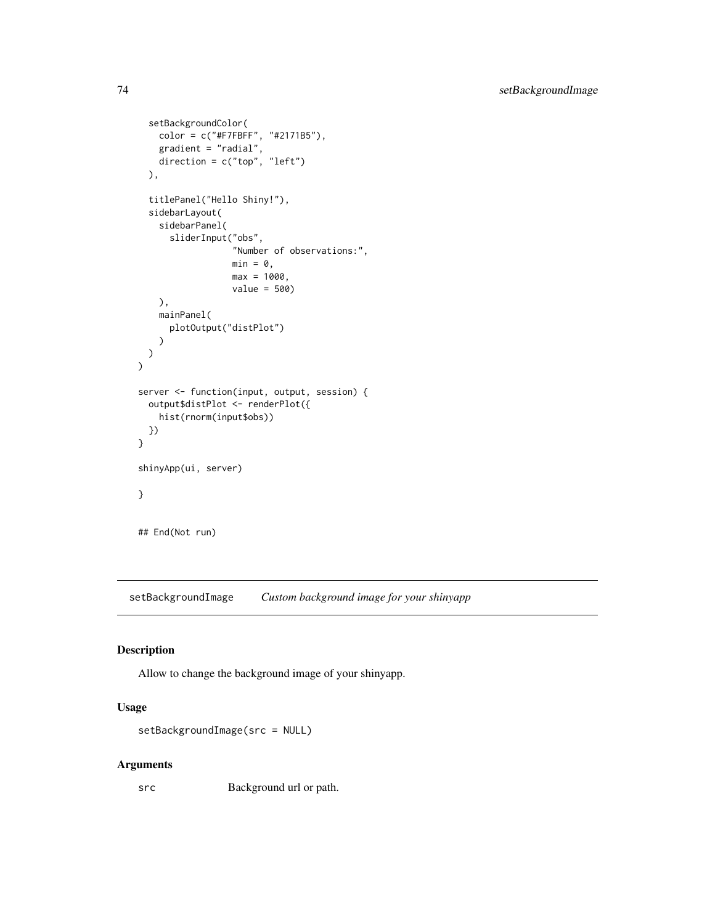```
setBackgroundColor(
    color = c("#F7FBFF", "#2171B5"),
    gradient = "radial",
    direction = c("top", "left")
  ),
  titlePanel("Hello Shiny!"),
  sidebarLayout(
    sidebarPanel(
      sliderInput("obs",
                   "Number of observations:",
                  min = 0,
                  max = 1000,value = 500)
    ),
    mainPanel(
      plotOutput("distPlot")
    )
 )
\mathcal{L}server <- function(input, output, session) {
  output$distPlot <- renderPlot({
    hist(rnorm(input$obs))
  })
}
shinyApp(ui, server)
}
## End(Not run)
```
setBackgroundImage *Custom background image for your shinyapp*

## Description

Allow to change the background image of your shinyapp.

#### Usage

```
setBackgroundImage(src = NULL)
```
#### Arguments

src Background url or path.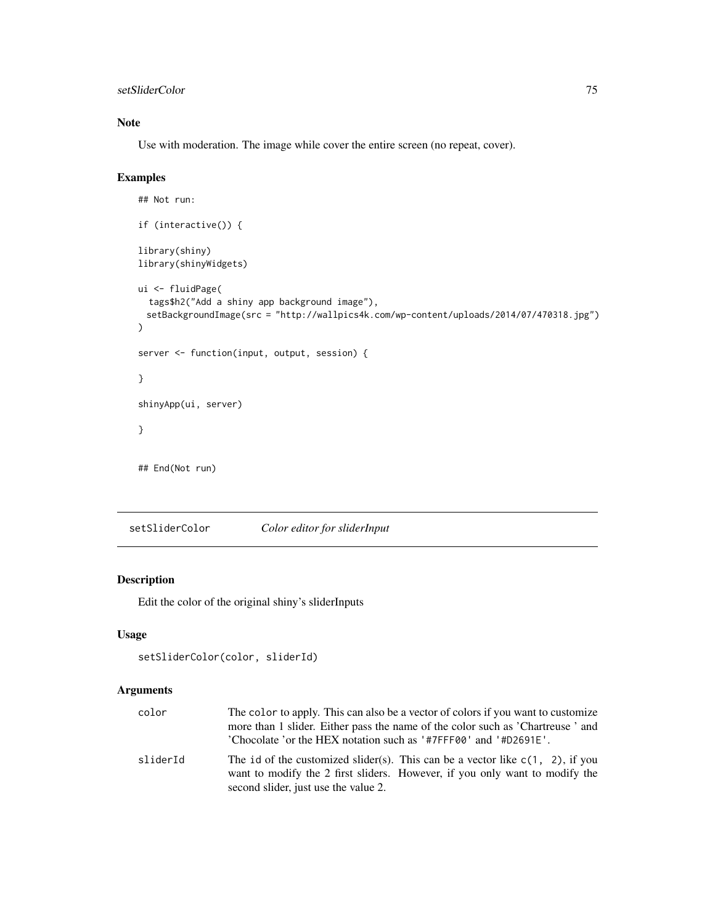setSliderColor 75

# Note

Use with moderation. The image while cover the entire screen (no repeat, cover).

## Examples

```
## Not run:
if (interactive()) {
library(shiny)
library(shinyWidgets)
ui <- fluidPage(
  tags$h2("Add a shiny app background image"),
 setBackgroundImage(src = "http://wallpics4k.com/wp-content/uploads/2014/07/470318.jpg")
\mathcal{L}server <- function(input, output, session) {
}
shinyApp(ui, server)
}
## End(Not run)
```
setSliderColor *Color editor for sliderInput*

# Description

Edit the color of the original shiny's sliderInputs

# Usage

```
setSliderColor(color, sliderId)
```

| color    | The color to apply. This can also be a vector of colors if you want to customize<br>more than 1 slider. Either pass the name of the color such as 'Chartreuse' and<br>'Chocolate 'or the HEX notation such as '#7FFF00' and '#D2691E'. |
|----------|----------------------------------------------------------------------------------------------------------------------------------------------------------------------------------------------------------------------------------------|
| sliderId | The id of the customized slider(s). This can be a vector like $c(1, 2)$ , if you<br>want to modify the 2 first sliders. However, if you only want to modify the<br>second slider, just use the value 2.                                |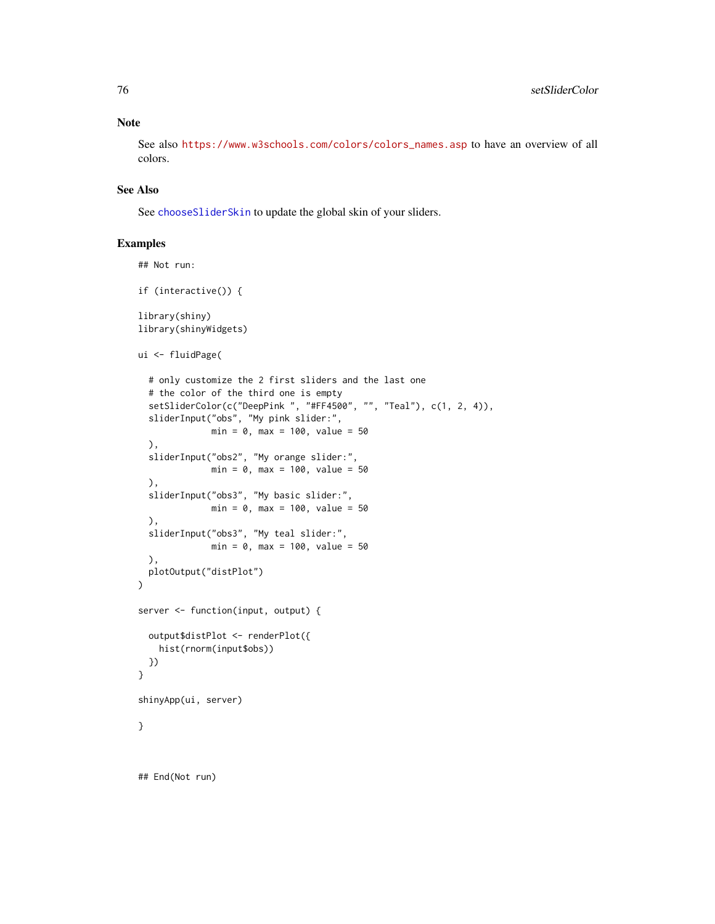#### Note

See also [https://www.w3schools.com/colors/colors\\_names.asp](https://www.w3schools.com/colors/colors_names.asp) to have an overview of all colors.

#### See Also

See [chooseSliderSkin](#page-17-0) to update the global skin of your sliders.

# Examples

```
## Not run:
if (interactive()) {
library(shiny)
library(shinyWidgets)
ui <- fluidPage(
  # only customize the 2 first sliders and the last one
  # the color of the third one is empty
  setSliderColor(c("DeepPink ", "#FF4500", "", "Teal"), c(1, 2, 4)),
  sliderInput("obs", "My pink slider:",
              min = 0, max = 100, value = 50
  ),
  sliderInput("obs2", "My orange slider:",
              min = 0, max = 100, value = 50),
  sliderInput("obs3", "My basic slider:",
              min = 0, max = 100, value = 50),
  sliderInput("obs3", "My teal slider:",
              min = 0, max = 100, value = 50
  ),
  plotOutput("distPlot")
\mathcal{L}server <- function(input, output) {
  output$distPlot <- renderPlot({
   hist(rnorm(input$obs))
  })
}
shinyApp(ui, server)
}
```
## End(Not run)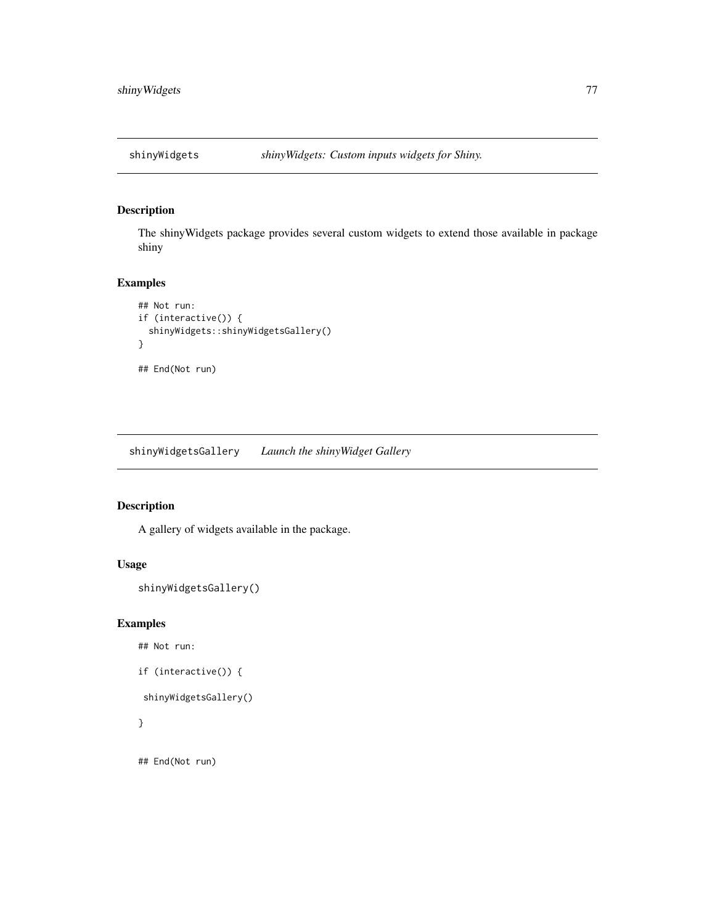# Description

The shinyWidgets package provides several custom widgets to extend those available in package shiny

# Examples

```
## Not run:
if (interactive()) {
  shinyWidgets::shinyWidgetsGallery()
}
## End(Not run)
```
shinyWidgetsGallery *Launch the shinyWidget Gallery*

# Description

A gallery of widgets available in the package.

# Usage

```
shinyWidgetsGallery()
```
# Examples

## Not run:

```
if (interactive()) {
```

```
shinyWidgetsGallery()
```
}

## End(Not run)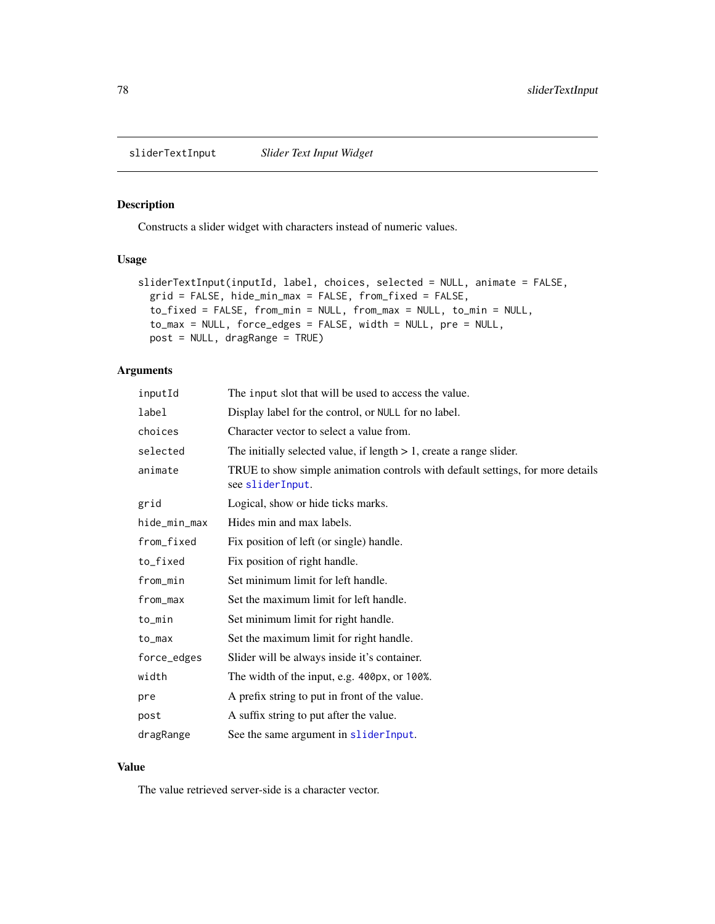sliderTextInput *Slider Text Input Widget*

# Description

Constructs a slider widget with characters instead of numeric values.

## Usage

```
sliderTextInput(inputId, label, choices, selected = NULL, animate = FALSE,
  grid = FALSE, hide_min_max = FALSE, from_fixed = FALSE,
  to_fixed = FALSE, from_min = NULL, from_max = NULL, to_min = NULL,
  to_max = NULL, force_edges = FALSE, width = NULL, pre = NULL,
 post = NULL, dragRange = TRUE)
```
# Arguments

| inputId      | The input slot that will be used to access the value.                                              |
|--------------|----------------------------------------------------------------------------------------------------|
| label        | Display label for the control, or NULL for no label.                                               |
| choices      | Character vector to select a value from.                                                           |
| selected     | The initially selected value, if length $> 1$ , create a range slider.                             |
| animate      | TRUE to show simple animation controls with default settings, for more details<br>see sliderInput. |
| grid         | Logical, show or hide ticks marks.                                                                 |
| hide_min_max | Hides min and max labels.                                                                          |
| from_fixed   | Fix position of left (or single) handle.                                                           |
| to_fixed     | Fix position of right handle.                                                                      |
| from_min     | Set minimum limit for left handle.                                                                 |
| from_max     | Set the maximum limit for left handle.                                                             |
| to_min       | Set minimum limit for right handle.                                                                |
| to_max       | Set the maximum limit for right handle.                                                            |
| force_edges  | Slider will be always inside it's container.                                                       |
| width        | The width of the input, e.g. 400px, or 100%.                                                       |
| pre          | A prefix string to put in front of the value.                                                      |
| post         | A suffix string to put after the value.                                                            |
| dragRange    | See the same argument in sliderInput.                                                              |

## Value

The value retrieved server-side is a character vector.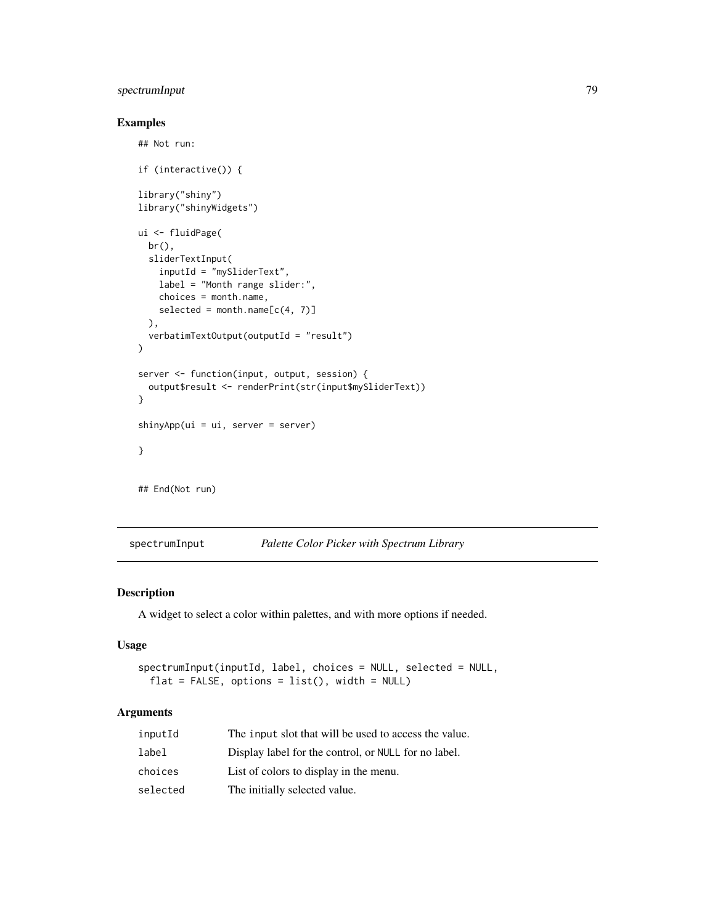# spectrumInput 79

# Examples

```
## Not run:
if (interactive()) {
library("shiny")
library("shinyWidgets")
ui <- fluidPage(
  br(),
  sliderTextInput(
    inputId = "mySliderText",
    label = "Month range slider:",
    choices = month.name,
    selected = month.name[c(4, 7)]),
  verbatimTextOutput(outputId = "result")
\mathcal{L}server <- function(input, output, session) {
  output$result <- renderPrint(str(input$mySliderText))
}
shinyApp(ui = ui, server = server)
}
## End(Not run)
```
spectrumInput *Palette Color Picker with Spectrum Library*

## Description

A widget to select a color within palettes, and with more options if needed.

#### Usage

```
spectrumInput(inputId, label, choices = NULL, selected = NULL,
 flat = FALSE, options = list(), width = NULL)
```

| inputId  | The input slot that will be used to access the value. |
|----------|-------------------------------------------------------|
| label    | Display label for the control, or NULL for no label.  |
| choices  | List of colors to display in the menu.                |
| selected | The initially selected value.                         |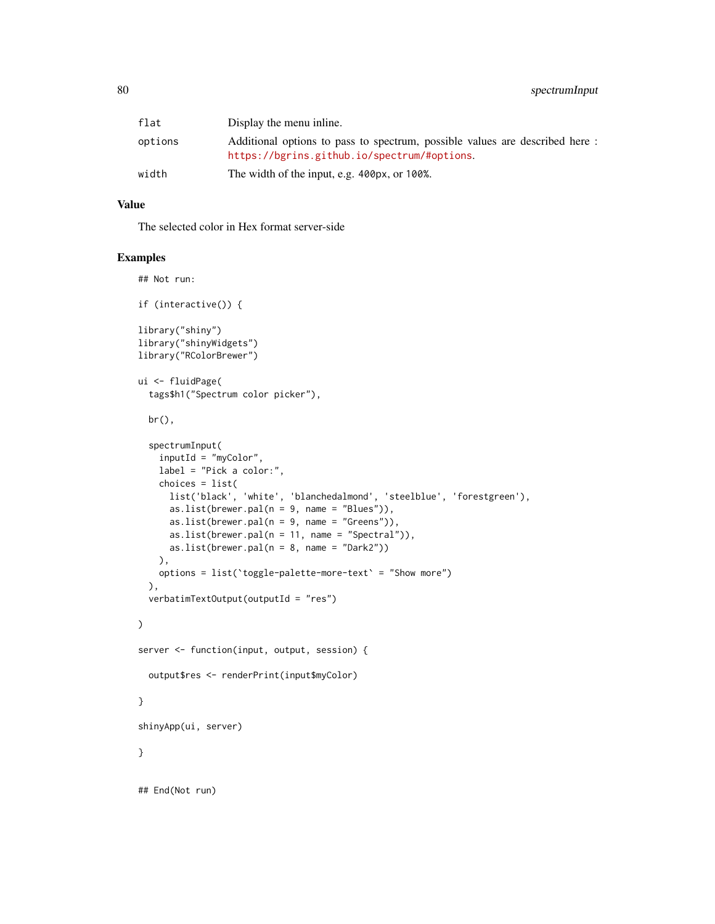| flat    | Display the menu inline.                                                                                                   |
|---------|----------------------------------------------------------------------------------------------------------------------------|
| options | Additional options to pass to spectrum, possible values are described here:<br>https://bgrins.github.io/spectrum/#options. |
| width   | The width of the input, e.g. 400px, or 100%.                                                                               |

## Value

The selected color in Hex format server-side

```
## Not run:
if (interactive()) {
library("shiny")
library("shinyWidgets")
library("RColorBrewer")
ui <- fluidPage(
  tags$h1("Spectrum color picker"),
  br(),
  spectrumInput(
   inputId = "myColor",
   label = "Pick a color:",
   choices = list(
     list('black', 'white', 'blanchedalmond', 'steelblue', 'forestgreen'),
     as.list(brewer.pal(n = 9, name = "Blues")),
     as.list(brewer.pal(n = 9, name = "Greens")),
     as.list(brewer.pal(n = 11, name = "Spectral")),
     as.list(brewer.pal(n = 8, name = "Dark2"))
   ),
   options = list(`toggle-palette-more-text` = "Show more")
  ),
  verbatimTextOutput(outputId = "res")
\lambdaserver <- function(input, output, session) {
  output$res <- renderPrint(input$myColor)
}
shinyApp(ui, server)
}
## End(Not run)
```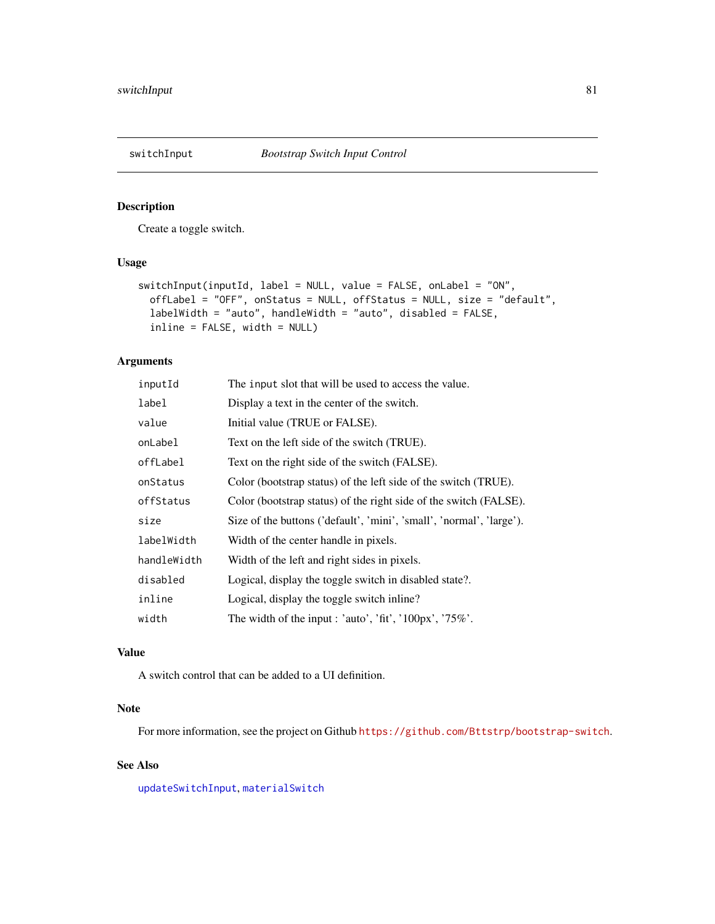# Description

Create a toggle switch.

# Usage

```
switchInput(inputId, label = NULL, value = FALSE, onLabel = "ON",
 offLabel = "OFF", onStatus = NULL, offStatus = NULL, size = "default",
 labelWidth = "auto", handleWidth = "auto", disabled = FALSE,
 inline = FALSE, width = NULL)
```
## Arguments

| inputId     | The input slot that will be used to access the value.                |
|-------------|----------------------------------------------------------------------|
| label       | Display a text in the center of the switch.                          |
| value       | Initial value (TRUE or FALSE).                                       |
| onLabel     | Text on the left side of the switch (TRUE).                          |
| offLabel    | Text on the right side of the switch (FALSE).                        |
| onStatus    | Color (bootstrap status) of the left side of the switch (TRUE).      |
| offStatus   | Color (bootstrap status) of the right side of the switch (FALSE).    |
| size        | Size of the buttons ('default', 'mini', 'small', 'normal', 'large'). |
| labelWidth  | Width of the center handle in pixels.                                |
| handleWidth | Width of the left and right sides in pixels.                         |
| disabled    | Logical, display the toggle switch in disabled state?.               |
| inline      | Logical, display the toggle switch inline?                           |
| width       | The width of the input : 'auto', 'fit', ' $100px'$ , ' $75%$ '.      |

#### Value

A switch control that can be added to a UI definition.

#### Note

For more information, see the project on Github <https://github.com/Bttstrp/bootstrap-switch>.

# See Also

[updateSwitchInput](#page-111-0), [materialSwitch](#page-34-0)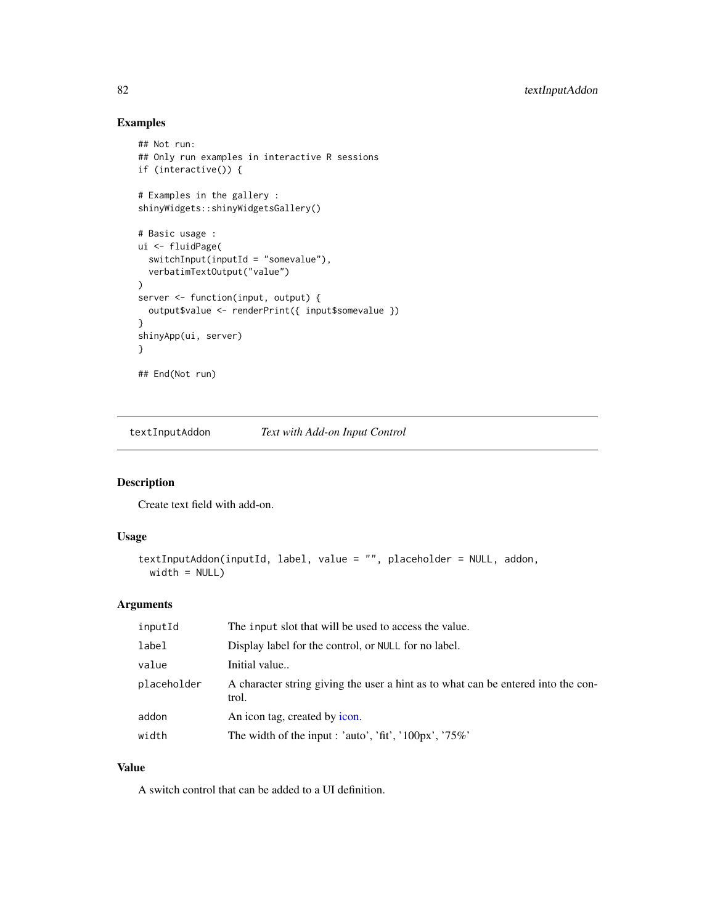# Examples

```
## Not run:
## Only run examples in interactive R sessions
if (interactive()) {
# Examples in the gallery :
shinyWidgets::shinyWidgetsGallery()
# Basic usage :
ui <- fluidPage(
  switchInput(inputId = "somevalue"),
 verbatimTextOutput("value")
\mathcal{L}server <- function(input, output) {
 output$value <- renderPrint({ input$somevalue })
}
shinyApp(ui, server)
}
## End(Not run)
```
textInputAddon *Text with Add-on Input Control*

# Description

Create text field with add-on.

#### Usage

```
textInputAddon(inputId, label, value = "", placeholder = NULL, addon,
 width = NULL)
```
# Arguments

| inputId     | The input slot that will be used to access the value.                                      |
|-------------|--------------------------------------------------------------------------------------------|
| label       | Display label for the control, or NULL for no label.                                       |
| value       | Initial value                                                                              |
| placeholder | A character string giving the user a hint as to what can be entered into the con-<br>trol. |
| addon       | An icon tag, created by icon.                                                              |
| width       | The width of the input : 'auto', 'fit', ' $100px'$ , ' $75%$ '                             |

# Value

A switch control that can be added to a UI definition.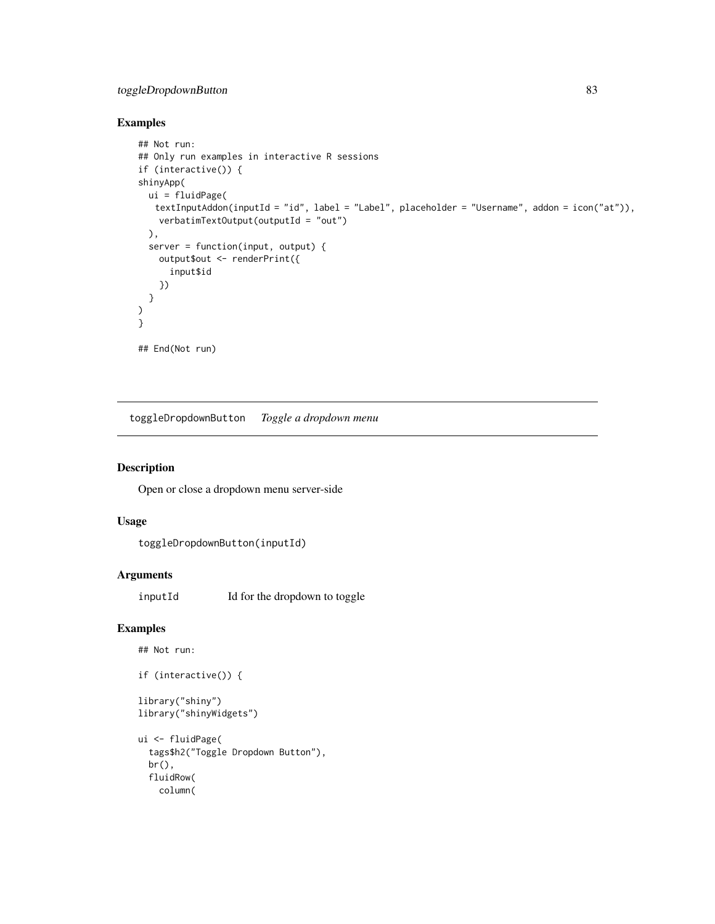# toggleDropdownButton 83

# Examples

```
## Not run:
## Only run examples in interactive R sessions
if (interactive()) {
shinyApp(
  ui = fluidPage(
   textInputAddon(inputId = "id", label = "Label", placeholder = "Username", addon = icon("at")),
    verbatimTextOutput(outputId = "out")
  ),
  server = function(input, output) {
    output$out <- renderPrint({
      input$id
    })
  }
\mathcal{L}}
## End(Not run)
```
toggleDropdownButton *Toggle a dropdown menu*

# Description

Open or close a dropdown menu server-side

# Usage

```
toggleDropdownButton(inputId)
```
## Arguments

inputId Id for the dropdown to toggle

```
## Not run:
```

```
if (interactive()) {
```

```
library("shiny")
library("shinyWidgets")
```

```
ui <- fluidPage(
  tags$h2("Toggle Dropdown Button"),
  br(),
  fluidRow(
   column(
```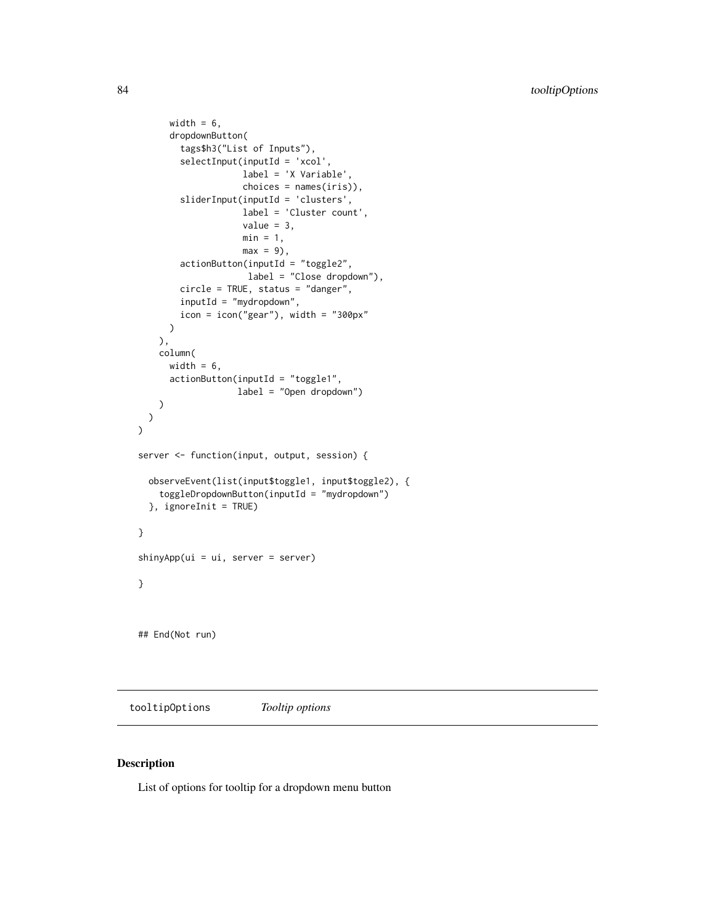```
width = 6,
      dropdownButton(
        tags$h3("List of Inputs"),
        selectInput(inputId = 'xcol',
                    label = 'X Variable',
                    choices = names(iris)),
        sliderInput(inputId = 'clusters',
                    label = 'Cluster count',
                    value = 3,
                    min = 1,
                    max = 9,
        actionButton(inputId = "toggle2",
                     label = "Close dropdown"),
        circle = TRUE, status = "danger",
        inputId = "mydropdown",
        icon = icon("gear"), width = "300px"
      )
   ),
    column(
      width = 6,
      actionButton(inputId = "toggle1",
                   label = "Open dropdown")
   )
 )
\mathcal{L}server <- function(input, output, session) {
  observeEvent(list(input$toggle1, input$toggle2), {
    toggleDropdownButton(inputId = "mydropdown")
  }, ignoreInit = TRUE)
}
shinyApp(ui = ui, server = server)
}
## End(Not run)
```
tooltipOptions *Tooltip options*

# Description

List of options for tooltip for a dropdown menu button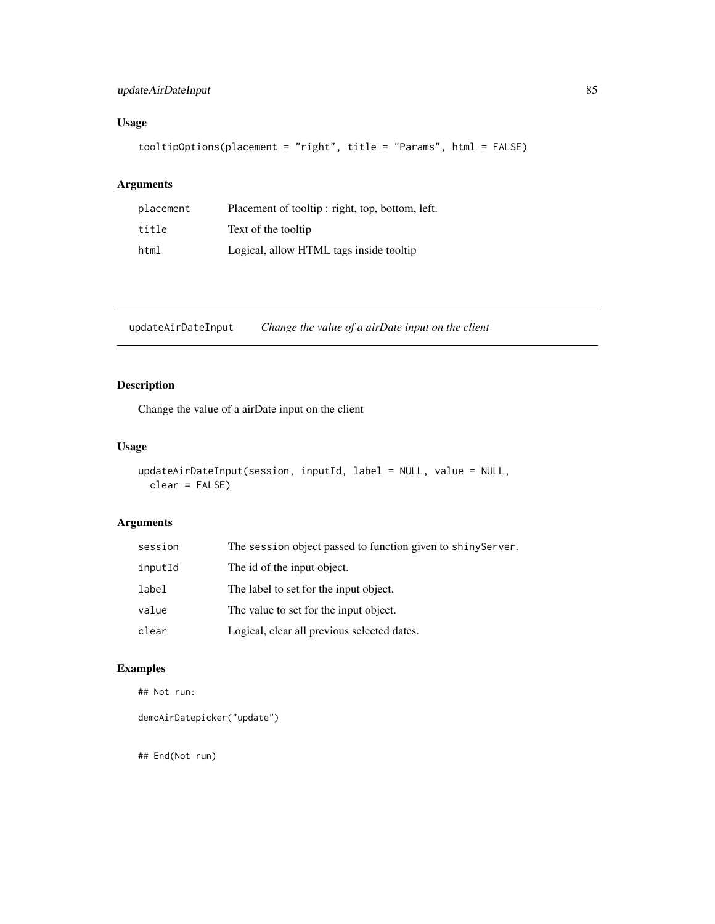# updateAirDateInput 85

# Usage

```
tooltipOptions(placement = "right", title = "Params", html = FALSE)
```
# Arguments

| placement | Placement of tooltip: right, top, bottom, left. |
|-----------|-------------------------------------------------|
| title     | Text of the tooltip                             |
| html      | Logical, allow HTML tags inside tooltip         |

updateAirDateInput *Change the value of a airDate input on the client*

# Description

Change the value of a airDate input on the client

# Usage

```
updateAirDateInput(session, inputId, label = NULL, value = NULL,
 clear = FALSE)
```
# Arguments

| session | The session object passed to function given to shiny Server. |
|---------|--------------------------------------------------------------|
| inputId | The id of the input object.                                  |
| label   | The label to set for the input object.                       |
| value   | The value to set for the input object.                       |
| clear   | Logical, clear all previous selected dates.                  |

# Examples

## Not run:

```
demoAirDatepicker("update")
```
## End(Not run)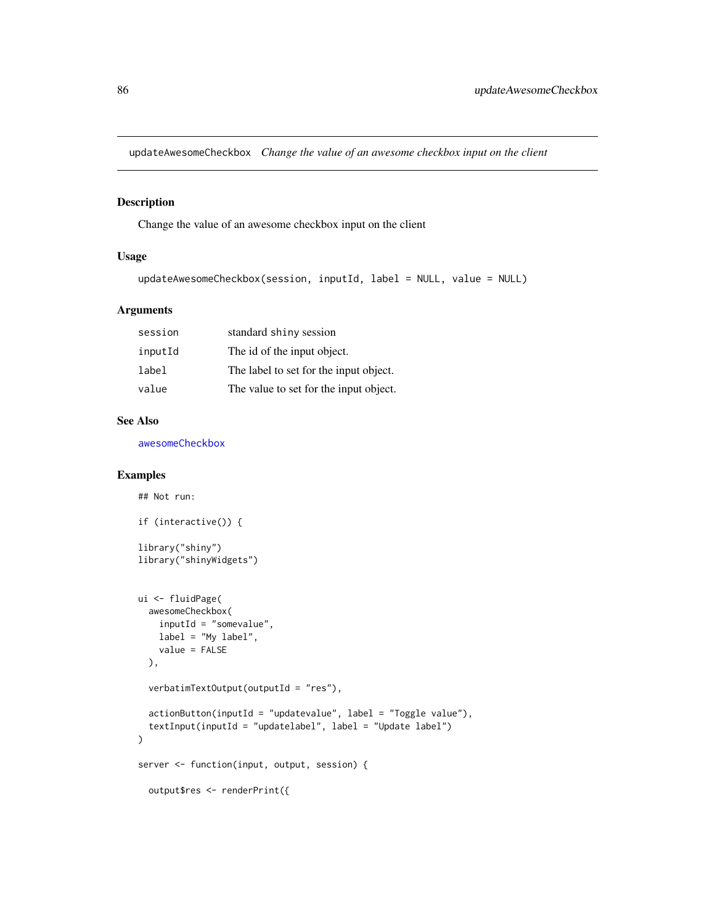updateAwesomeCheckbox *Change the value of an awesome checkbox input on the client*

#### Description

Change the value of an awesome checkbox input on the client

# Usage

```
updateAwesomeCheckbox(session, inputId, label = NULL, value = NULL)
```
## Arguments

| session | standard shiny session                 |
|---------|----------------------------------------|
| inputId | The id of the input object.            |
| label   | The label to set for the input object. |
| value   | The value to set for the input object. |

#### See Also

[awesomeCheckbox](#page-12-0)

## Not run:

```
if (interactive()) {
library("shiny")
library("shinyWidgets")
ui <- fluidPage(
  awesomeCheckbox(
   inputId = "somevalue",
   label = "My label".value = FALSE
  ),
  verbatimTextOutput(outputId = "res"),
  actionButton(inputId = "updatevalue", label = "Together"),textInput(inputId = "updatelabel", label = "Update label")
)
server <- function(input, output, session) {
  output$res <- renderPrint({
```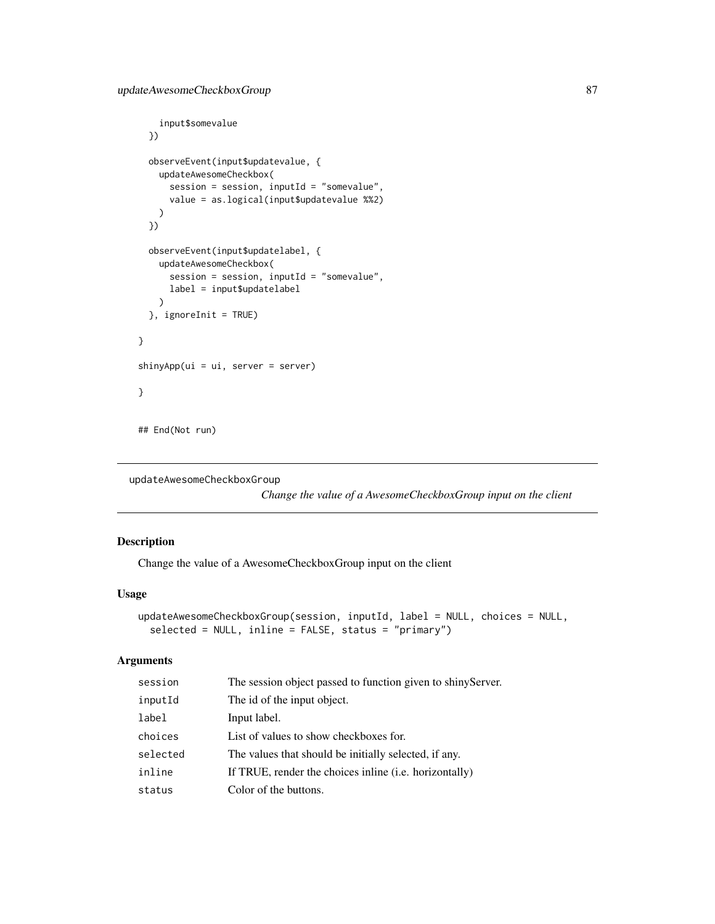```
input$somevalue
 })
 observeEvent(input$updatevalue, {
   updateAwesomeCheckbox(
      session = session, inputId = "somevalue",
      value = as.logical(input$updatevalue %%2)
   )
 })
 observeEvent(input$updatelabel, {
   updateAwesomeCheckbox(
      session = session, inputId = "somevalue",
      label = input$updatelabel
   \lambda}, ignoreInit = TRUE)
}
shinyApp(ui = ui, server = server)
}
## End(Not run)
```

```
updateAwesomeCheckboxGroup
```
*Change the value of a AwesomeCheckboxGroup input on the client*

#### Description

Change the value of a AwesomeCheckboxGroup input on the client

## Usage

```
updateAwesomeCheckboxGroup(session, inputId, label = NULL, choices = NULL,
  selected = NULL, inline = FALSE, status = "primary")
```

| session  | The session object passed to function given to shiny Server. |
|----------|--------------------------------------------------------------|
| inputId  | The id of the input object.                                  |
| label    | Input label.                                                 |
| choices  | List of values to show checkboxes for.                       |
| selected | The values that should be initially selected, if any.        |
| inline   | If TRUE, render the choices in line (i.e. horizontally)      |
| status   | Color of the buttons.                                        |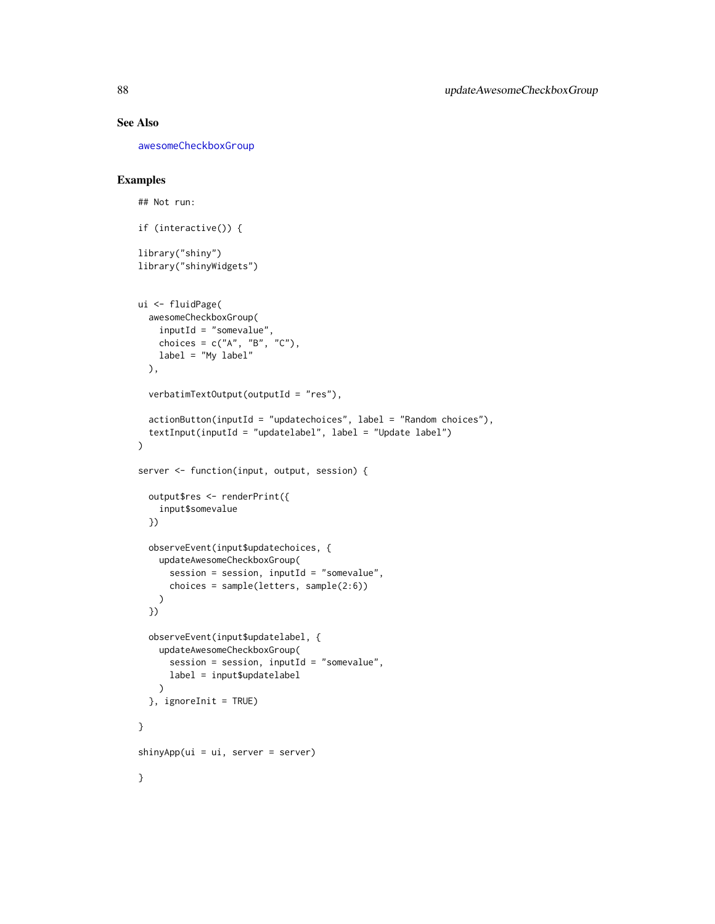## See Also

[awesomeCheckboxGroup](#page-13-0)

```
## Not run:
if (interactive()) {
library("shiny")
library("shinyWidgets")
ui <- fluidPage(
  awesomeCheckboxGroup(
   inputId = "somevalue",
   choices = c("A", "B", "C"),label = "My label"
  ),
  verbatimTextOutput(outputId = "res"),
  actionButton(inputId = "updatechoices", label = "Random choices"),
  textInput(inputId = "updatelabel", label = "Update label")
)
server <- function(input, output, session) {
  output$res <- renderPrint({
    input$somevalue
  })
  observeEvent(input$updatechoices, {
   updateAwesomeCheckboxGroup(
      session = session, inputId = "somevalue",
      choices = sample(letters, sample(2:6))
   )
  })
  observeEvent(input$updatelabel, {
   updateAwesomeCheckboxGroup(
      session = session, inputId = "somevalue",
     label = input$updatelabel
   \lambda}, ignoreInit = TRUE)
}
shinyApp(ui = ui, server = server)
}
```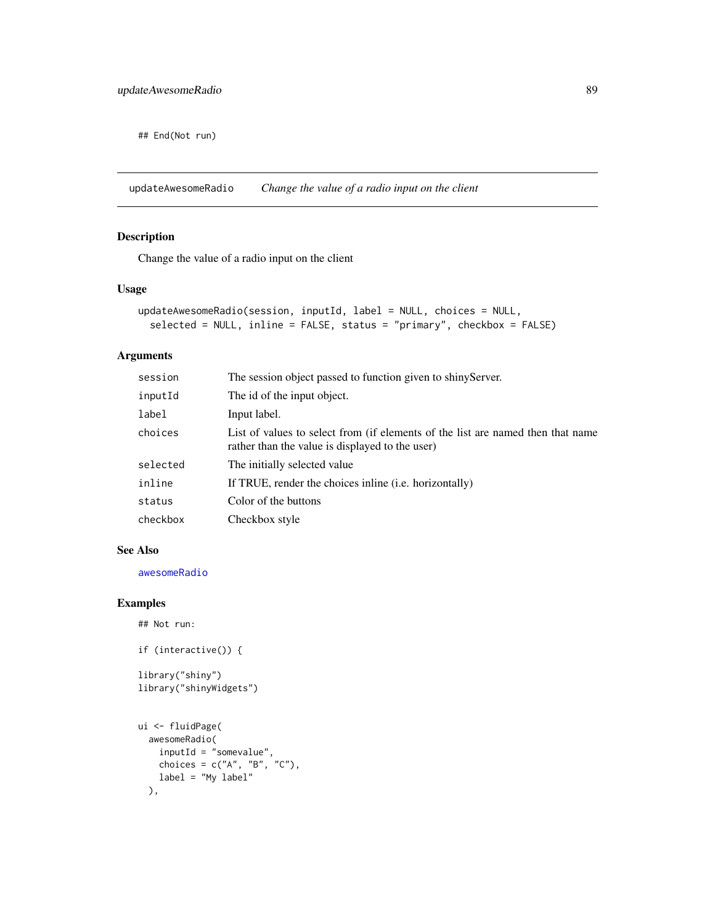## End(Not run)

updateAwesomeRadio *Change the value of a radio input on the client*

# Description

Change the value of a radio input on the client

#### Usage

```
updateAwesomeRadio(session, inputId, label = NULL, choices = NULL,
  selected = NULL, inline = FALSE, status = "primary", checkbox = FALSE)
```
# Arguments

| session  | The session object passed to function given to shiny Server.                                                                       |
|----------|------------------------------------------------------------------------------------------------------------------------------------|
| inputId  | The id of the input object.                                                                                                        |
| label    | Input label.                                                                                                                       |
| choices  | List of values to select from (if elements of the list are named then that name<br>rather than the value is displayed to the user) |
| selected | The initially selected value                                                                                                       |
| inline   | If TRUE, render the choices in line (i.e. horizontally)                                                                            |
| status   | Color of the buttons                                                                                                               |
| checkbox | Checkbox style                                                                                                                     |

## See Also

[awesomeRadio](#page-14-0)

```
## Not run:
```

```
if (interactive()) {
library("shiny")
library("shinyWidgets")
ui <- fluidPage(
```

```
awesomeRadio(
 inputId = "somevalue",
 choices = c("A", "B", "C"),label = "My label"
),
```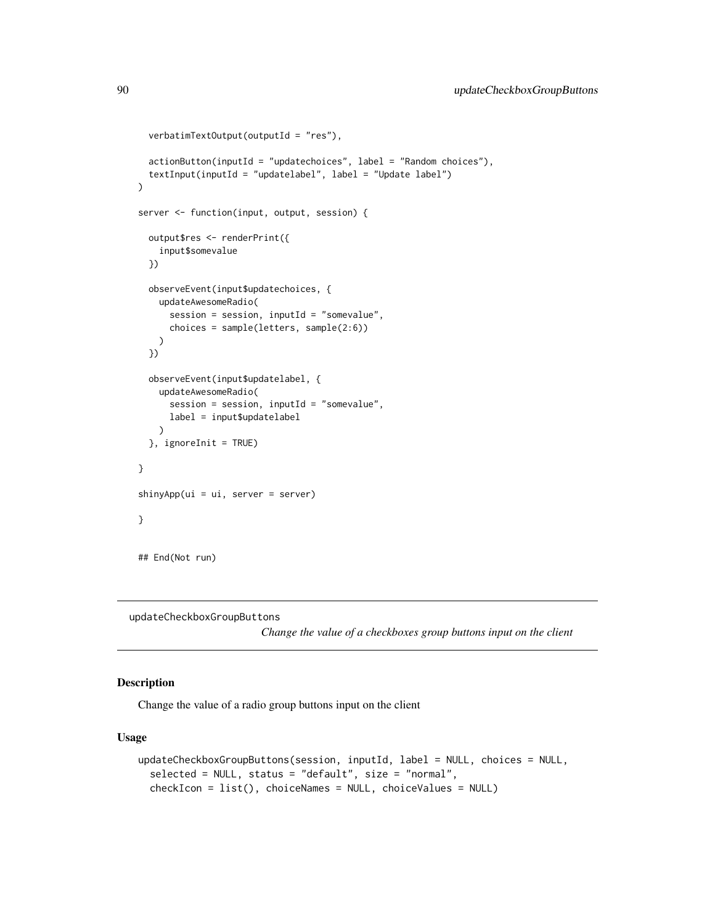```
verbatimTextOutput(outputId = "res"),
 actionButton(inputId = "updatechoices", label = "Random choices"),textInput(inputId = "updatelabel", label = "Update label")
\mathcal{L}server <- function(input, output, session) {
 output$res <- renderPrint({
    input$somevalue
 })
 observeEvent(input$updatechoices, {
   updateAwesomeRadio(
      session = session, inputId = "somevalue",
      choices = sample(letters, sample(2:6))
   )
 })
 observeEvent(input$updatelabel, {
   updateAwesomeRadio(
      session = session, inputId = "somevalue",
      label = input$updatelabel
   \lambda}, ignoreInit = TRUE)
}
shinyApp(ui = ui, server = server)
}
## End(Not run)
```
updateCheckboxGroupButtons

*Change the value of a checkboxes group buttons input on the client*

#### Description

Change the value of a radio group buttons input on the client

# Usage

```
updateCheckboxGroupButtons(session, inputId, label = NULL, choices = NULL,
  selected = NULL, status = "default", size = "normal",
  checkIcon = list(), choiceNames = NULL, choiceValues = NULL)
```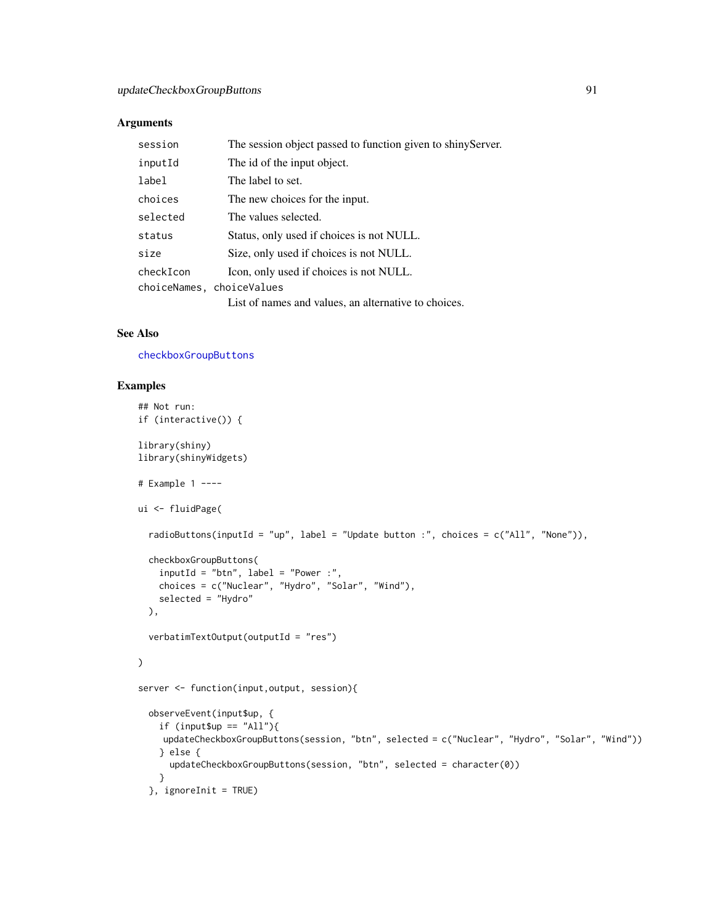## Arguments

| session   | The session object passed to function given to shinyServer. |
|-----------|-------------------------------------------------------------|
| inputId   | The id of the input object.                                 |
| label     | The label to set.                                           |
| choices   | The new choices for the input.                              |
| selected  | The values selected.                                        |
| status    | Status, only used if choices is not NULL.                   |
| size      | Size, only used if choices is not NULL.                     |
| checkIcon | Icon, only used if choices is not NULL.                     |
|           | choiceNames, choiceValues                                   |
|           | List of names and values, an alternative to choices.        |

# See Also

[checkboxGroupButtons](#page-16-0)

```
## Not run:
if (interactive()) {
library(shiny)
library(shinyWidgets)
# Example 1 ----
ui <- fluidPage(
  radioButtons(inputId = "up", label = "Update button :", choices = c("All", "None")),
  checkboxGroupButtons(
   inputId = "btn", label = "Power :",
   choices = c("Nuclear", "Hydro", "Solar", "Wind"),
   selected = "Hydro"
  ),
  verbatimTextOutput(outputId = "res")
\lambdaserver <- function(input,output, session){
  observeEvent(input$up, {
   if (input$up == "All"){
    updateCheckboxGroupButtons(session, "btn", selected = c("Nuclear", "Hydro", "Solar", "Wind"))
   } else {
     updateCheckboxGroupButtons(session, "btn", selected = character(0))
   }
  }, ignoreInit = TRUE)
```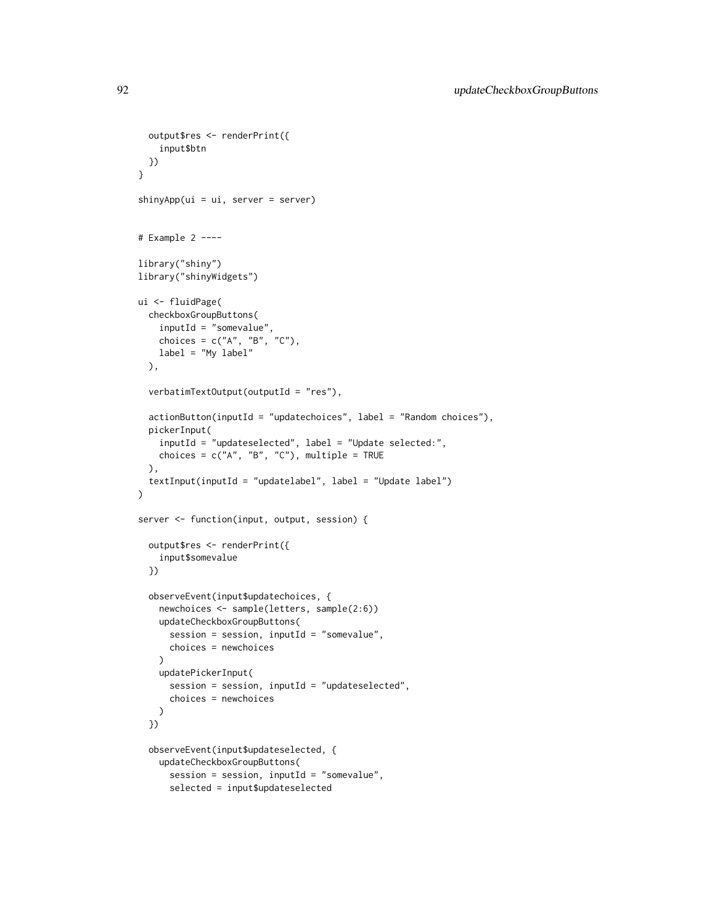```
output$res <- renderPrint({
   input$btn
 })
}
shinyApp(ui = ui, server = server)
# Example 2 ----
library("shiny")
library("shinyWidgets")
ui <- fluidPage(
 checkboxGroupButtons(
   inputId = "somevalue",
   choices = c("A", "B", "C"),label = "My label"
 ),
 verbatimTextOutput(outputId = "res"),
 actionButton(inputId = "updatechoices", label = "Random choices"),
 pickerInput(
   inputId = "updateselected", label = "Update selected:",
   choices = c("A", "B", "C"), multiple = TRUE
 ),
 textInput(inputId = "updatelabel", label = "Update label")
\mathcal{L}server <- function(input, output, session) {
 output$res <- renderPrint({
   input$somevalue
 })
 observeEvent(input$updatechoices, {
   newchoices <- sample(letters, sample(2:6))
   updateCheckboxGroupButtons(
     session = session, inputId = "somevalue",
     choices = newchoices
   )
   updatePickerInput(
     session = session, inputId = "updateselected",
     choices = newchoices
   )
 })
 observeEvent(input$updateselected, {
   updateCheckboxGroupButtons(
     session = session, inputId = "somevalue",
     selected = input$updateselected
```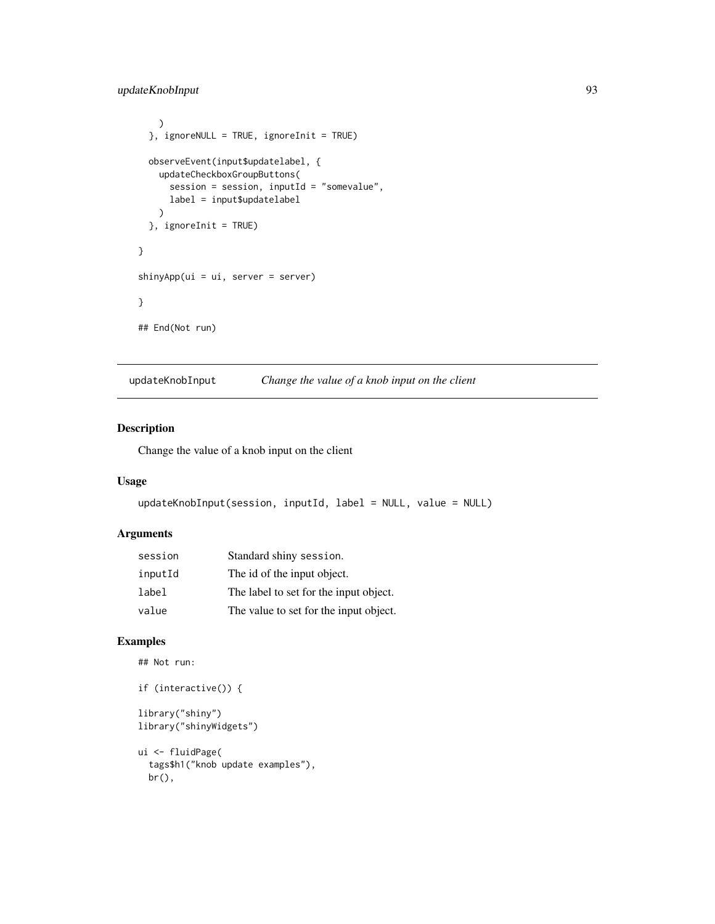# updateKnobInput 93

```
)
 }, ignoreNULL = TRUE, ignoreInit = TRUE)
 observeEvent(input$updatelabel, {
   updateCheckboxGroupButtons(
      session = session, inputId = "somevalue",
     label = input$updatelabel
   \lambda}, ignoreInit = TRUE)
}
shinyApp(ui = ui, server = server)
}
## End(Not run)
```
updateKnobInput *Change the value of a knob input on the client*

# Description

Change the value of a knob input on the client

# Usage

```
updateKnobInput(session, inputId, label = NULL, value = NULL)
```
## Arguments

| session | Standard shiny session.                |
|---------|----------------------------------------|
| inputId | The id of the input object.            |
| label   | The label to set for the input object. |
| value   | The value to set for the input object. |

# Examples

```
## Not run:
```

```
if (interactive()) {
```
library("shiny") library("shinyWidgets")

```
ui <- fluidPage(
  tags$h1("knob update examples"),
  br(),
```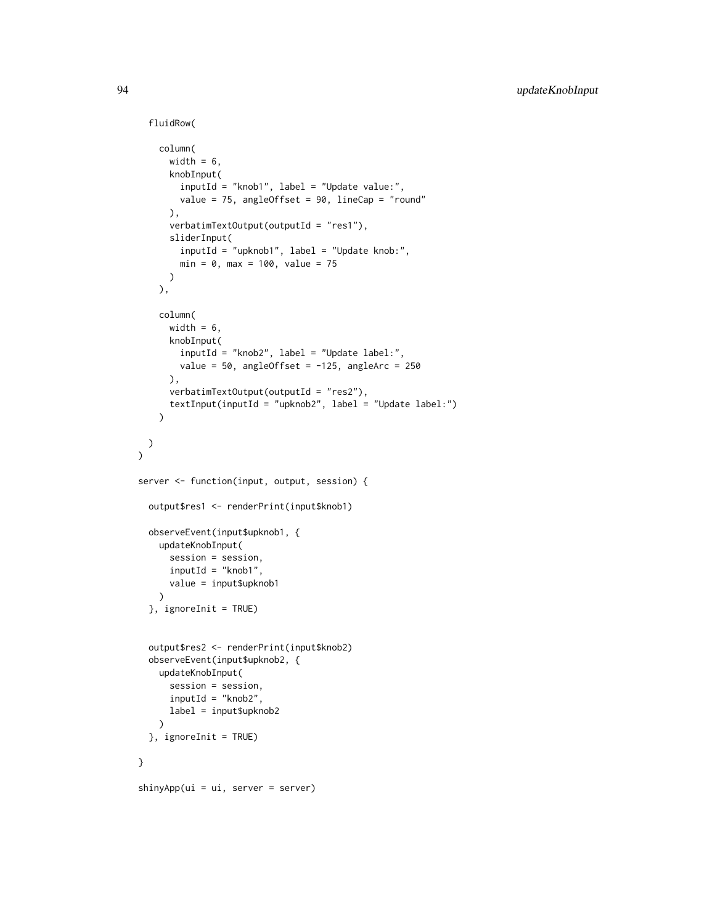```
fluidRow(
```

```
column(
      width = 6,
      knobInput(
       inputId = "knob1", label = "Update value:",
       value = 75, angleOffset = 90, lineCap = "round"
      ),
      verbatimTextOutput(outputId = "res1"),
      sliderInput(
       inputId = "upknob1", label = "Update knob:",
       min = 0, max = 100, value = 75)
   ),
   column(
     width = 6,
      knobInput(
       inputId = "knob2", label = "Update label:",
       value = 50, angleOffset = -125, angleArc = 250),
     verbatimTextOutput(outputId = "res2"),
      textInput(inputId = "upknob2", label = "Update label:")
   )
 )
\overline{)}server <- function(input, output, session) {
 output$res1 <- renderPrint(input$knob1)
 observeEvent(input$upknob1, {
   updateKnobInput(
      session = session,
     inputId = "knob1",
      value = input$upknob1
   \lambda}, ignoreInit = TRUE)
 output$res2 <- renderPrint(input$knob2)
 observeEvent(input$upknob2, {
   updateKnobInput(
      session = session,
      inputId = "knob2",label = input$upknob2
   )
 }, ignoreInit = TRUE)
}
shinyApp(ui = ui, server = server)
```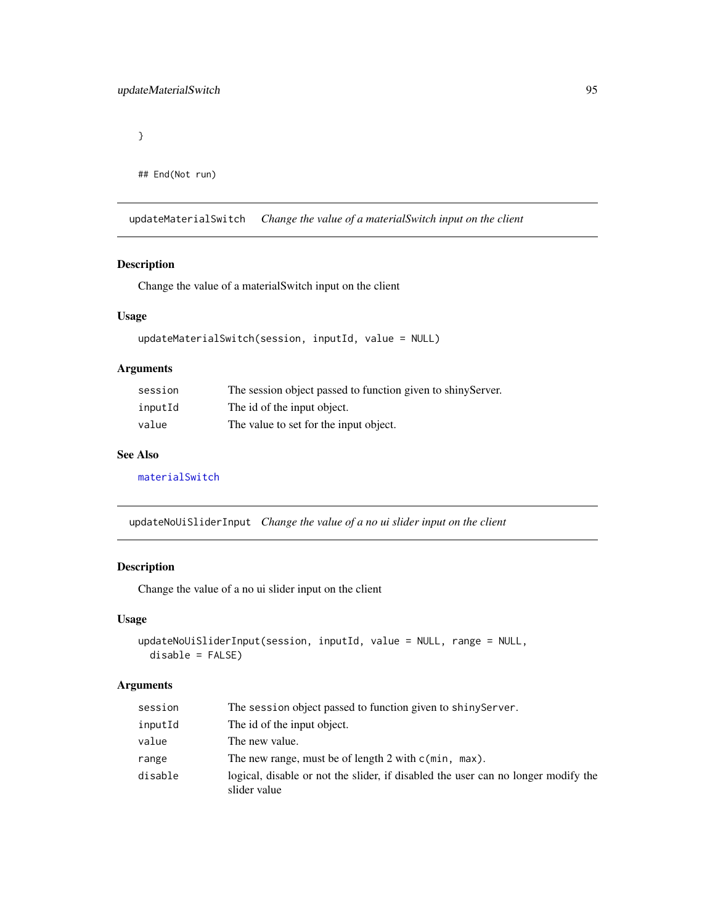}

## End(Not run)

updateMaterialSwitch *Change the value of a materialSwitch input on the client*

# Description

Change the value of a materialSwitch input on the client

#### Usage

```
updateMaterialSwitch(session, inputId, value = NULL)
```
## Arguments

| session | The session object passed to function given to shiny Server. |
|---------|--------------------------------------------------------------|
| inputId | The id of the input object.                                  |
| value   | The value to set for the input object.                       |

# See Also

[materialSwitch](#page-34-0)

updateNoUiSliderInput *Change the value of a no ui slider input on the client*

# Description

Change the value of a no ui slider input on the client

## Usage

```
updateNoUiSliderInput(session, inputId, value = NULL, range = NULL,
 disable = FALSE)
```

| session | The session object passed to function given to shiny Server.                                      |
|---------|---------------------------------------------------------------------------------------------------|
| inputId | The id of the input object.                                                                       |
| value   | The new value.                                                                                    |
| range   | The new range, must be of length 2 with $c$ (min, max).                                           |
| disable | logical, disable or not the slider, if disabled the user can no longer modify the<br>slider value |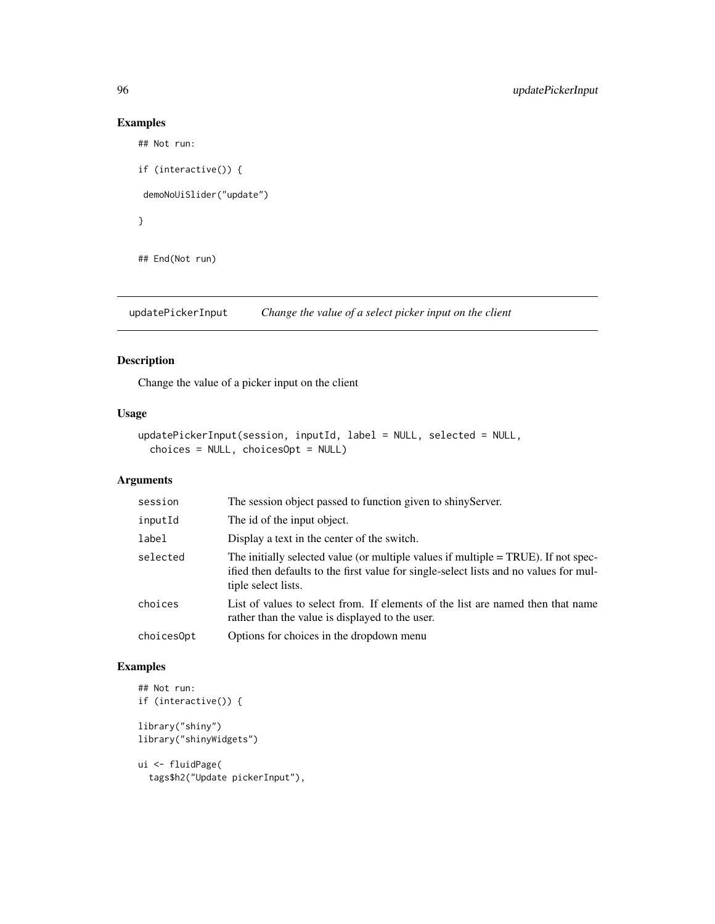# Examples

```
## Not run:
```

```
if (interactive()) {
 demoNoUiSlider("update")
}
```
## End(Not run)

updatePickerInput *Change the value of a select picker input on the client*

## Description

Change the value of a picker input on the client

# Usage

```
updatePickerInput(session, inputId, label = NULL, selected = NULL,
 choices = NULL, choicesOpt = NULL)
```
## Arguments

| session    | The session object passed to function given to shiny Server.                                                                                                                                          |
|------------|-------------------------------------------------------------------------------------------------------------------------------------------------------------------------------------------------------|
| inputId    | The id of the input object.                                                                                                                                                                           |
| label      | Display a text in the center of the switch.                                                                                                                                                           |
| selected   | The initially selected value (or multiple values if multiple $= TRUE$ ). If not spec-<br>ified then defaults to the first value for single-select lists and no values for mul-<br>tiple select lists. |
| choices    | List of values to select from. If elements of the list are named then that name<br>rather than the value is displayed to the user.                                                                    |
| choices0pt | Options for choices in the dropdown menu                                                                                                                                                              |

```
## Not run:
if (interactive()) {
library("shiny")
library("shinyWidgets")
ui <- fluidPage(
```

```
tags$h2("Update pickerInput"),
```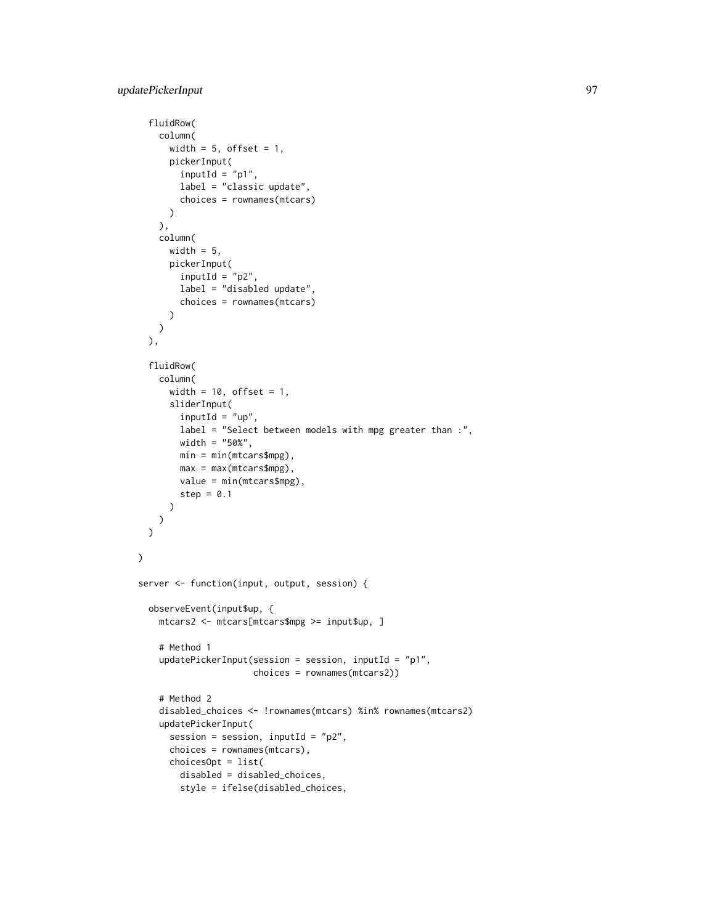```
fluidRow(
   column(
     width = 5, offset = 1,
      pickerInput(
       inputId = "p1",label = "classic update",
       choices = rownames(mtcars)
     )
   ),
   column(
      width = 5,
      pickerInput(
       inputId = "p2",label = "disabled update",
       choices = rownames(mtcars)
      )
   )
 ),
 fluidRow(
   column(
      width = 10, offset = 1,
      sliderInput(
       inputId = "up",label = "Select between models with mpg greater than :",
       width = "50%",
       min = min(mtcars$mpg),
       max = max(mtcars$mpg),
       value = min(mtcars$mpg),
       step = 0.1)
   )
 \mathcal{L}\mathcal{L}server <- function(input, output, session) {
 observeEvent(input$up, {
   mtcars2 <- mtcars[mtcars$mpg >= input$up, ]
    # Method 1
   updatePickerInput(session = session, inputId = "p1",
                      choices = rownames(mtcars2))
    # Method 2
    disabled_choices <- !rownames(mtcars) %in% rownames(mtcars2)
   updatePickerInput(
      session = session, inputId = "p2",
      choices = rownames(mtcars),
      choicesOpt = list(
       disabled = disabled_choices,
        style = ifelse(disabled_choices,
```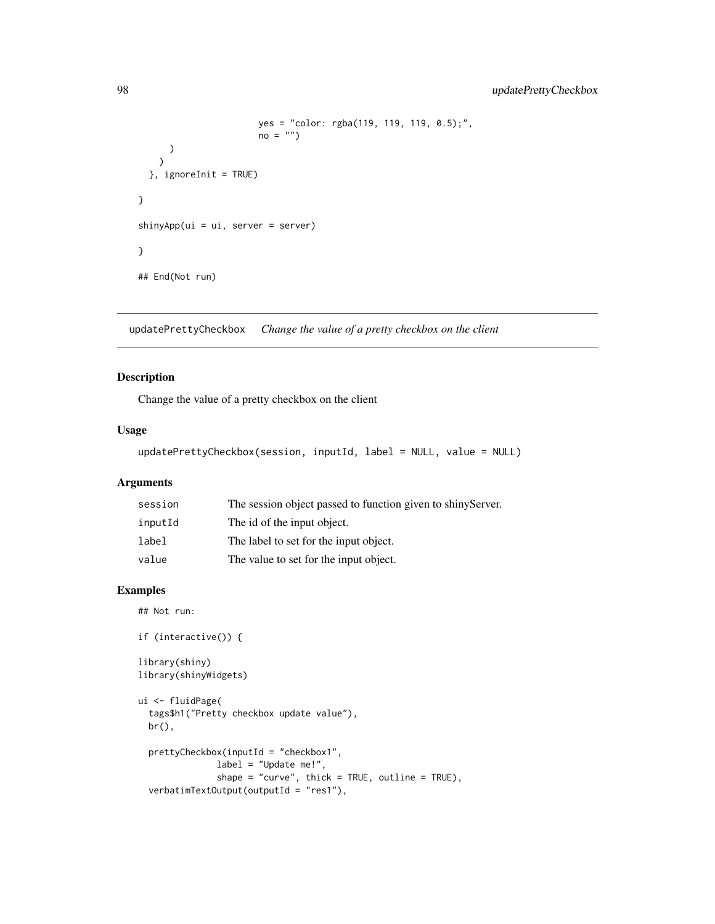```
yes = "color: rgba(119, 119, 119, 0.5);",
                        no = ""))
    \lambda}, ignoreInit = TRUE)
}
shinyApp(ui = ui, server = server)
}
## End(Not run)
```
updatePrettyCheckbox *Change the value of a pretty checkbox on the client*

## Description

Change the value of a pretty checkbox on the client

# Usage

```
updatePrettyCheckbox(session, inputId, label = NULL, value = NULL)
```
# Arguments

| session | The session object passed to function given to shiny Server. |
|---------|--------------------------------------------------------------|
| inputId | The id of the input object.                                  |
| label   | The label to set for the input object.                       |
| value   | The value to set for the input object.                       |

# Examples

## Not run:

```
if (interactive()) {
```

```
library(shiny)
library(shinyWidgets)
```

```
ui <- fluidPage(
 tags$h1("Pretty checkbox update value"),
 br(),
 prettyCheckbox(inputId = "checkbox1",
              label = "Update me!",
              shape = "curve", thick = TRUE, outline = TRUE),
 verbatimTextOutput(outputId = "res1"),
```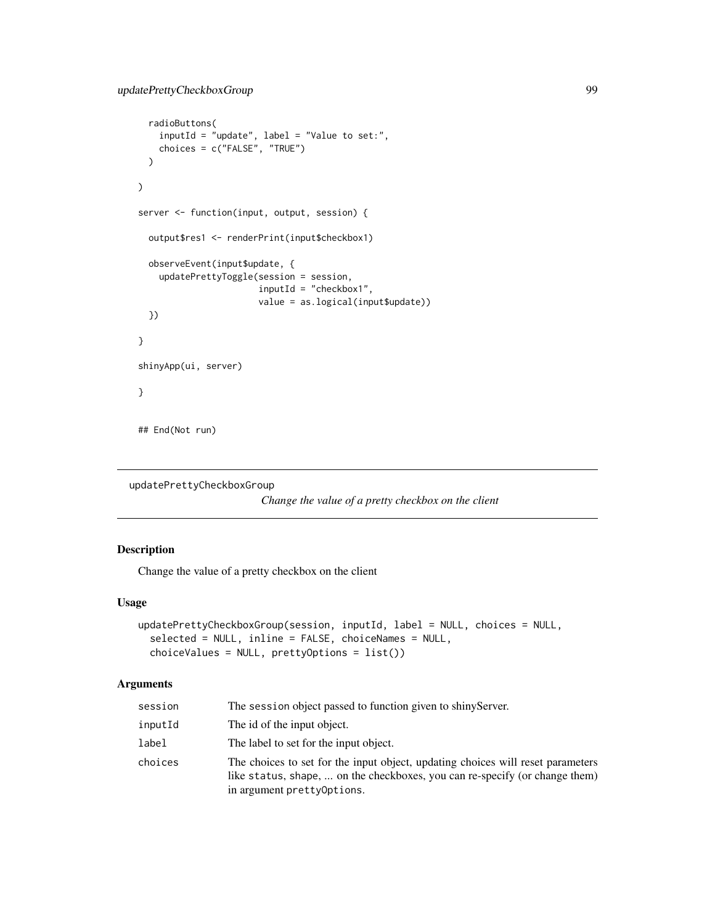```
radioButtons(
   inputId = "update", label = "Value to set:",
   choices = c("FALSE", "TRUE")
 )
\overline{\phantom{a}}server <- function(input, output, session) {
 output$res1 <- renderPrint(input$checkbox1)
 observeEvent(input$update, {
   updatePrettyToggle(session = session,
                        inputId = "checkbox1",
                        value = as.logical(input$update))
 })
}
shinyApp(ui, server)
}
## End(Not run)
```

```
updatePrettyCheckboxGroup
```
*Change the value of a pretty checkbox on the client*

# Description

Change the value of a pretty checkbox on the client

# Usage

```
updatePrettyCheckboxGroup(session, inputId, label = NULL, choices = NULL,
  selected = NULL, inline = FALSE, choiceNames = NULL,
  choiceValues = NULL, prettyOptions = list())
```

| session | The session object passed to function given to shiny Server.                                                                                                                                 |
|---------|----------------------------------------------------------------------------------------------------------------------------------------------------------------------------------------------|
| inputId | The id of the input object.                                                                                                                                                                  |
| label   | The label to set for the input object.                                                                                                                                                       |
| choices | The choices to set for the input object, updating choices will reset parameters<br>like status, shape,  on the checkboxes, you can re-specify (or change them)<br>in argument prettyOptions. |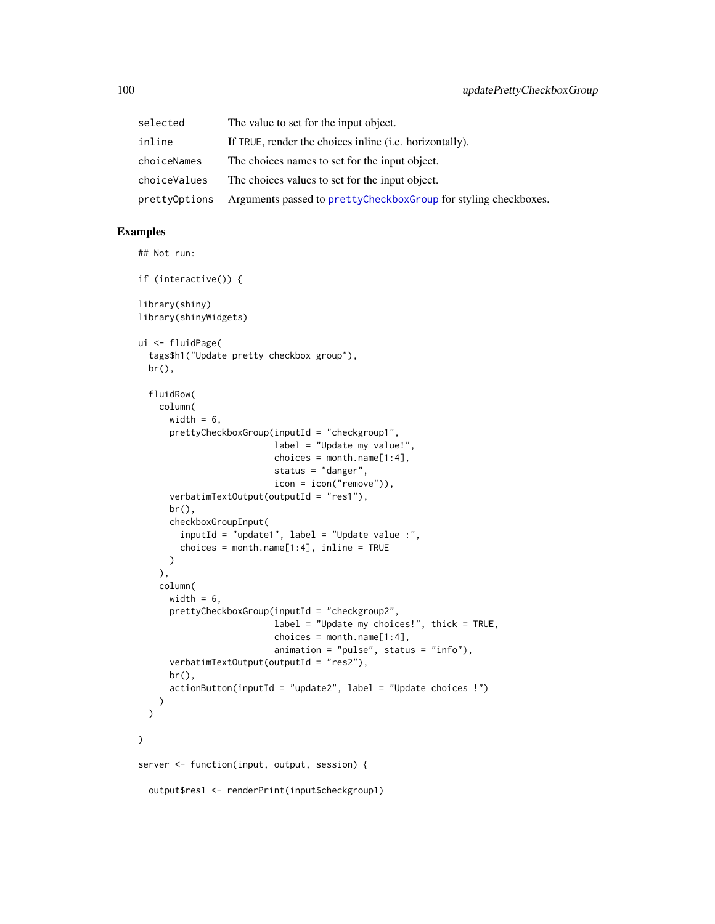| selected      | The value to set for the input object.                           |
|---------------|------------------------------------------------------------------|
| inline        | If TRUE, render the choices in line ( <i>i.e.</i> horizontally). |
| choiceNames   | The choices names to set for the input object.                   |
| choiceValues  | The choices values to set for the input object.                  |
| prettyOptions | Arguments passed to prettyCheckboxGroup for styling checkboxes.  |

# Examples

## Not run:

```
if (interactive()) {
library(shiny)
library(shinyWidgets)
ui <- fluidPage(
  tags$h1("Update pretty checkbox group"),
  br(),
  fluidRow(
   column(
      width = 6,
      prettyCheckboxGroup(inputId = "checkgroup1",
                          label = "Update my value!",
                          choices = month.name[1:4],
                          status = "danger",
                          icon = icon("remove")),
      verbatimTextOutput(outputId = "res1"),
      br(),
      checkboxGroupInput(
        inputId = "update1", label = "Update value :",
        choices = month.name[1:4], inline = TRUE
      )
   ),
    column(
      width = 6,
      prettyCheckboxGroup(inputId = "checkgroup2",
                          label = "Update my choices!", thick = TRUE,
                          choices = month.name[1:4],
                          animation = "pulse", status = "info"),
      verbatimTextOutput(outputId = "res2"),
      br(),
      actionButton(inputId = "update2", label = "Update choices !")
    )
  \overline{)})
server <- function(input, output, session) {
  output$res1 <- renderPrint(input$checkgroup1)
```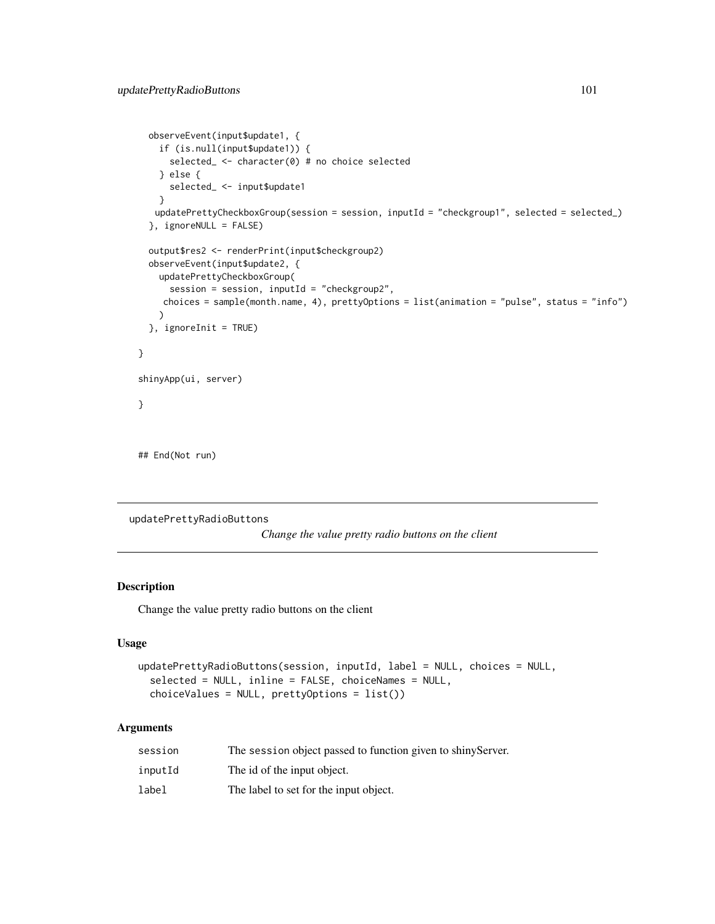```
observeEvent(input$update1, {
    if (is.null(input$update1)) {
     selected_ <- character(0) # no choice selected
   } else {
     selected_ <- input$update1
   }
   updatePrettyCheckboxGroup(session = session, inputId = "checkgroup1", selected = selected_)
 }, ignoreNULL = FALSE)
 output$res2 <- renderPrint(input$checkgroup2)
 observeEvent(input$update2, {
   updatePrettyCheckboxGroup(
     session = session, inputId = "checkgroup2",
    choices = sample(month.name, 4), prettyOptions = list(animation = "pulse", status = "info")
   )
 }, ignoreInit = TRUE)
}
shinyApp(ui, server)
}
## End(Not run)
```
updatePrettyRadioButtons

*Change the value pretty radio buttons on the client*

# Description

Change the value pretty radio buttons on the client

#### Usage

```
updatePrettyRadioButtons(session, inputId, label = NULL, choices = NULL,
  selected = NULL, inline = FALSE, choiceNames = NULL,
  choiceValues = NULL, prettyOptions = list())
```

| session | The session object passed to function given to shiny Server. |
|---------|--------------------------------------------------------------|
| inputId | The id of the input object.                                  |
| label   | The label to set for the input object.                       |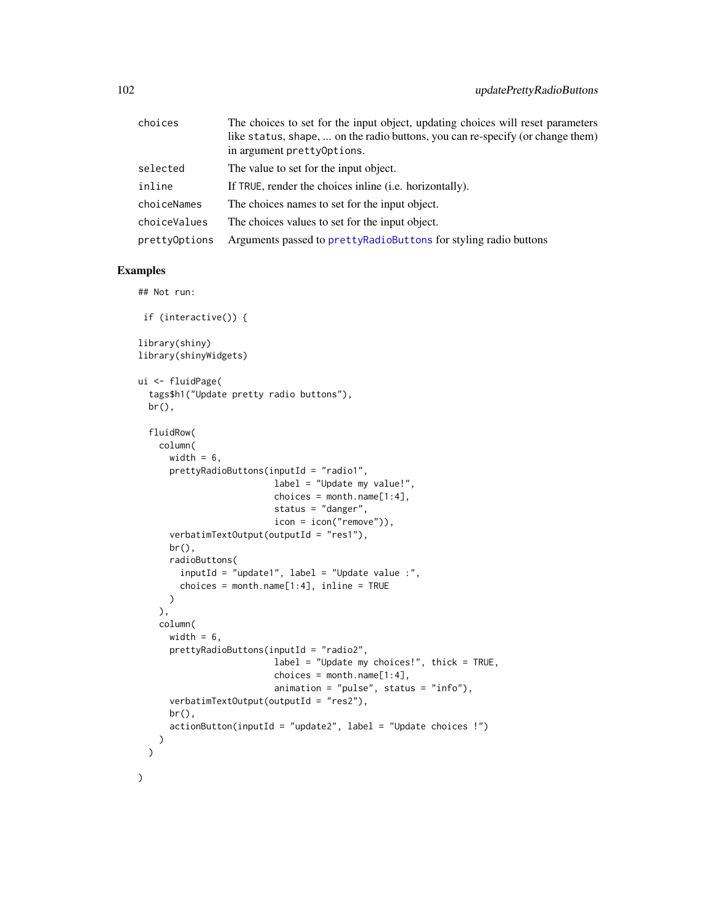| choices       | The choices to set for the input object, updating choices will reset parameters<br>like status, shape,  on the radio buttons, you can re-specify (or change them)<br>in argument pretty Options. |
|---------------|--------------------------------------------------------------------------------------------------------------------------------------------------------------------------------------------------|
| selected      | The value to set for the input object.                                                                                                                                                           |
| inline        | If TRUE, render the choices in line ( <i>i.e.</i> horizontally).                                                                                                                                 |
| choiceNames   | The choices names to set for the input object.                                                                                                                                                   |
| choiceValues  | The choices values to set for the input object.                                                                                                                                                  |
| pretty0ptions | Arguments passed to prettyRadioButtons for styling radio buttons                                                                                                                                 |

#### Examples

## Not run:

```
if (interactive()) {
library(shiny)
library(shinyWidgets)
ui <- fluidPage(
  tags$h1("Update pretty radio buttons"),
  br(),
  fluidRow(
   column(
      width = 6,
      prettyRadioButtons(inputId = "radio1",
                          label = "Update my value!",
                          choices = month.name[1:4],
                          status = "danger",
                          icon = icon("remove")),
      verbatimTextOutput(outputId = "res1"),
      br(),
      radioButtons(
        inputId = "update1", label = "Update value :",
        choices = month.name[1:4], inline = TRUE
      )
   ),
    column(
      width = 6,
      prettyRadioButtons(inputId = "radio2",
                          label = "Update my choices!", thick = TRUE,
                          choices = month.name[1:4],
                          animation = "pulse", status = "info"),
      verbatimTextOutput(outputId = "res2"),
      br(),
      actionButton(inputId = "update2", label = "Update choices !")
   )
  \mathcal{L})
```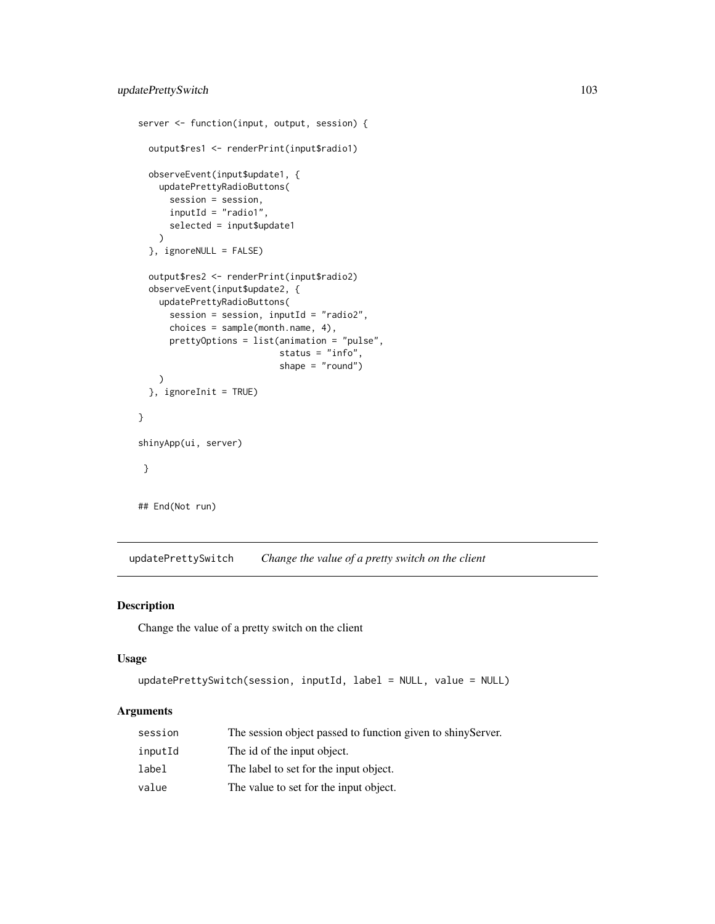```
server <- function(input, output, session) {
 output$res1 <- renderPrint(input$radio1)
 observeEvent(input$update1, {
   updatePrettyRadioButtons(
     session = session,
     inputId = "radio1",
     selected = input$update1
   )
 }, ignoreNULL = FALSE)
 output$res2 <- renderPrint(input$radio2)
 observeEvent(input$update2, {
   updatePrettyRadioButtons(
     session = session, inputId = "radio2",
     choices = sample(month.name, 4),
     prettyOptions = list(animation = "pulse",
                           status = "info",
                           shape = "round")
   )
 }, ignoreInit = TRUE)
}
shinyApp(ui, server)
}
## End(Not run)
```
updatePrettySwitch *Change the value of a pretty switch on the client*

#### Description

Change the value of a pretty switch on the client

# Usage

```
updatePrettySwitch(session, inputId, label = NULL, value = NULL)
```

| session | The session object passed to function given to shiny Server. |
|---------|--------------------------------------------------------------|
| inputId | The id of the input object.                                  |
| label   | The label to set for the input object.                       |
| value   | The value to set for the input object.                       |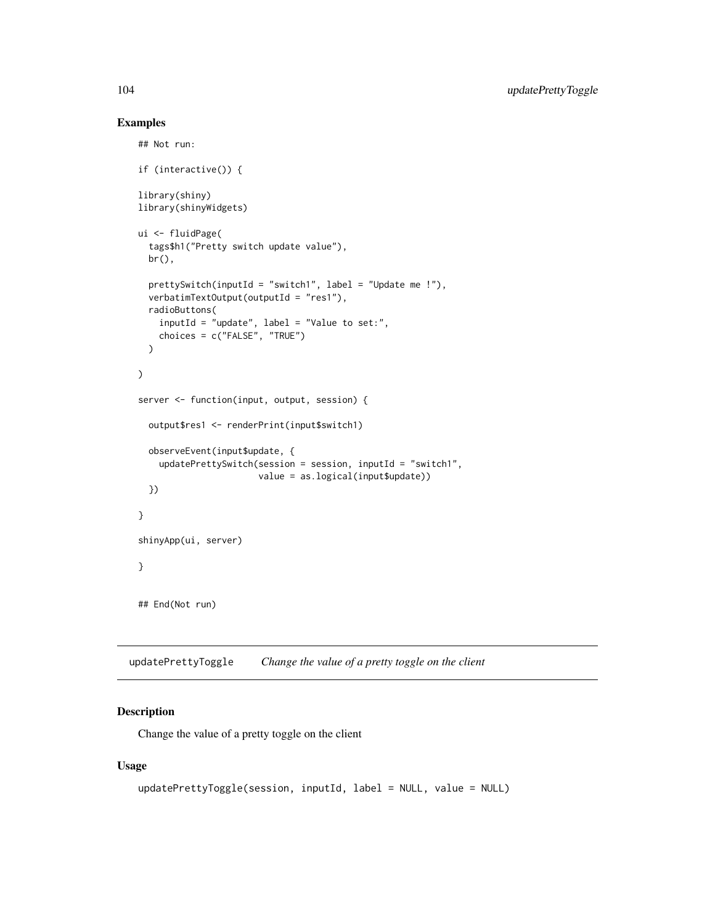# Examples

```
## Not run:
if (interactive()) {
library(shiny)
library(shinyWidgets)
ui <- fluidPage(
  tags$h1("Pretty switch update value"),
  br(),
  prettySwitch(inputId = "switch1", label = "Update me !"),
  verbatimTextOutput(outputId = "res1"),
  radioButtons(
    inputId = "update", label = "Value to set:",
    choices = c("FALSE", "TRUE")
  \lambda\mathcal{L}server <- function(input, output, session) {
  output$res1 <- renderPrint(input$switch1)
  observeEvent(input$update, {
    updatePrettySwitch(session = session, inputId = "switch1",
                       value = as.logical(input$update))
  })
}
shinyApp(ui, server)
}
## End(Not run)
```
updatePrettyToggle *Change the value of a pretty toggle on the client*

# Description

Change the value of a pretty toggle on the client

#### Usage

```
updatePrettyToggle(session, inputId, label = NULL, value = NULL)
```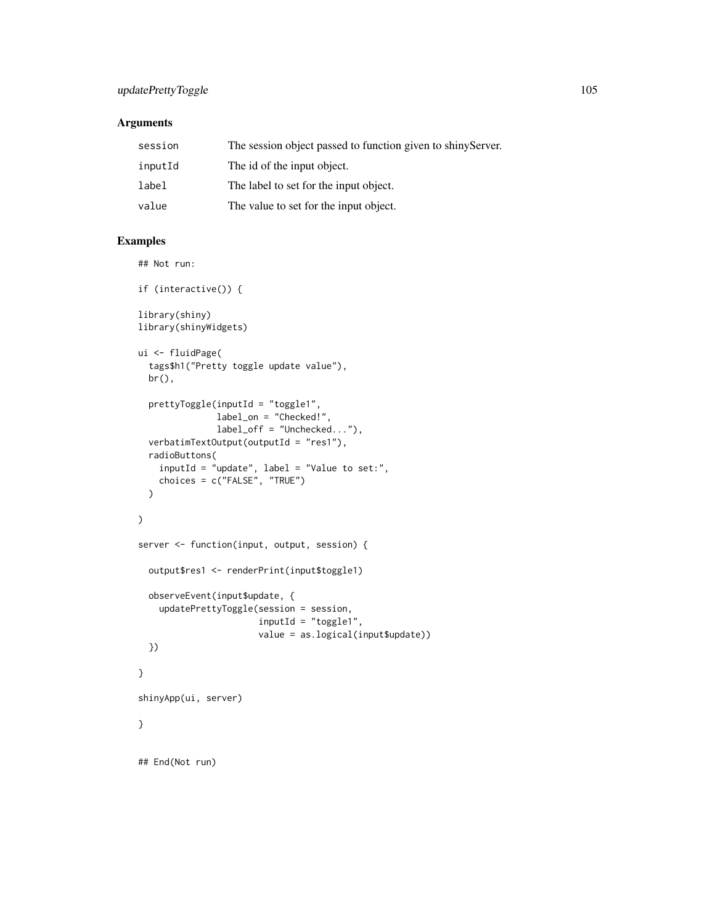# Arguments

| session | The session object passed to function given to shiny Server. |
|---------|--------------------------------------------------------------|
| inputId | The id of the input object.                                  |
| label   | The label to set for the input object.                       |
| value   | The value to set for the input object.                       |

```
## Not run:
if (interactive()) {
library(shiny)
library(shinyWidgets)
ui <- fluidPage(
  tags$h1("Pretty toggle update value"),
  br(),
  prettyToggle(inputId = "toggle1",
              label_on = "Checked!",
              label_off = "Unchecked..."),
  verbatimTextOutput(outputId = "res1"),
  radioButtons(
    inputId = "update", label = "Value to set:",
    choices = c("FALSE", "TRUE")
  )
)
server <- function(input, output, session) {
  output$res1 <- renderPrint(input$toggle1)
  observeEvent(input$update, {
   updatePrettyToggle(session = session,
                       inputId = "toggle1",
                       value = as.logical(input$update))
  })
}
shinyApp(ui, server)
}
## End(Not run)
```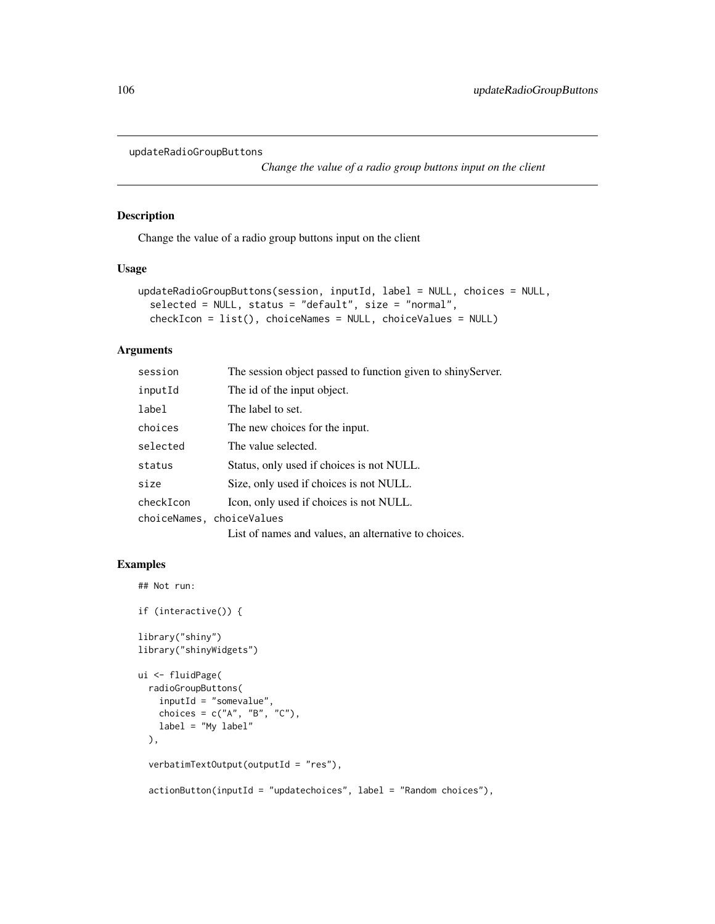```
updateRadioGroupButtons
```
*Change the value of a radio group buttons input on the client*

#### Description

Change the value of a radio group buttons input on the client

# Usage

```
updateRadioGroupButtons(session, inputId, label = NULL, choices = NULL,
  selected = NULL, status = "default", size = "normal",
  checkIcon = list(), choiceNames = NULL, choiceValues = NULL)
```
#### Arguments

| session                   | The session object passed to function given to shinyServer. |
|---------------------------|-------------------------------------------------------------|
| inputId                   | The id of the input object.                                 |
| label                     | The label to set.                                           |
| choices                   | The new choices for the input.                              |
| selected                  | The value selected.                                         |
| status                    | Status, only used if choices is not NULL.                   |
| size                      | Size, only used if choices is not NULL.                     |
| checkIcon                 | Icon, only used if choices is not NULL.                     |
| choiceNames, choiceValues |                                                             |
|                           | List of names and values, an alternative to choices.        |

```
## Not run:
if (interactive()) {
library("shiny")
library("shinyWidgets")
ui <- fluidPage(
  radioGroupButtons(
   inputId = "somevalue",
   choices = c("A", "B", "C"),label = "My label"),
  verbatimTextOutput(outputId = "res"),
  actionButton(inputId = "updatechoices", label = "Random choices"),
```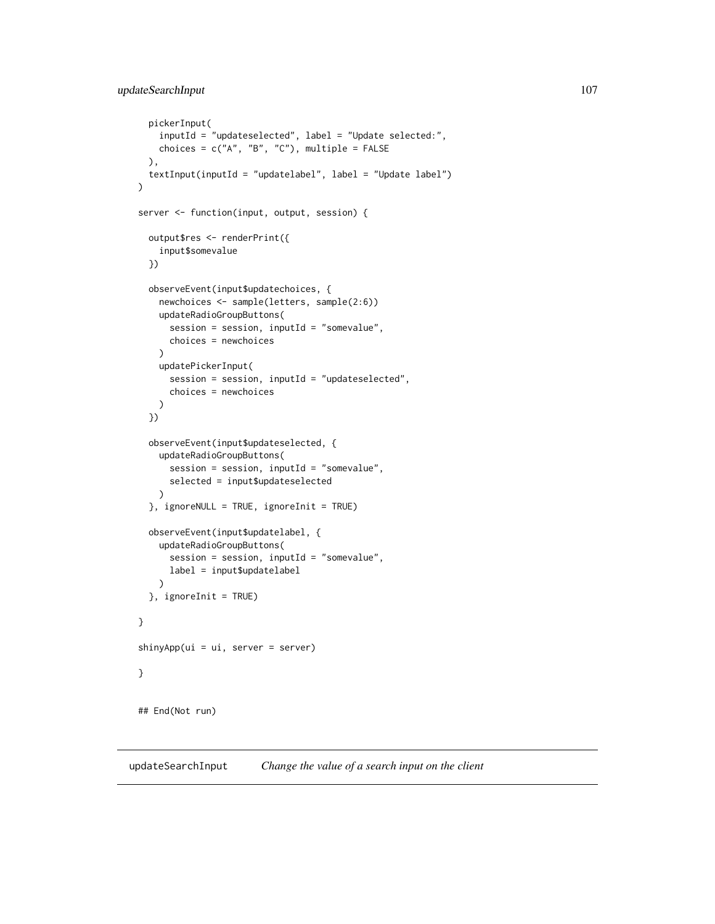```
pickerInput(
    inputId = "updateselected", label = "Update selected:",
   choices = c("A", "B", "C"), multiple = FALSE),
 textInput(inputId = "updatelabel", label = "Update label")
)
server <- function(input, output, session) {
 output$res <- renderPrint({
    input$somevalue
 })
 observeEvent(input$updatechoices, {
   newchoices <- sample(letters, sample(2:6))
   updateRadioGroupButtons(
      session = session, inputId = "somevalue",
      choices = newchoices
   )
   updatePickerInput(
      session = session, inputId = "updateselected",
      choices = newchoices
   \lambda})
 observeEvent(input$updateselected, {
   updateRadioGroupButtons(
      session = session, inputId = "somevalue",
      selected = input$updateselected
   )
 }, ignoreNULL = TRUE, ignoreInit = TRUE)
 observeEvent(input$updatelabel, {
   updateRadioGroupButtons(
      session = session, inputId = "somevalue",
      label = input$updatelabel
   \lambda}, ignoreInit = TRUE)
}
shinyApp(ui = ui, server = server)
}
## End(Not run)
```
updateSearchInput *Change the value of a search input on the client*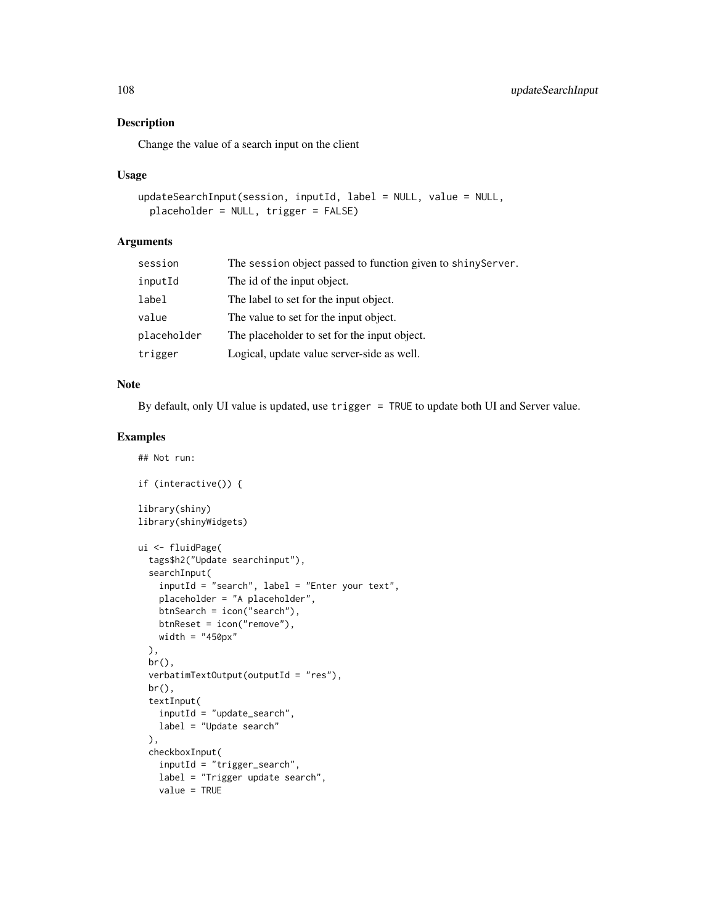# Description

Change the value of a search input on the client

#### Usage

```
updateSearchInput(session, inputId, label = NULL, value = NULL,
 placeholder = NULL, trigger = FALSE)
```
# Arguments

| The session object passed to function given to shinyServer. |
|-------------------------------------------------------------|
| The id of the input object.                                 |
| The label to set for the input object.                      |
| The value to set for the input object.                      |
| The placeholder to set for the input object.                |
| Logical, update value server-side as well.                  |
|                                                             |

#### Note

By default, only UI value is updated, use trigger = TRUE to update both UI and Server value.

```
## Not run:
if (interactive()) {
library(shiny)
library(shinyWidgets)
ui <- fluidPage(
  tags$h2("Update searchinput"),
  searchInput(
    inputId = "search", label = "Enter your text",
   placeholder = "A placeholder",
   btnSearch = icon("search"),
   btnReset = icon("remove"),
   width = "450px"),
  br(),
  verbatimTextOutput(outputId = "res"),
  br(),
  textInput(
   inputId = "update_search",
   label = "Update search"
  ),
  checkboxInput(
    inputId = "trigger_search",
   label = "Trigger update search",
   value = TRUE
```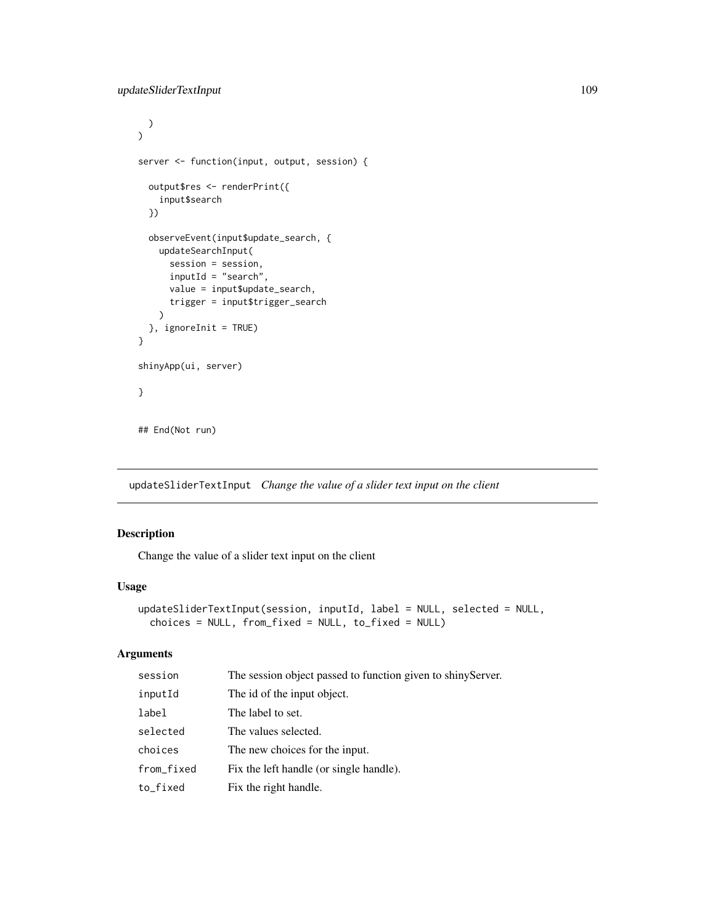```
\lambda)
server <- function(input, output, session) {
  output$res <- renderPrint({
   input$search
  })
  observeEvent(input$update_search, {
   updateSearchInput(
      session = session,
      inputId = "search",
      value = input$update_search,
      trigger = input$trigger_search
   )
  }, ignoreInit = TRUE)
}
shinyApp(ui, server)
}
## End(Not run)
```
updateSliderTextInput *Change the value of a slider text input on the client*

## Description

Change the value of a slider text input on the client

#### Usage

```
updateSliderTextInput(session, inputId, label = NULL, selected = NULL,
 choices = NULL, from_fixed = NULL, to_fixed = NULL)
```
## Arguments

| session    | The session object passed to function given to shiny Server. |
|------------|--------------------------------------------------------------|
| inputId    | The id of the input object.                                  |
| label      | The label to set.                                            |
| selected   | The values selected.                                         |
| choices    | The new choices for the input.                               |
| from_fixed | Fix the left handle (or single handle).                      |
| to_fixed   | Fix the right handle.                                        |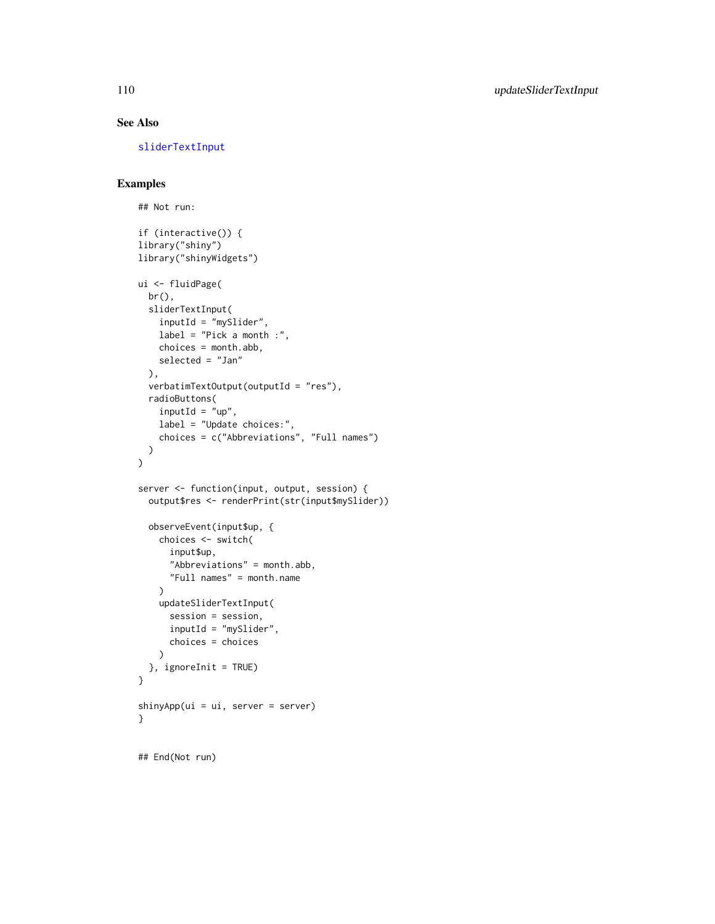### See Also

[sliderTextInput](#page-77-0)

```
## Not run:
if (interactive()) {
library("shiny")
library("shinyWidgets")
ui <- fluidPage(
 br(),
  sliderTextInput(
   inputId = "mySlider",
   label = "Pick a month :",
   choices = month.abb,
   selected = "Jan"
 ),
  verbatimTextOutput(outputId = "res"),
  radioButtons(
    inputId = "up",label = "Update choices:",
    choices = c("Abbreviations", "Full names")
 )
)
server <- function(input, output, session) {
  output$res <- renderPrint(str(input$mySlider))
  observeEvent(input$up, {
   choices <- switch(
     input$up,
      "Abbreviations" = month.abb,
      "Full names" = month.name
    )
   updateSliderTextInput(
      session = session,
     inputId = "mySlider",
     choices = choices
   )
  }, ignoreInit = TRUE)
}
shinyApp(ui = ui, server = server)
}
## End(Not run)
```
<span id="page-109-0"></span>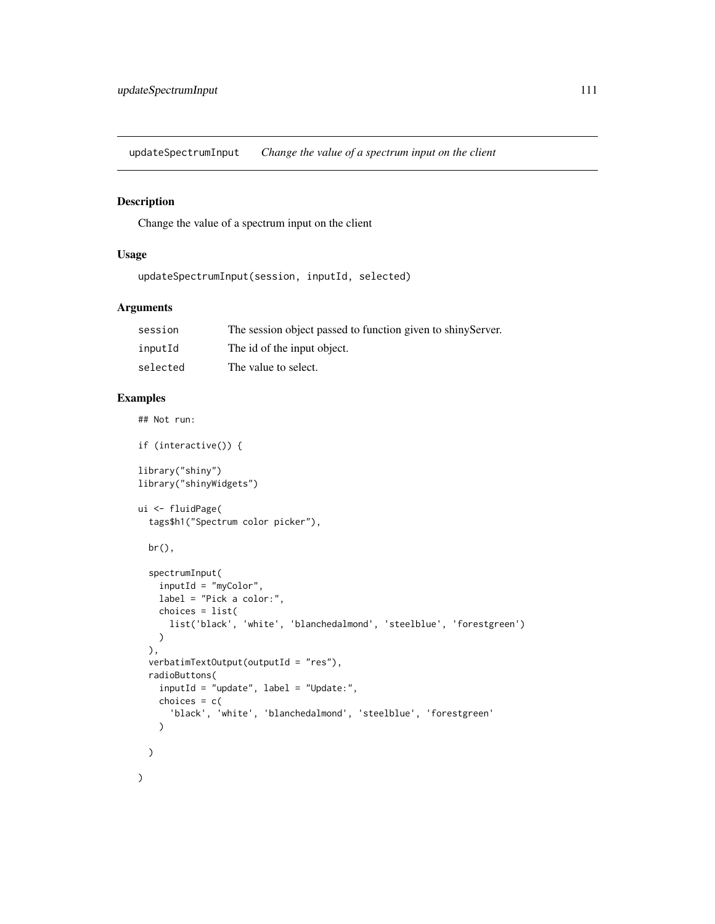<span id="page-110-0"></span>updateSpectrumInput *Change the value of a spectrum input on the client*

## Description

Change the value of a spectrum input on the client

#### Usage

```
updateSpectrumInput(session, inputId, selected)
```
## Arguments

| session  | The session object passed to function given to shiny Server. |
|----------|--------------------------------------------------------------|
| inputId  | The id of the input object.                                  |
| selected | The value to select.                                         |

```
## Not run:
if (interactive()) {
library("shiny")
library("shinyWidgets")
ui <- fluidPage(
  tags$h1("Spectrum color picker"),
  br(),
  spectrumInput(
    inputId = "myColor",
    label = "Pick a color:",
    choices = list(
      list('black', 'white', 'blanchedalmond', 'steelblue', 'forestgreen')
    )
  ),
  verbatimTextOutput(outputId = "res"),
  radioButtons(
    inputId = "update", label = "Update:",
    choices = c(
      'black', 'white', 'blanchedalmond', 'steelblue', 'forestgreen'
    )
  )
\mathcal{L}
```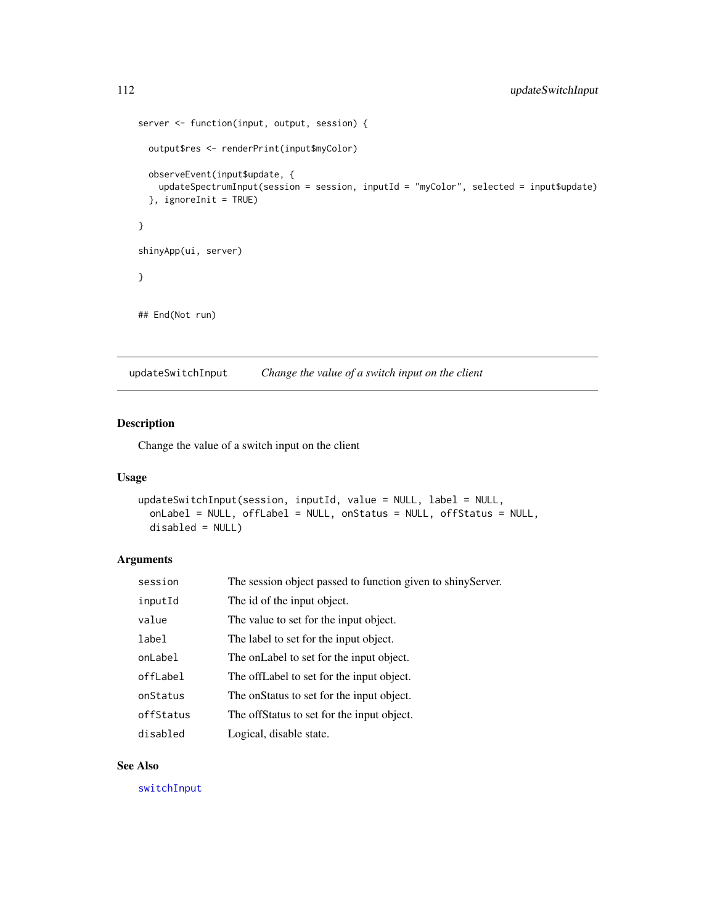```
server <- function(input, output, session) {
  output$res <- renderPrint(input$myColor)
  observeEvent(input$update, {
   updateSpectrumInput(session = session, inputId = "myColor", selected = input$update)
  }, ignoreInit = TRUE)
}
shinyApp(ui, server)
}
## End(Not run)
```
updateSwitchInput *Change the value of a switch input on the client*

## Description

Change the value of a switch input on the client

#### Usage

```
updateSwitchInput(session, inputId, value = NULL, label = NULL,
  onLabel = NULL, offLabel = NULL, onStatus = NULL, offStatus = NULL,
  disabled = NULL)
```
#### Arguments

| session   | The session object passed to function given to shiny Server. |
|-----------|--------------------------------------------------------------|
| inputId   | The id of the input object.                                  |
| value     | The value to set for the input object.                       |
| label     | The label to set for the input object.                       |
| onLabel   | The onLabel to set for the input object.                     |
| offLabel  | The offLabel to set for the input object.                    |
| onStatus  | The onStatus to set for the input object.                    |
| offStatus | The offStatus to set for the input object.                   |
| disabled  | Logical, disable state.                                      |

#### See Also

[switchInput](#page-80-0)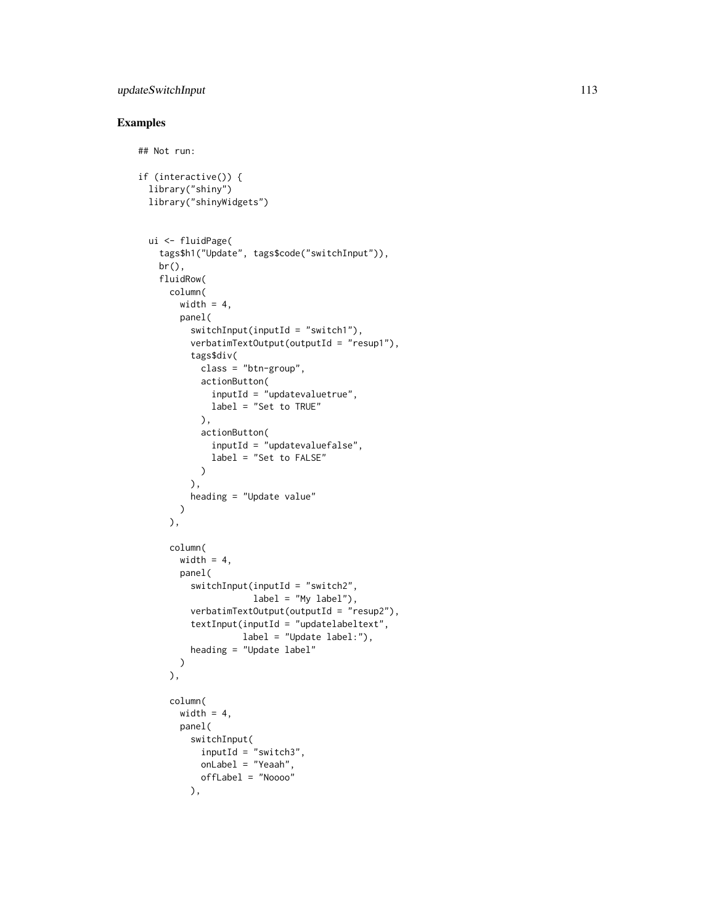## updateSwitchInput 113

```
## Not run:
if (interactive()) {
  library("shiny")
  library("shinyWidgets")
  ui <- fluidPage(
    tags$h1("Update", tags$code("switchInput")),
   br(),
   fluidRow(
     column(
       width = 4,
       panel(
          switchInput(inputId = "switch1"),
          verbatimTextOutput(outputId = "resup1"),
          tags$div(
            class = "btn-group",
            actionButton(
              inputId = "updatevaluetrue",
              label = "Set to TRUE"
            ),
            actionButton(
             inputId = "updatevaluefalse",
              label = "Set to FALSE"
           )
          ),
         heading = "Update value"
       )
      ),
      column(
       width = 4,
       panel(
          switchInput(inputId = "switch2",
                      label = "My label"),
          verbatimTextOutput(outputId = "resup2"),
          textInput(inputId = "updatelabeltext",
                   label = "Update label:"),
          heading = "Update label"
       )
      ),
      column(
       width = 4,
       panel(
         switchInput(
           inputId = "switch3",
           onLabel = "Yeaah",
           offLabel = "Noooo"
          ),
```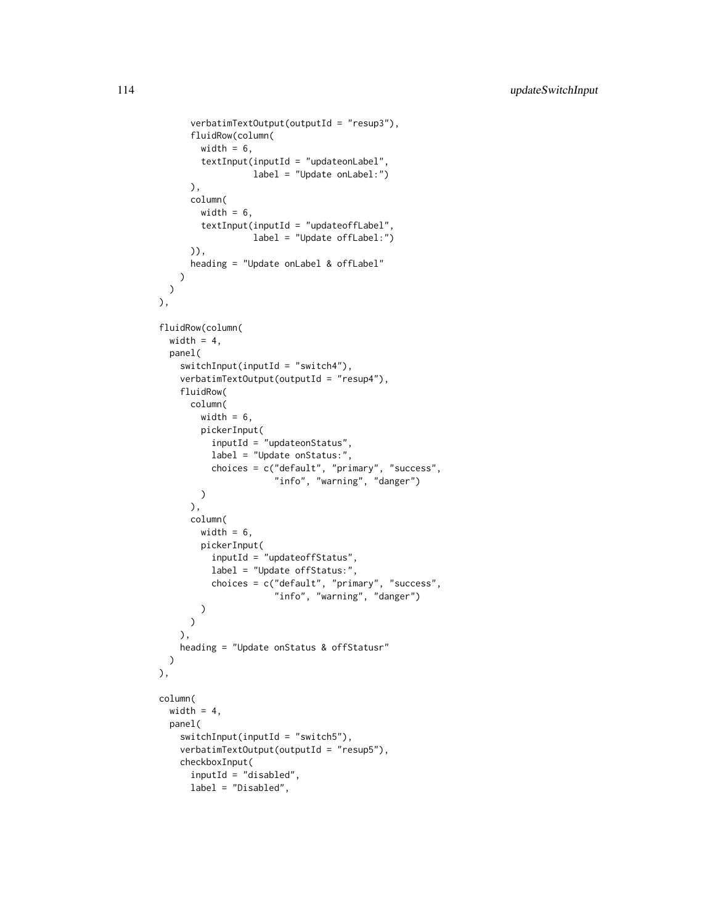```
verbatimTextOutput(outputId = "resup3"),
      fluidRow(column(
        width = 6,
        textInput(inputId = "updateonLabel",
                  label = "Update onLabel:")
      ),
      column(
        width = 6,
        textInput(inputId = "updateoffLabel",
                  label = "Update offLabel:")
      )),
      heading = "Update onLabel & offLabel"
    )
 )
),
fluidRow(column(
  width = 4,
  panel(
    switchInput(inputId = "switch4"),
    verbatimTextOutput(outputId = "resup4"),
    fluidRow(
      column(
        width = 6,
        pickerInput(
          inputId = "updateonStatus",
          label = "Update onStatus:",
          choices = c("default", "primary", "success",
                       "info", "warning", "danger")
        )
      ),
      column(
        width = 6,
        pickerInput(
          inputId = "updateoffStatus",
          label = "Update offStatus:",
          choices = c("default", "primary", "success",
                      "info", "warning", "danger")
       )
      \lambda),
    heading = "Update onStatus & offStatusr"
  )
),
column(
  width = 4,
  panel(
    switchInput(inputId = "switch5"),
    verbatimTextOutput(outputId = "resup5"),
    checkboxInput(
      inputId = "disabled",
      label = "Disabled",
```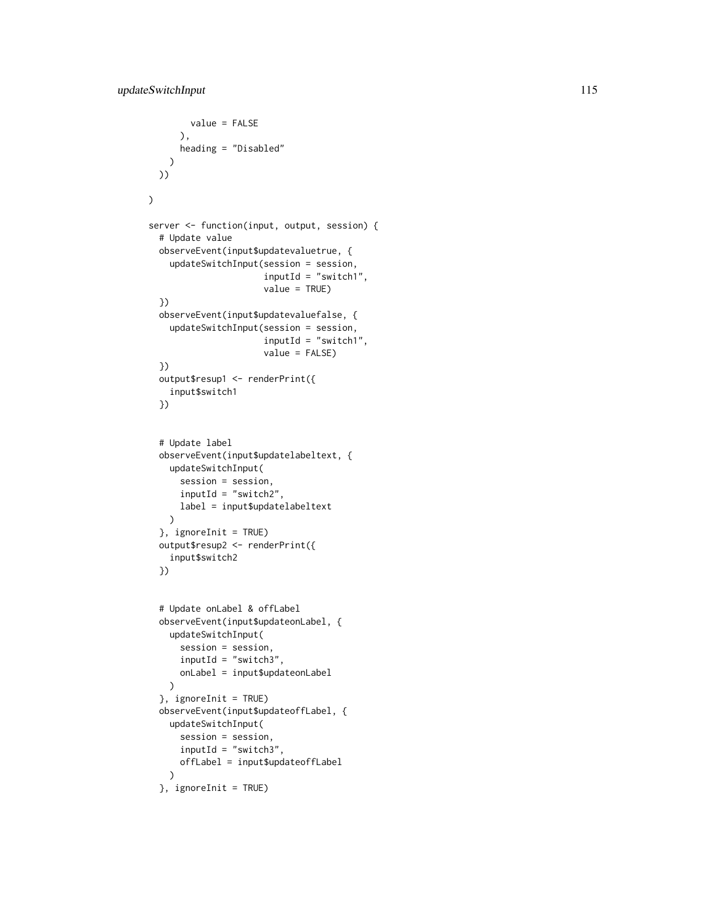```
value = FALSE
     ),
     heading = "Disabled"
    )
 ))
)
server <- function(input, output, session) {
  # Update value
  observeEvent(input$updatevaluetrue, {
    updateSwitchInput(session = session,
                      inputId = "switch1",
                      value = TRUE)
  })
  observeEvent(input$updatevaluefalse, {
    updateSwitchInput(session = session,
                      inputId = "switch1",
                      value = FALSE)
  })
  output$resup1 <- renderPrint({
    input$switch1
  })
  # Update label
  observeEvent(input$updatelabeltext, {
    updateSwitchInput(
      session = session,
      inputId = "switch2",
     label = input$updatelabeltext
   )
  }, ignoreInit = TRUE)
  output$resup2 <- renderPrint({
    input$switch2
  })
  # Update onLabel & offLabel
  observeEvent(input$updateonLabel, {
    updateSwitchInput(
      session = session,
      inputId = "switch3",onLabel = input$updateonLabel
    )
  }, ignoreInit = TRUE)
  observeEvent(input$updateoffLabel, {
    updateSwitchInput(
     session = session,
      inputId = "switch3",
     offLabel = input$updateoffLabel
    )
  }, ignoreInit = TRUE)
```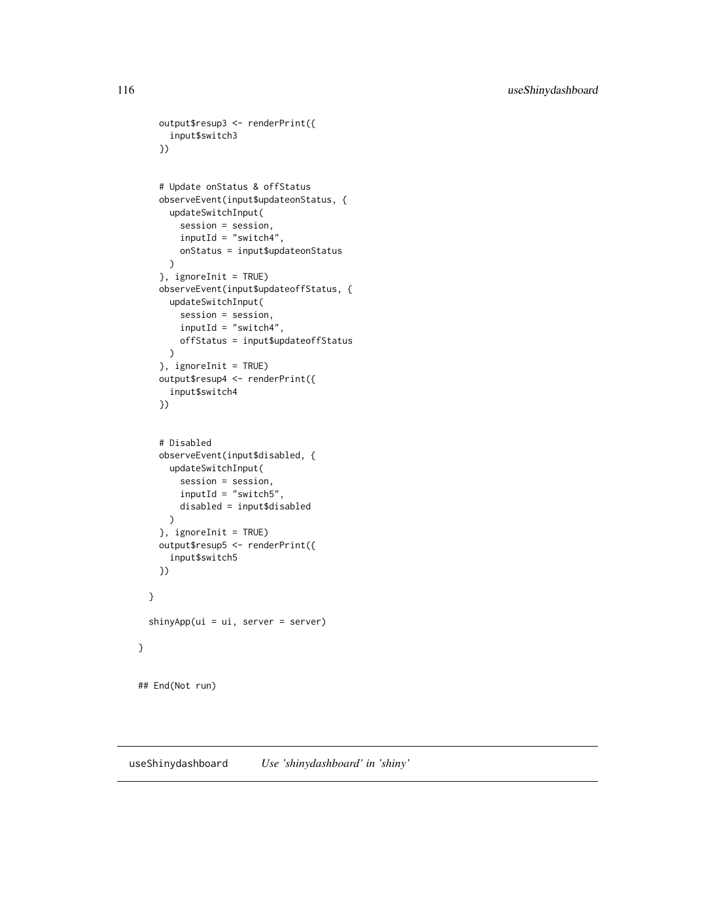```
output$resup3 <- renderPrint({
    input$switch3
  })
  # Update onStatus & offStatus
  observeEvent(input$updateonStatus, {
    updateSwitchInput(
      session = session,
      inputId = "switch4",
      onStatus = input$updateonStatus
    )
  }, ignoreInit = TRUE)
  observeEvent(input$updateoffStatus, {
    updateSwitchInput(
      session = session,
      inputId = "switch4",
      offStatus = input$updateoffStatus
    )
  }, ignoreInit = TRUE)
  output$resup4 <- renderPrint({
    input$switch4
  })
  # Disabled
  observeEvent(input$disabled, {
   updateSwitchInput(
      session = session,
      inputId = "switch5",
      disabled = input$disabled
    \lambda}, ignoreInit = TRUE)
  output$resup5 <- renderPrint({
    input$switch5
  })
}
shinyApp(ui = ui, server = server)
```
}

## End(Not run)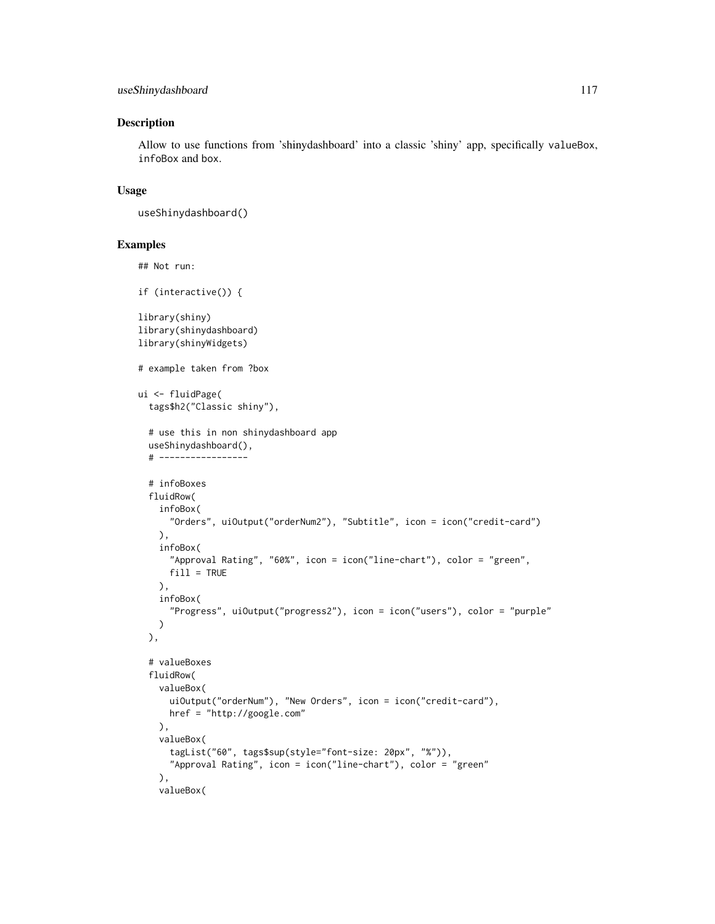#### useShinydashboard 117

#### Description

Allow to use functions from 'shinydashboard' into a classic 'shiny' app, specifically valueBox, infoBox and box.

#### Usage

```
useShinydashboard()
```

```
## Not run:
if (interactive()) {
library(shiny)
library(shinydashboard)
library(shinyWidgets)
# example taken from ?box
ui <- fluidPage(
  tags$h2("Classic shiny"),
  # use this in non shinydashboard app
  useShinydashboard(),
  # -----------------
  # infoBoxes
  fluidRow(
    infoBox(
      "Orders", uiOutput("orderNum2"), "Subtitle", icon = icon("credit-card")
    ),
    infoBox(
      "Approval Rating", "60%", icon = icon("line-chart"), color = "green",
     fill = TRUE
   ),
   infoBox(
      "Progress", uiOutput("progress2"), icon = icon("users"), color = "purple"
    )
  ),
  # valueBoxes
  fluidRow(
    valueBox(
      uiOutput("orderNum"), "New Orders", icon = icon("credit-card"),
     href = "http://google.com"
   ),
    valueBox(
      tagList("60", tags$sup(style="font-size: 20px", "%")),
      "Approval Rating", icon = icon("line-chart"), color = "green"
   ),
    valueBox(
```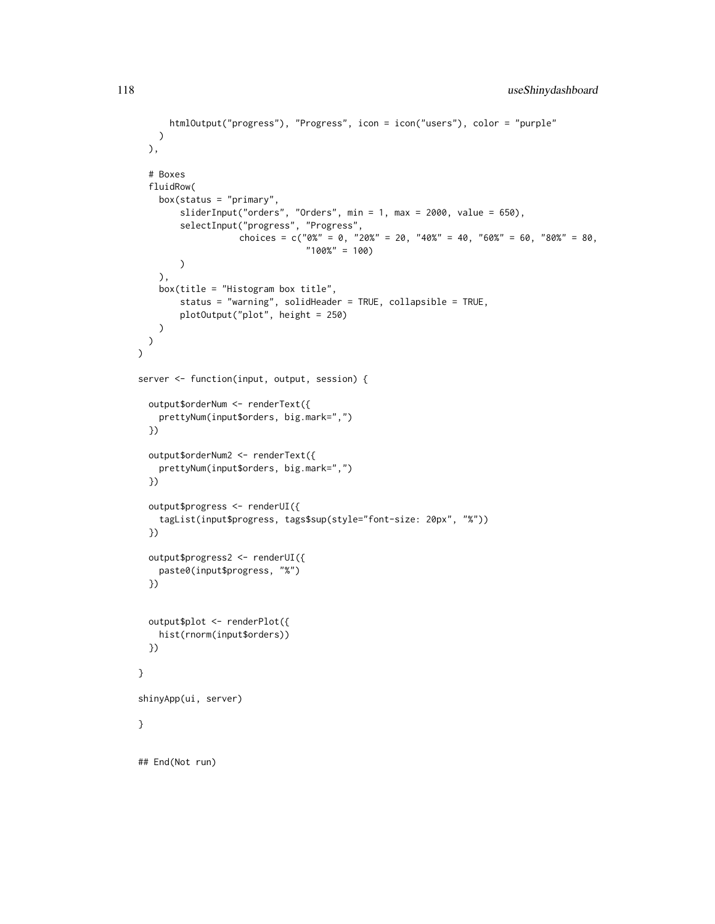```
htmlOutput("progress"), "Progress", icon = icon("users"), color = "purple"
   )
 ),
 # Boxes
 fluidRow(
   box(status = "primary",
       sliderInput("orders", "Orders", min = 1, max = 2000, value = 650),
       selectInput("progress", "Progress",
                   choices = c("0%" = 0, "20%" = 20, "40%" = 40, "60%" = 60, "80%" = 80,
                                "100%" = 100)
       )
   ),
   box(title = "Histogram box title",
       status = "warning", solidHeader = TRUE, collapsible = TRUE,
       plotOutput("plot", height = 250)
   )
 )
\overline{\phantom{a}}server <- function(input, output, session) {
 output$orderNum <- renderText({
   prettyNum(input$orders, big.mark=",")
 })
 output$orderNum2 <- renderText({
   prettyNum(input$orders, big.mark=",")
 })
 output$progress <- renderUI({
   tagList(input$progress, tags$sup(style="font-size: 20px", "%"))
 })
 output$progress2 <- renderUI({
   paste0(input$progress, "%")
 })
 output$plot <- renderPlot({
   hist(rnorm(input$orders))
 })
}
shinyApp(ui, server)
}
## End(Not run)
```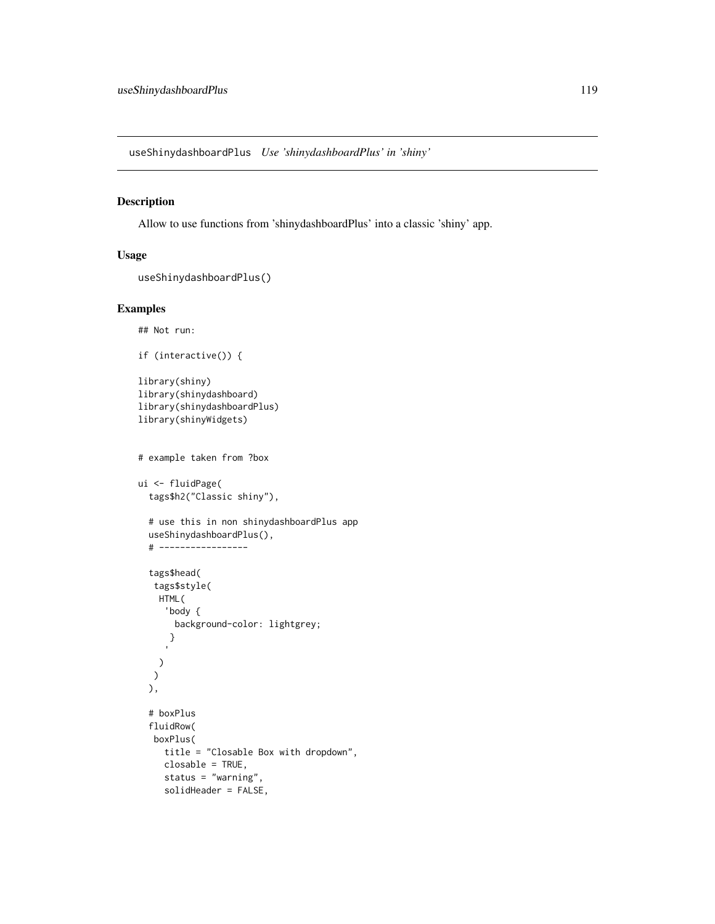<span id="page-118-0"></span>useShinydashboardPlus *Use 'shinydashboardPlus' in 'shiny'*

## Description

Allow to use functions from 'shinydashboardPlus' into a classic 'shiny' app.

#### Usage

```
useShinydashboardPlus()
```
#### Examples

## Not run:

```
if (interactive()) {
```

```
library(shiny)
library(shinydashboard)
library(shinydashboardPlus)
library(shinyWidgets)
```

```
# example taken from ?box
```

```
ui <- fluidPage(
 tags$h2("Classic shiny"),
 # use this in non shinydashboardPlus app
```

```
useShinydashboardPlus(),
# -----------------
```

```
tags$head(
 tags$style(
 HTML(
   'body {
    background-color: lightgrey;
    }
 )
)
),
# boxPlus
fluidRow(
boxPlus(
   title = "Closable Box with dropdown",
  closable = TRUE,
  status = "warning",
   solidHeader = FALSE,
```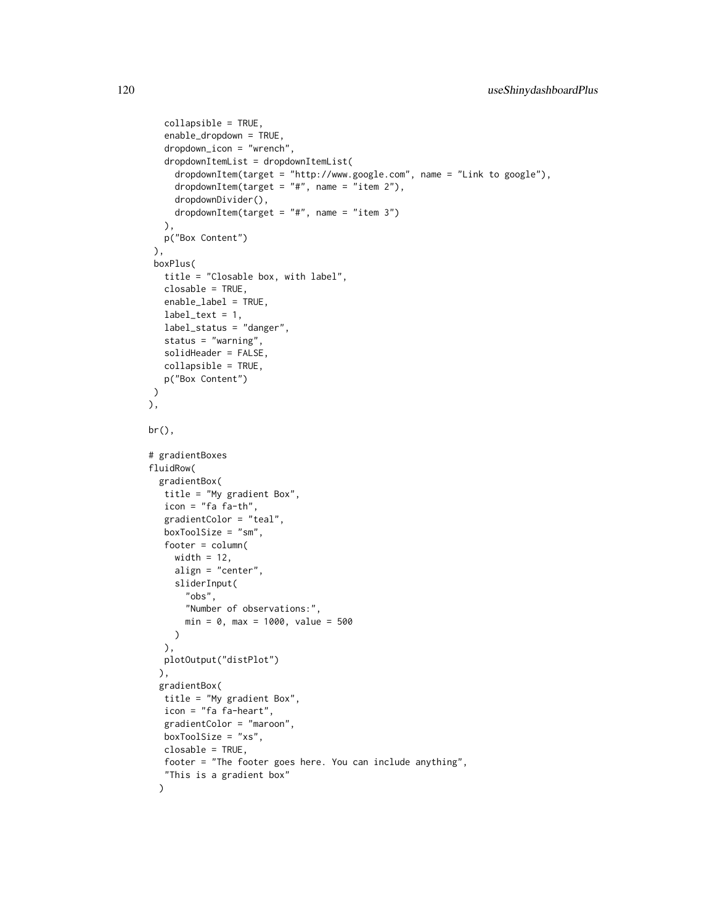```
collapsible = TRUE,
   enable_dropdown = TRUE,
   dropdown_icon = "wrench",
   dropdownItemList = dropdownItemList(
     dropdownItem(target = "http://www.google.com", name = "Link to google"),
     dropdownItem(target = "#", name = "item 2"),
     dropdownDivider(),
     dropdownItem(target = "#", name = "item 3")
  ),
   p("Box Content")
 ),
 boxPlus(
   title = "Closable box, with label",
   closable = TRUE,
   enable_label = TRUE,
  label_text = 1,
  label_status = "danger",
   status = "warning",
   solidHeader = FALSE,
   collapsible = TRUE,
  p("Box Content")
\lambda),
br(),
# gradientBoxes
fluidRow(
 gradientBox(
  title = "My gradient Box",
   icon = "fa fa-th",
   gradientColor = "teal",
   boxToolSize = "sm",
   footer = column(
     width = 12,
     align = "center",
     sliderInput(
       "obs",
       "Number of observations:",
       min = 0, max = 1000, value = 500
     )
  ),
   plotOutput("distPlot")
  ),
  gradientBox(
   title = "My gradient Box",
   icon = "fa fa-heart",
   gradientColor = "maroon",
  boxToolSize = "xs",
  closable = TRUE,
   footer = "The footer goes here. You can include anything",
   "This is a gradient box"
  \mathcal{L}
```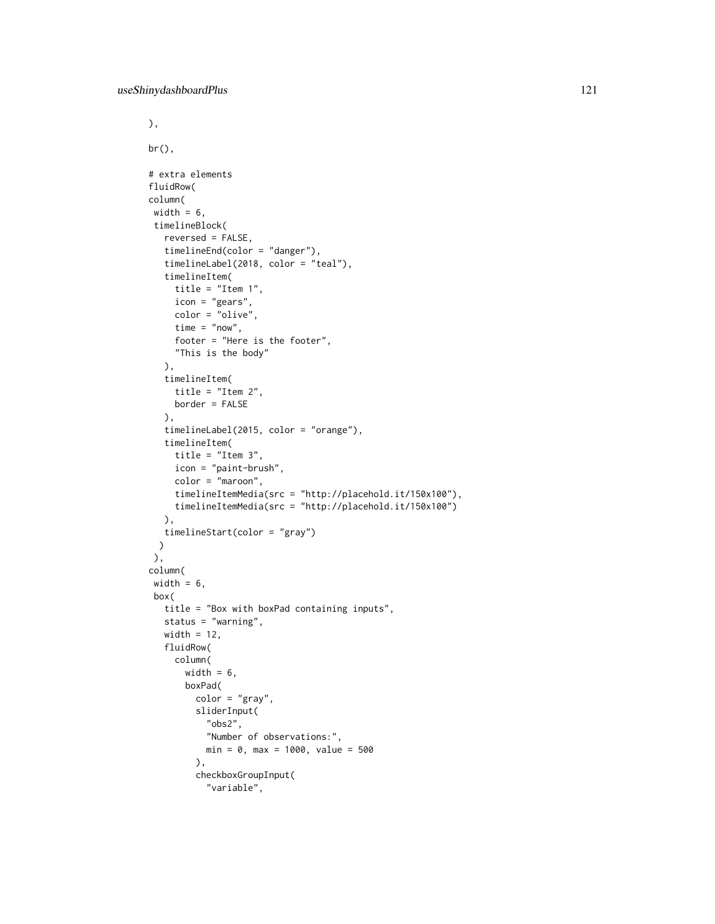```
),
br(),
# extra elements
fluidRow(
column(
width = 6,
 timelineBlock(
   reversed = FALSE,
   timelineEnd(color = "danger"),
   timelineLabel(2018, color = "teal"),
   timelineItem(
    title = "Item 1",
    icon = "gears",
     color = "olive",
    time = "now",
     footer = "Here is the footer",
     "This is the body"
  ),
   timelineItem(
     title = "Item 2",
    border = FALSE
   ),
   timelineLabel(2015, color = "orange"),
   timelineItem(
    title = "Item 3",
     icon = "paint-brush",
     color = "maroon",
     timelineItemMedia(src = "http://placehold.it/150x100"),
     timelineItemMedia(src = "http://placehold.it/150x100")
  ),
   timelineStart(color = "gray")
 )
),
column(
width = 6,
box(
  title = "Box with boxPad containing inputs",
   status = "warning",
  width = 12,
  fluidRow(
     column(
       width = 6,
       boxPad(
         color = "gray",
         sliderInput(
           "obs2",
           "Number of observations:",
           min = 0, max = 1000, value = 500
         ),
         checkboxGroupInput(
           "variable",
```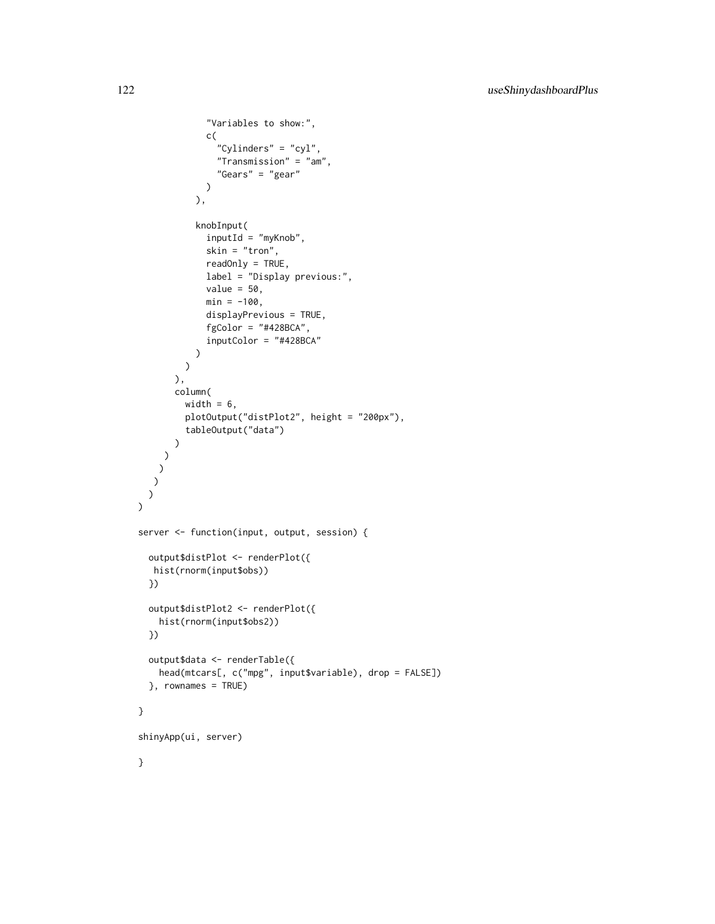```
"Variables to show:",
             c(
               "Cylinders" = "cyl",
               "Transmission" = "am",
               "Gears" = "gear"
             \lambda),
           knobInput(
             inputId = "myKnob",
             skin = "tron",
             readOnly = TRUE,
             label = "Display previous:",
             value = 50,
             min = -100,displayPrevious = TRUE,
             fgColor = "#428BCA",
             inputColor = "#428BCA"
           )
         )
       ),
       column(
         width = 6,
         plotOutput("distPlot2", height = "200px"),
         tableOutput("data")
       )
    )
   )
  )
 )
)
server <- function(input, output, session) {
  output$distPlot <- renderPlot({
  hist(rnorm(input$obs))
  })
  output$distPlot2 <- renderPlot({
   hist(rnorm(input$obs2))
  })
  output$data <- renderTable({
   head(mtcars[, c("mpg", input$variable), drop = FALSE])
  }, rownames = TRUE)
}
shinyApp(ui, server)
}
```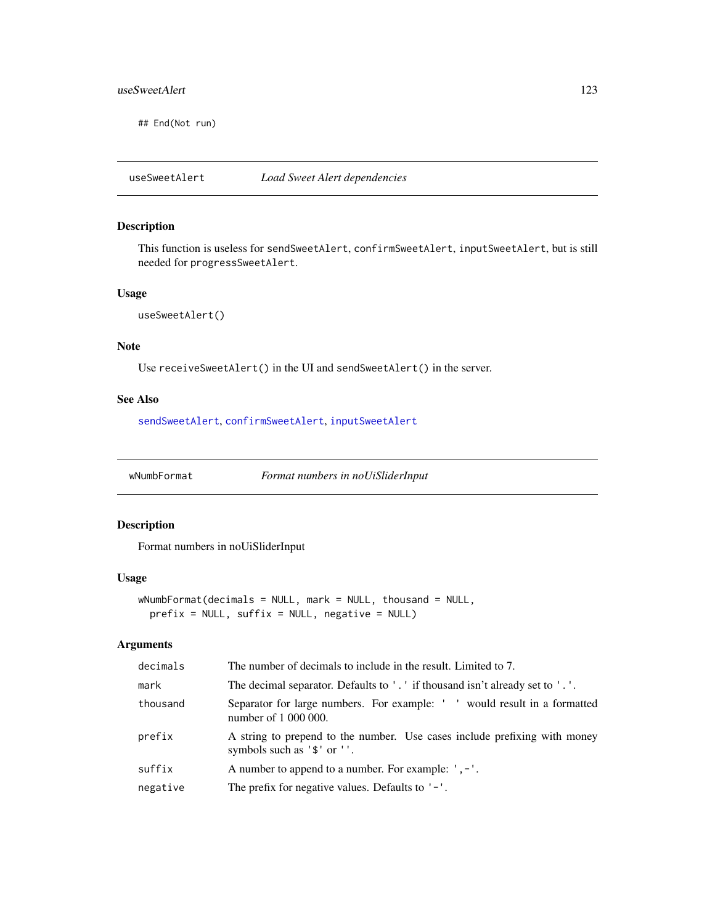#### <span id="page-122-0"></span>useSweetAlert 123

## End(Not run)

useSweetAlert *Load Sweet Alert dependencies*

#### Description

This function is useless for sendSweetAlert, confirmSweetAlert, inputSweetAlert, but is still needed for progressSweetAlert.

#### Usage

useSweetAlert()

# Note

Use receiveSweetAlert() in the UI and sendSweetAlert() in the server.

# See Also

[sendSweetAlert](#page-68-0), [confirmSweetAlert](#page-21-0), [inputSweetAlert](#page-31-0)

wNumbFormat *Format numbers in noUiSliderInput*

## Description

Format numbers in noUiSliderInput

#### Usage

```
wNumbFormat(decimals = NULL, mark = NULL, thousand = NULL,
 prefix = NULL, suffix = NULL, negative = NULL)
```
# Arguments

| decimals | The number of decimals to include in the result. Limited to 7.                                             |
|----------|------------------------------------------------------------------------------------------------------------|
| mark     | The decimal separator. Defaults to '.' if thousand isn't already set to '.'.                               |
| thousand | Separator for large numbers. For example: ' ' would result in a formatted<br>number of 1 000 000.          |
| prefix   | A string to prepend to the number. Use cases include prefixing with money<br>symbols such as $'\$ or $'$ . |
| suffix   | A number to append to a number. For example: ', -'.                                                        |
| negative | The prefix for negative values. Defaults to $'-$ .                                                         |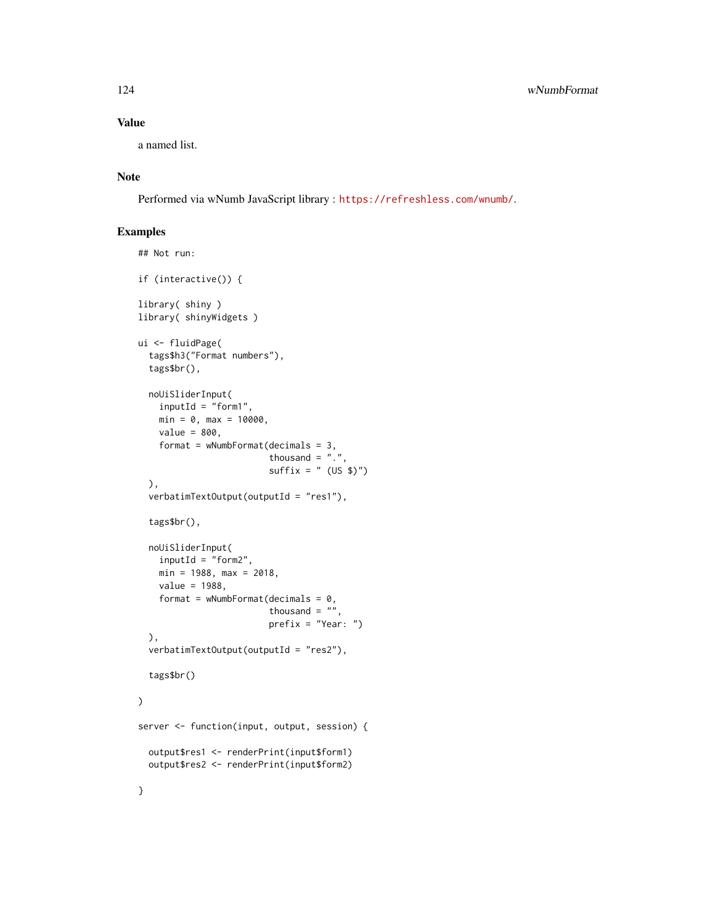#### Value

a named list.

# Note

Performed via wNumb JavaScript library : <https://refreshless.com/wnumb/>.

```
## Not run:
if (interactive()) {
library( shiny )
library( shinyWidgets )
ui <- fluidPage(
  tags$h3("Format numbers"),
  tags$br(),
  noUiSliderInput(
   inputId = "form1",min = 0, max = 10000,value = 800,
   format = wNumberformat(decimals = 3,thousand = ".".suffix = " (US $)")),
  verbatimTextOutput(outputId = "res1"),
  tags$br(),
  noUiSliderInput(
   inputId = "form2",min = 1988, max = 2018,
   value = 1988,
    format = wNumbFormat(decimals = 0,
                         thousand = ",
                         prefix = "Year: ")
  ),
  verbatimTextOutput(outputId = "res2"),
  tags$br()
\mathcal{L}server <- function(input, output, session) {
  output$res1 <- renderPrint(input$form1)
  output$res2 <- renderPrint(input$form2)
}
```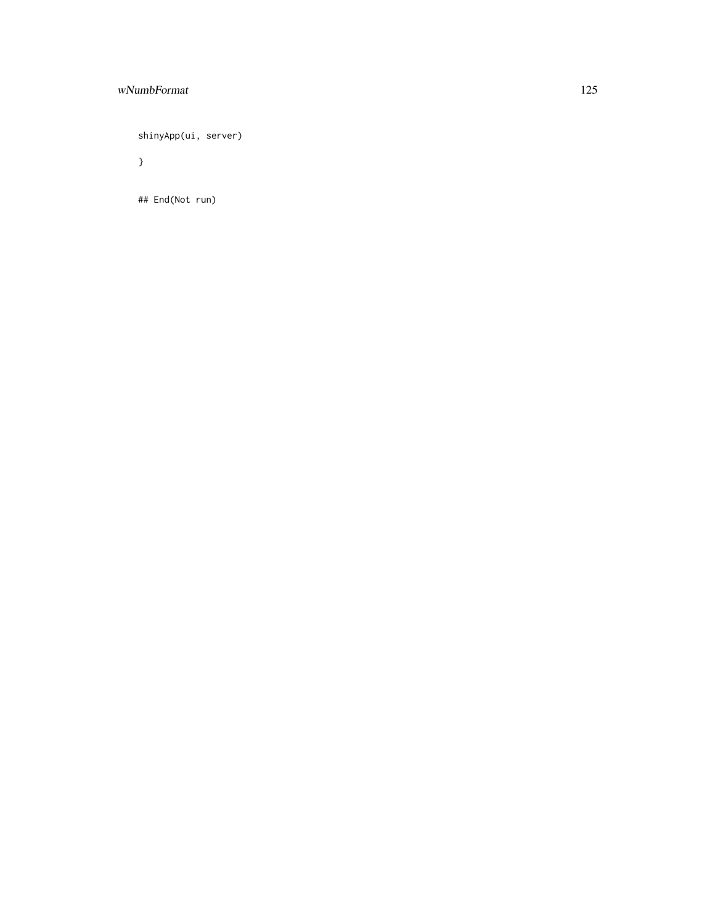# wNumbFormat 125

shinyApp(ui, server)

}

## End(Not run)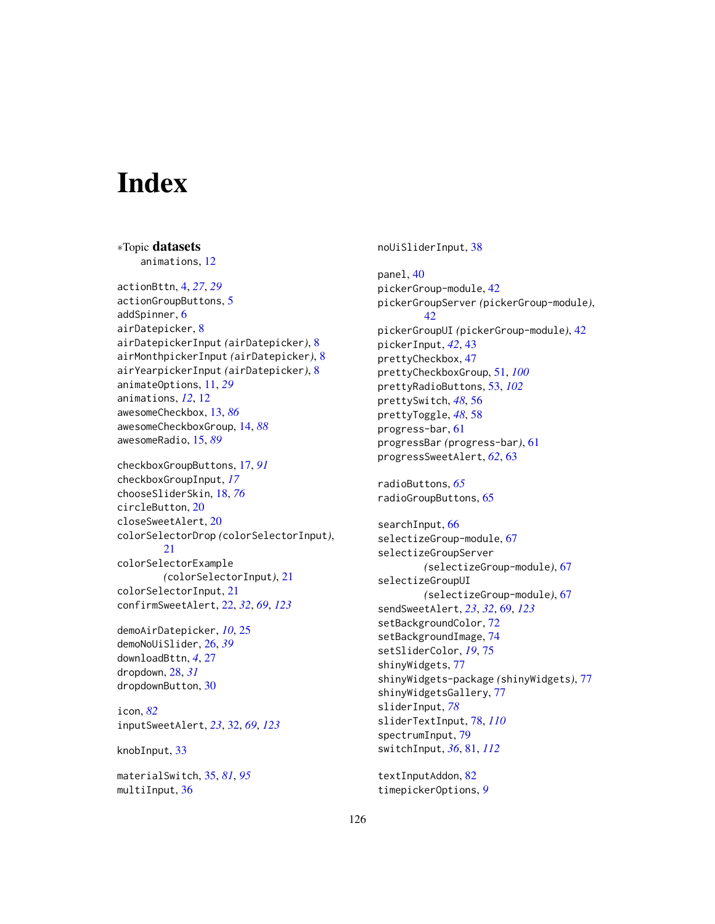# **Index**

∗Topic datasets animations, [12](#page-11-0) actionBttn, [4,](#page-3-0) *[27](#page-26-0)*, *[29](#page-28-0)* actionGroupButtons, [5](#page-4-0) addSpinner, [6](#page-5-0) airDatepicker, [8](#page-7-0) airDatepickerInput *(*airDatepicker*)*, [8](#page-7-0) airMonthpickerInput *(*airDatepicker*)*, [8](#page-7-0) airYearpickerInput *(*airDatepicker*)*, [8](#page-7-0) animateOptions, [11,](#page-10-0) *[29](#page-28-0)* animations, *[12](#page-11-0)*, [12](#page-11-0) awesomeCheckbox, [13,](#page-12-0) *[86](#page-85-0)* awesomeCheckboxGroup, [14,](#page-13-0) *[88](#page-87-0)* awesomeRadio, [15,](#page-14-0) *[89](#page-88-0)* checkboxGroupButtons, [17,](#page-16-0) *[91](#page-90-0)* checkboxGroupInput, *[17](#page-16-0)* chooseSliderSkin, [18,](#page-17-0) *[76](#page-75-0)* circleButton, [20](#page-19-0) closeSweetAlert, [20](#page-19-0) colorSelectorDrop *(*colorSelectorInput*)*, [21](#page-20-0) colorSelectorExample *(*colorSelectorInput*)*, [21](#page-20-0) colorSelectorInput, [21](#page-20-0) confirmSweetAlert, [22,](#page-21-1) *[32](#page-31-1)*, *[69](#page-68-1)*, *[123](#page-122-0)* demoAirDatepicker, *[10](#page-9-0)*, [25](#page-24-0) demoNoUiSlider, [26,](#page-25-0) *[39](#page-38-0)* downloadBttn, *[4](#page-3-0)*, [27](#page-26-0) dropdown, [28,](#page-27-0) *[31](#page-30-0)* dropdownButton, [30](#page-29-0) icon, *[82](#page-81-0)* inputSweetAlert, *[23](#page-22-0)*, [32,](#page-31-1) *[69](#page-68-1)*, *[123](#page-122-0)* knobInput, [33](#page-32-0) materialSwitch, [35,](#page-34-0) *[81](#page-80-1)*, *[95](#page-94-0)* multiInput, [36](#page-35-0)

noUiSliderInput, [38](#page-37-0)

panel, [40](#page-39-0) pickerGroup-module, [42](#page-41-0) pickerGroupServer *(*pickerGroup-module*)*, [42](#page-41-0) pickerGroupUI *(*pickerGroup-module*)*, [42](#page-41-0) pickerInput, *[42](#page-41-0)*, [43](#page-42-0) prettyCheckbox, [47](#page-46-0) prettyCheckboxGroup, [51,](#page-50-0) *[100](#page-99-0)* prettyRadioButtons, [53,](#page-52-0) *[102](#page-101-0)* prettySwitch, *[48](#page-47-0)*, [56](#page-55-0) prettyToggle, *[48](#page-47-0)*, [58](#page-57-0) progress-bar, [61](#page-60-0) progressBar *(*progress-bar*)*, [61](#page-60-0) progressSweetAlert, *[62](#page-61-0)*, [63](#page-62-0) radioButtons, *[65](#page-64-0)* radioGroupButtons, [65](#page-64-0) searchInput, [66](#page-65-0) selectizeGroup-module, [67](#page-66-0) selectizeGroupServer *(*selectizeGroup-module*)*, [67](#page-66-0) selectizeGroupUI *(*selectizeGroup-module*)*, [67](#page-66-0) sendSweetAlert, *[23](#page-22-0)*, *[32](#page-31-1)*, [69,](#page-68-1) *[123](#page-122-0)* setBackgroundColor, [72](#page-71-0) setBackgroundImage, [74](#page-73-0) setSliderColor, *[19](#page-18-0)*, [75](#page-74-0) shinyWidgets, [77](#page-76-0) shinyWidgets-package *(*shinyWidgets*)*, [77](#page-76-0) shinyWidgetsGallery, [77](#page-76-0) sliderInput, *[78](#page-77-1)* sliderTextInput, [78,](#page-77-1) *[110](#page-109-0)* spectrumInput, [79](#page-78-0) switchInput, *[36](#page-35-0)*, [81,](#page-80-1) *[112](#page-111-0)*

textInputAddon, [82](#page-81-0) timepickerOptions, *[9](#page-8-0)*